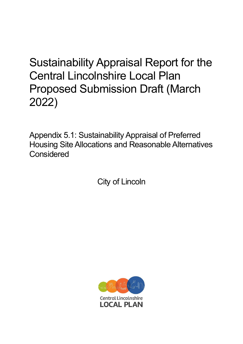# Sustainability Appraisal Report for the Central Lincolnshire Local Plan Proposed Submission Draft (March 2022)

Appendix 5.1: Sustainability Appraisal of Preferred Housing Site Allocations and Reasonable Alternatives **Considered** 

City of Lincoln

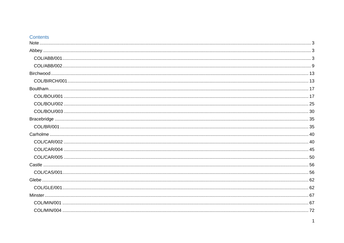## Contents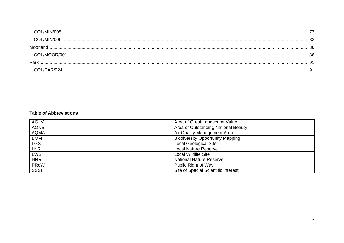| Moorland. |  |
|-----------|--|
|           |  |
| Park      |  |
|           |  |

#### **Table of Abbreviations**

| <b>AGLV</b> | Area of Great Landscape Value           |
|-------------|-----------------------------------------|
| <b>AONB</b> | Area of Outstanding National Beauty     |
| <b>AQMA</b> | Air Quality Management Area             |
| <b>BOM</b>  | <b>Biodiversity Opportunity Mapping</b> |
| <b>LGS</b>  | <b>Local Geological Site</b>            |
| <b>LNR</b>  | <b>Local Nature Reserve</b>             |
| LWS         | <b>Local Wildlife Site</b>              |
| <b>NNR</b>  | <b>National Nature Reserve</b>          |
| PRoW        | Public Right of Way                     |
| SSSI        | Site of Special Scientific Interest     |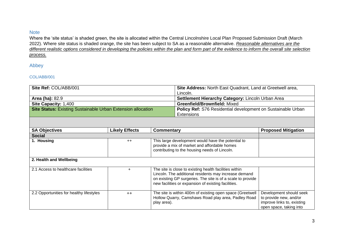#### <span id="page-3-0"></span>**Note**

Where the 'site status' is shaded green, the site is allocated within the Central Lincolnshire Local Plan Proposed Submission Draft (March 2022). Where site status is shaded orange, the site has been subject to SA as a reasonable alternative. *Reasonable alternatives are the different realistic options considered in developing the policies within the plan and form part of the evidence to inform the overall site selection process.*

<span id="page-3-1"></span>Abbey

#### <span id="page-3-2"></span>COL/ABB/001

| Site Ref: COL/ABB/001                                               |                       | Site Address: North East Quadrant, Land at Greetwell area,                                                                                          |                                                                                                                                                                                                                                       |                                                                                                            |
|---------------------------------------------------------------------|-----------------------|-----------------------------------------------------------------------------------------------------------------------------------------------------|---------------------------------------------------------------------------------------------------------------------------------------------------------------------------------------------------------------------------------------|------------------------------------------------------------------------------------------------------------|
|                                                                     |                       |                                                                                                                                                     | Lincoln.                                                                                                                                                                                                                              |                                                                                                            |
| <b>Area (ha): 82.9</b>                                              |                       |                                                                                                                                                     | Settlement Hierarchy Category: Lincoln Urban Area                                                                                                                                                                                     |                                                                                                            |
| Site Capacity: 1,400                                                |                       |                                                                                                                                                     | <b>Greenfield/Brownfield: Mixed</b>                                                                                                                                                                                                   |                                                                                                            |
| <b>Site Status: Existing Sustainable Urban Extension allocation</b> |                       | Policy Ref: S76 Residential development on Sustainable Urban<br><b>Extensions</b>                                                                   |                                                                                                                                                                                                                                       |                                                                                                            |
|                                                                     |                       |                                                                                                                                                     |                                                                                                                                                                                                                                       |                                                                                                            |
| <b>SA Objectives</b>                                                | <b>Likely Effects</b> | <b>Commentary</b>                                                                                                                                   |                                                                                                                                                                                                                                       | <b>Proposed Mitigation</b>                                                                                 |
| <b>Social</b>                                                       |                       |                                                                                                                                                     |                                                                                                                                                                                                                                       |                                                                                                            |
| 1. Housing                                                          | $++$                  | This large development would have the potential to<br>provide a mix of market and affordable homes<br>contributing to the housing needs of Lincoln. |                                                                                                                                                                                                                                       |                                                                                                            |
| 2. Health and Wellbeing                                             |                       |                                                                                                                                                     |                                                                                                                                                                                                                                       |                                                                                                            |
| 2.1 Access to healthcare facilities                                 | $\ddot{}$             |                                                                                                                                                     | The site is close to existing health facilities within<br>Lincoln. The additional residents may increase demand<br>on existing GP surgeries. The site is of a scale to provide<br>new facilities or expansion of existing facilities. |                                                                                                            |
| 2.2 Opportunities for healthy lifestyles                            | $++$                  | play area).                                                                                                                                         | The site is within 400m of existing open space (Greetwell<br>Hollow Quarry, Camshaws Road play area, Padley Road                                                                                                                      | Development should seek<br>to provide new, and/or<br>improve links to, existing<br>open space, taking into |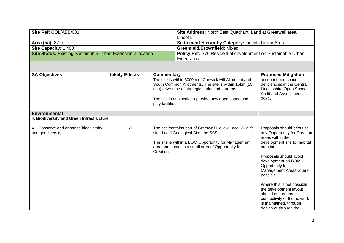| Site Ref: COL/ABB/001                                        | Site Address: North East Quadrant, Land at Greetwell area,   |
|--------------------------------------------------------------|--------------------------------------------------------------|
|                                                              | Lincoln.                                                     |
| <b>Area (ha): 82.9</b>                                       | Settlement Hierarchy Category: Lincoln Urban Area            |
| <b>Site Capacity: 1,400</b>                                  | <b>Greenfield/Brownfield: Mixed</b>                          |
| Site Status: Existing Sustainable Urban Extension allocation | Policy Ref: S76 Residential development on Sustainable Urban |
|                                                              | Extensions                                                   |

| <b>SA Objectives</b>                                      | <b>Likely Effects</b> | <b>Commentary</b>                                                                                                                                                                                                                             | <b>Proposed Mitigation</b>                                                                                                                                                                                                                                                                                                                                                                              |
|-----------------------------------------------------------|-----------------------|-----------------------------------------------------------------------------------------------------------------------------------------------------------------------------------------------------------------------------------------------|---------------------------------------------------------------------------------------------------------------------------------------------------------------------------------------------------------------------------------------------------------------------------------------------------------------------------------------------------------------------------------------------------------|
|                                                           |                       | The site is within 3000m of Canwick Hill Allotment and<br>South Common Allotments. The site is within 15km (15<br>min) drive time of strategic parks and gardens.<br>The site is of a scale to provide new open space and<br>play facilities. | account open space<br>deficiencies in the Central<br>Lincolnshire Open Space<br><b>Audit and Assessment</b><br>2021.                                                                                                                                                                                                                                                                                    |
| <b>Environmental</b>                                      |                       |                                                                                                                                                                                                                                               |                                                                                                                                                                                                                                                                                                                                                                                                         |
| 4. Biodiversity and Green Infrastructure                  |                       |                                                                                                                                                                                                                                               |                                                                                                                                                                                                                                                                                                                                                                                                         |
| 4.1 Conserve and enhance biodiversity<br>and geodiversity | $-1$ ?                | The site contains part of Greetwell Hollow Local Wildlife<br>site, Local Geological Site and SSSI.<br>The site is within a BOM Opportunity for Management<br>area and contains a small area of Opportunity for<br>Creation.                   | Proposals should prioritise<br>any Opportunity for Creation<br>areas within the<br>development site for habitat<br>creation.<br>Proposals should avoid<br>development on BOM<br>Opportunity for<br>Management Areas where<br>possible.<br>Where this is not possible,<br>the development layout<br>should ensure that<br>connectivity of the network<br>is maintained, through<br>design or through the |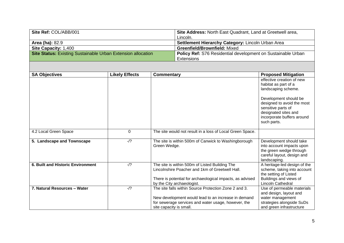| Site Ref: COL/ABB/001                                               | Site Address: North East Quadrant, Land at Greetwell area,   |
|---------------------------------------------------------------------|--------------------------------------------------------------|
|                                                                     | Lincoln.                                                     |
| <b>Area (ha): 82.9</b>                                              | Settlement Hierarchy Category: Lincoln Urban Area            |
| <b>Site Capacity: 1,400</b>                                         | <b>Greenfield/Brownfield: Mixed</b>                          |
| <b>Site Status: Existing Sustainable Urban Extension allocation</b> | Policy Ref: S76 Residential development on Sustainable Urban |
|                                                                     | Extensions                                                   |

| <b>SA Objectives</b>              | <b>Likely Effects</b> | <b>Commentary</b>                                                                                                                                                                            | <b>Proposed Mitigation</b>                                                                                                                     |
|-----------------------------------|-----------------------|----------------------------------------------------------------------------------------------------------------------------------------------------------------------------------------------|------------------------------------------------------------------------------------------------------------------------------------------------|
|                                   |                       |                                                                                                                                                                                              | effective creation of new<br>habitat as part of a<br>landscaping scheme.                                                                       |
|                                   |                       |                                                                                                                                                                                              | Development should be<br>designed to avoid the most<br>sensitive parts of<br>designated sites and<br>incorporate buffers around<br>such parts. |
| 4.2 Local Green Space             | $\Omega$              | The site would not result in a loss of Local Green Space.                                                                                                                                    |                                                                                                                                                |
| 5. Landscape and Townscape        | $-1$ ?                | The site is within 500m of Canwick to Washingborough<br>Green Wedge.                                                                                                                         | Development should take<br>into account impacts upon<br>the green wedge through<br>careful layout, design and<br>landscaping.                  |
| 6. Built and Historic Environment | $-1$ ?                | The site is within 500m of Listed Building The<br>Lincolnshire Poacher and 1km of Greetwell Hall.<br>There is potential for archaeological impacts, as advised<br>by the City archaeologist. | A heritage-led design of the<br>scheme, taking into account<br>the setting of Listed<br>Buildings and views of<br><b>Lincoln Cathedral</b>     |
| 7. Natural Resources - Water      | $-1$ ?                | The site falls within Source Protection Zone 2 and 3.<br>New development would lead to an increase in demand<br>for sewerage services and water usage, however, the                          | Use of permeable materials<br>and design, layout and<br>water management<br>strategies alongside SuDs                                          |
|                                   |                       | site capacity is small.                                                                                                                                                                      | and green infrastructure                                                                                                                       |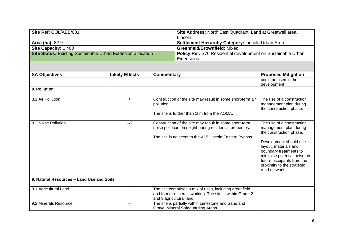| Site Ref: COL/ABB/001                                        | Site Address: North East Quadrant, Land at Greetwell area,   |
|--------------------------------------------------------------|--------------------------------------------------------------|
|                                                              | Lincoln.                                                     |
| <b>Area (ha): 82.9</b>                                       | Settlement Hierarchy Category: Lincoln Urban Area            |
| <b>Site Capacity: 1,400</b>                                  | <b>Greenfield/Brownfield: Mixed</b>                          |
| Site Status: Existing Sustainable Urban Extension allocation | Policy Ref: S76 Residential development on Sustainable Urban |
|                                                              | Extensions                                                   |

| <b>SA Objectives</b>                      | <b>Likely Effects</b> | <b>Commentary</b>                                                                                                                                                            | <b>Proposed Mitigation</b>                                                                                                                                                                                                                                            |  |
|-------------------------------------------|-----------------------|------------------------------------------------------------------------------------------------------------------------------------------------------------------------------|-----------------------------------------------------------------------------------------------------------------------------------------------------------------------------------------------------------------------------------------------------------------------|--|
|                                           |                       |                                                                                                                                                                              | could be used in the<br>development                                                                                                                                                                                                                                   |  |
| 8. Pollution                              |                       |                                                                                                                                                                              |                                                                                                                                                                                                                                                                       |  |
| 8.1 Air Pollution                         | $+$                   | Construction of the site may result in some short-term air<br>pollution.<br>The site is further than 1km from the AQMA.                                                      | The use of a construction<br>management plan during<br>the construction phase.                                                                                                                                                                                        |  |
| 8.2 Noise Pollution                       | $-1$ ?                | Construction of the site may result in some short-term<br>noise pollution on neighbouring residential properties.<br>The site is adjacent to the A15 Lincoln Eastern Bypass. | The use of a construction<br>management plan during<br>the construction phase.<br>Development should use<br>layout, materials and<br>boundary treatments to<br>minimise potential noise on<br>future occupants from the<br>proximity to the strategic<br>road network |  |
| 9. Natural Resources - Land Use and Soils |                       |                                                                                                                                                                              |                                                                                                                                                                                                                                                                       |  |
| 9.1 Agricultural Land                     |                       | The site comprises a mix of uses, including greenfield<br>and former minerals working. The site is within Grade 2<br>and 3 agricultural land.                                |                                                                                                                                                                                                                                                                       |  |
| 9.2 Minerals Resource                     | --                    | The site is partially within Limestone and Sand and<br>Gravel Mineral Safeguarding Areas.                                                                                    |                                                                                                                                                                                                                                                                       |  |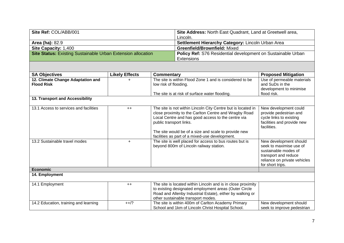| Site Ref: COL/ABB/001                                        | Site Address: North East Quadrant, Land at Greetwell area,   |
|--------------------------------------------------------------|--------------------------------------------------------------|
|                                                              | Lincoln.                                                     |
| <b>Area (ha): 82.9</b>                                       | Settlement Hierarchy Category: Lincoln Urban Area            |
| <b>Site Capacity: 1,400</b>                                  | <b>Greenfield/Brownfield: Mixed</b>                          |
| Site Status: Existing Sustainable Urban Extension allocation | Policy Ref: S76 Residential development on Sustainable Urban |
|                                                              | Extensions                                                   |

| <b>SA Objectives</b>                                   | <b>Likely Effects</b> | <b>Commentary</b>                                                                                                                                                                                                                                                                                                | <b>Proposed Mitigation</b>                                                                                                                            |
|--------------------------------------------------------|-----------------------|------------------------------------------------------------------------------------------------------------------------------------------------------------------------------------------------------------------------------------------------------------------------------------------------------------------|-------------------------------------------------------------------------------------------------------------------------------------------------------|
| 12. Climate Change Adaptation and<br><b>Flood Risk</b> |                       | The site is within Flood Zone 1 and is considered to be<br>low risk of flooding.                                                                                                                                                                                                                                 | Use of permeable materials<br>and SuDs in the<br>development to minimise                                                                              |
|                                                        |                       | The site is at risk of surface water flooding.                                                                                                                                                                                                                                                                   | flood risk.                                                                                                                                           |
| 13. Transport and Accessibility                        |                       |                                                                                                                                                                                                                                                                                                                  |                                                                                                                                                       |
| 13.1 Access to services and facilities                 | $++$                  | The site is not within Lincoln City Centre but is located in<br>close proximity to the Carlton Centre and Wragby Road<br>Local Centre and has good access to the centre via<br>public transport links.<br>The site would be of a size and scale to provide new<br>facilities as part of a mixed-use development. | New development could<br>provide pedestrian and<br>cycle links to existing<br>facilities and provide new<br>facilities.                               |
| 13.2 Sustainable travel modes                          | $\ddot{}$             | The site is well placed for access to bus routes but is<br>beyond 800m of Lincoln railway station.                                                                                                                                                                                                               | New development should<br>seek to maximise use of<br>sustainable modes of<br>transport and reduce<br>reliance on private vehicles<br>for short trips. |
| <b>Economic</b>                                        |                       |                                                                                                                                                                                                                                                                                                                  |                                                                                                                                                       |
| 14. Employment                                         |                       |                                                                                                                                                                                                                                                                                                                  |                                                                                                                                                       |
| 14.1 Employment                                        | $++$                  | The site is located within Lincoln and is in close proximity<br>to existing designated employment areas (Outer Circle<br>Road and Allenby Industrial Estate), either by walking or<br>other sustainable transport modes.                                                                                         |                                                                                                                                                       |
| 14.2 Education, training and learning                  | $++/?$                | The site is within 400m of Carlton Academy Primary<br>School and 1km of Lincoln Christ Hospital School.                                                                                                                                                                                                          | New development should<br>seek to improve pedestrian                                                                                                  |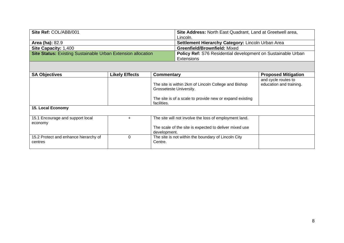| Site Ref: COL/ABB/001                                               | Site Address: North East Quadrant, Land at Greetwell area,          |
|---------------------------------------------------------------------|---------------------------------------------------------------------|
|                                                                     | Lincoln.                                                            |
| <b>Area (ha): 82.9</b>                                              | Settlement Hierarchy Category: Lincoln Urban Area                   |
| <b>Site Capacity: 1,400</b>                                         | <b>Greenfield/Brownfield: Mixed</b>                                 |
| <b>Site Status: Existing Sustainable Urban Extension allocation</b> | <b>Policy Ref: S76 Residential development on Sustainable Urban</b> |
|                                                                     | Extensions                                                          |

| <b>SA Objectives</b>                             | <b>Likely Effects</b> | Commentary                                                                      | <b>Proposed Mitigation</b> |
|--------------------------------------------------|-----------------------|---------------------------------------------------------------------------------|----------------------------|
|                                                  |                       |                                                                                 | and cycle routes to        |
|                                                  |                       | The site is within 2km of Lincoln College and Bishop<br>Grosseteste University. | education and training.    |
|                                                  |                       | The site is of a scale to provide new or expand existing<br>facilities.         |                            |
| <b>15. Local Economy</b>                         |                       |                                                                                 |                            |
| 15.1 Encourage and support local<br>economy      |                       | The site will not involve the loss of employment land.                          |                            |
|                                                  |                       | The scale of the site is expected to deliver mixed use<br>development.          |                            |
| 15.2 Protect and enhance hierarchy of<br>centres | 0                     | The site is not within the boundary of Lincoln City<br>Centre.                  |                            |
|                                                  |                       |                                                                                 |                            |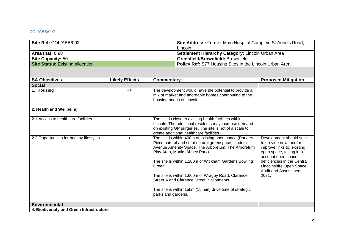#### <span id="page-9-0"></span>COL/ABB/002

| Site Ref: COL/ABB/002                   | <b>Site Address: Former Main Hospital Complex, St Anne's Road,</b> |
|-----------------------------------------|--------------------------------------------------------------------|
|                                         | Lincoln                                                            |
| <b>Area (ha): 0.98</b>                  | Settlement Hierarchy Category: Lincoln Urban Area                  |
| <b>Site Capacity: 50</b>                | Greenfield/Brownfield: Brownfield                                  |
| <b>Site Status: Existing allocation</b> | <b>Policy Ref:</b> S77 Housing Sites in the Lincoln Urban Area     |

| <b>SA Objectives</b>                     | <b>Likely Effects</b><br><b>Commentary</b> |                                                                                                                                                                                                                                                                                                                                                                                                                                                             | <b>Proposed Mitigation</b>                                                                                                                                                                                                  |
|------------------------------------------|--------------------------------------------|-------------------------------------------------------------------------------------------------------------------------------------------------------------------------------------------------------------------------------------------------------------------------------------------------------------------------------------------------------------------------------------------------------------------------------------------------------------|-----------------------------------------------------------------------------------------------------------------------------------------------------------------------------------------------------------------------------|
| <b>Social</b>                            |                                            |                                                                                                                                                                                                                                                                                                                                                                                                                                                             |                                                                                                                                                                                                                             |
| 1. Housing                               | $++$                                       | The development would have the potential to provide a<br>mix of market and affordable homes contributing to the<br>housing needs of Lincoln.                                                                                                                                                                                                                                                                                                                |                                                                                                                                                                                                                             |
| 2. Health and Wellbeing                  |                                            |                                                                                                                                                                                                                                                                                                                                                                                                                                                             |                                                                                                                                                                                                                             |
| 2.1 Access to healthcare facilities      | $+$                                        | The site is close to existing health facilities within<br>Lincoln. The additional residents may increase demand<br>on existing GP surgeries. The site is not of a scale to<br>create additional healthcare facilities.                                                                                                                                                                                                                                      |                                                                                                                                                                                                                             |
| 2.2 Opportunities for healthy lifestyles | $+$                                        | The site is within 400m of existing open space (Parkers<br>Piece natural and semi-natural greenspace, Lindum<br>Avenue Amenity Space, The Arboretum, The Arboretum<br>Play Area, Monks Abbey Park).<br>The site is within 1,200m of Wickham Gardens Bowling<br>Green.<br>The site is within 1,600m of Wragby Road, Clarence<br>Street A and Clarence Street B allotments.<br>The site is within 15km (15 min) drive time of strategic<br>parks and gardens. | Development should seek<br>to provide new, and/or<br>improve links to, existing<br>open space, taking into<br>account open space<br>deficiencies in the Central<br>Lincolnshire Open Space<br>Audit and Assessment<br>2021. |
| <b>Environmental</b>                     |                                            |                                                                                                                                                                                                                                                                                                                                                                                                                                                             |                                                                                                                                                                                                                             |
| 4. Biodiversity and Green Infrastructure |                                            |                                                                                                                                                                                                                                                                                                                                                                                                                                                             |                                                                                                                                                                                                                             |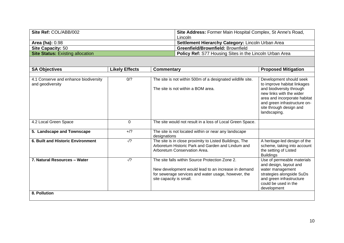| Site Ref: COL/ABB/002                   | Site Address: Former Main Hospital Complex, St Anne's Road,    |
|-----------------------------------------|----------------------------------------------------------------|
|                                         | Lincoln                                                        |
| <b>Area (ha): 0.98</b>                  | <b>Settlement Hierarchy Category: Lincoln Urban Area</b>       |
| <b>Site Capacity: 50</b>                | <b>Greenfield/Brownfield: Brownfield</b>                       |
| <b>Site Status: Existing allocation</b> | <b>Policy Ref:</b> S77 Housing Sites in the Lincoln Urban Area |

| <b>SA Objectives</b>                                      | <b>Likely Effects</b><br>Commentary                                                                     |                                                                                                                                                                                          | <b>Proposed Mitigation</b>                                                                                                                                                                                                |  |
|-----------------------------------------------------------|---------------------------------------------------------------------------------------------------------|------------------------------------------------------------------------------------------------------------------------------------------------------------------------------------------|---------------------------------------------------------------------------------------------------------------------------------------------------------------------------------------------------------------------------|--|
|                                                           |                                                                                                         |                                                                                                                                                                                          |                                                                                                                                                                                                                           |  |
| 4.1 Conserve and enhance biodiversity<br>and geodiversity | 0/2<br>The site is not within 500m of a designated wildlife site.<br>The site is not within a BOM area. |                                                                                                                                                                                          | Development should seek<br>to improve habitat linkages<br>and biodiversity through<br>new links with the wider<br>area and incorporate habitat<br>and green infrastructure on-<br>site through design and<br>landscaping. |  |
| 4.2 Local Green Space                                     | $\Omega$                                                                                                | The site would not result in a loss of Local Green Space.                                                                                                                                |                                                                                                                                                                                                                           |  |
| 5. Landscape and Townscape                                | $+$ /?                                                                                                  | The site is not located within or near any landscape<br>designations                                                                                                                     |                                                                                                                                                                                                                           |  |
| <b>6. Built and Historic Environment</b>                  | $-1$ ?                                                                                                  | The site is in close proximity to Listed Buildings, The<br>Arboretum Historic Park and Garden and Lindum and<br>Arboretum Conservation Area.                                             | A heritage-led design of the<br>scheme, taking into account<br>the setting of Listed<br><b>Buildings</b>                                                                                                                  |  |
| 7. Natural Resources - Water                              | $-1$ ?                                                                                                  | The site falls within Source Protection Zone 2.<br>New development would lead to an increase in demand<br>for sewerage services and water usage, however, the<br>site capacity is small. | Use of permeable materials<br>and design, layout and<br>water management<br>strategies alongside SuDs<br>and green infrastructure<br>could be used in the<br>development                                                  |  |
| 8. Pollution                                              |                                                                                                         |                                                                                                                                                                                          |                                                                                                                                                                                                                           |  |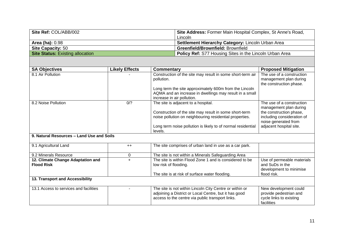| Site Ref: COL/ABB/002                   | <b>Site Address: Former Main Hospital Complex, St Anne's Road,</b> |
|-----------------------------------------|--------------------------------------------------------------------|
|                                         | Lincoln                                                            |
| <b>Area (ha): 0.98</b>                  | <b>Settlement Hierarchy Category: Lincoln Urban Area</b>           |
| <b>Site Capacity: 50</b>                | <b>Greenfield/Brownfield: Brownfield</b>                           |
| <b>Site Status:</b> Existing allocation | <b>Policy Ref:</b> S77 Housing Sites in the Lincoln Urban Area     |

| <b>SA Objectives</b>                                   | <b>Likely Effects</b> | <b>Commentary</b>                                                                                                 | <b>Proposed Mitigation</b>                                                    |
|--------------------------------------------------------|-----------------------|-------------------------------------------------------------------------------------------------------------------|-------------------------------------------------------------------------------|
| 8.1 Air Pollution                                      |                       | Construction of the site may result in some short-term air                                                        | The use of a construction                                                     |
|                                                        |                       | pollution.                                                                                                        | management plan during                                                        |
|                                                        |                       | Long term the site approximately 600m from the Lincoln                                                            | the construction phase.                                                       |
|                                                        |                       | AQMA and an increase in dwellings may result in a small                                                           |                                                                               |
|                                                        |                       | increase in air pollution.                                                                                        |                                                                               |
| 8.2 Noise Pollution                                    | 0/2                   | The site is adjacent to a hospital.                                                                               | The use of a construction<br>management plan during                           |
|                                                        |                       | Construction of the site may result in some short-term<br>noise pollution on neighbouring residential properties. | the construction phase,<br>including consideration of<br>noise generated from |
|                                                        |                       | Long term noise pollution is likely to of normal residential<br>levels.                                           | adjacent hospital site.                                                       |
| 9. Natural Resources - Land Use and Soils              |                       |                                                                                                                   |                                                                               |
| 9.1 Agricultural Land                                  | $++$                  | The site comprises of urban land in use as a car park.                                                            |                                                                               |
| 9.2 Minerals Resource                                  | 0                     | The site is not within a Minerals Safeguarding Area                                                               |                                                                               |
| 12. Climate Change Adaptation and<br><b>Flood Risk</b> | $\ddot{}$             | The site is within Flood Zone 1 and is considered to be<br>low risk of flooding.                                  | Use of permeable materials<br>and SuDs in the                                 |
|                                                        |                       | The site is at risk of surface water flooding.                                                                    | development to minimise<br>flood risk.                                        |
| 13. Transport and Accessibility                        |                       |                                                                                                                   |                                                                               |
| 13.1 Access to services and facilities                 |                       | The site is not within Lincoln City Centre or within or                                                           | New development could                                                         |
|                                                        |                       | adjoining a District or Local Centre, but it has good<br>access to the centre via public transport links.         | provide pedestrian and<br>cycle links to existing<br>facilities               |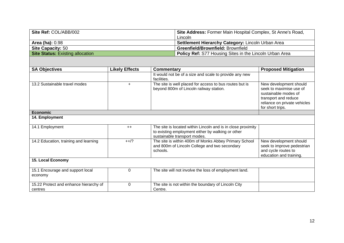| Site Ref: COL/ABB/002                   | Site Address: Former Main Hospital Complex, St Anne's Road,    |
|-----------------------------------------|----------------------------------------------------------------|
|                                         | Lincoln                                                        |
| <b>Area (ha): 0.98</b>                  | <b>Settlement Hierarchy Category: Lincoln Urban Area</b>       |
| <b>Site Capacity: 50</b>                | <b>Greenfield/Brownfield: Brownfield</b>                       |
| <b>Site Status:</b> Existing allocation | <b>Policy Ref:</b> S77 Housing Sites in the Lincoln Urban Area |

| <b>SA Objectives</b>                              | <b>Likely Effects</b><br>Commentary |                                                                                                                                                   | <b>Proposed Mitigation</b>                                                                                                                            |
|---------------------------------------------------|-------------------------------------|---------------------------------------------------------------------------------------------------------------------------------------------------|-------------------------------------------------------------------------------------------------------------------------------------------------------|
|                                                   |                                     | It would not be of a size and scale to provide any new<br>facilities.                                                                             |                                                                                                                                                       |
| 13.2 Sustainable travel modes                     | $\ddot{}$                           | The site is well placed for access to bus routes but is<br>beyond 800m of Lincoln railway station.                                                | New development should<br>seek to maximise use of<br>sustainable modes of<br>transport and reduce<br>reliance on private vehicles<br>for short trips. |
| <b>Economic</b>                                   |                                     |                                                                                                                                                   |                                                                                                                                                       |
| 14. Employment                                    |                                     |                                                                                                                                                   |                                                                                                                                                       |
| 14.1 Employment                                   | $++$                                | The site is located within Lincoln and is in close proximity<br>to existing employment either by walking or other<br>sustainable transport modes. |                                                                                                                                                       |
| 14.2 Education, training and learning             | $++/?$                              | The site is within 400m of Monks Abbey Primary School<br>and 800m of Lincoln College and two secondary<br>schools.                                | New development should<br>seek to improve pedestrian<br>and cycle routes to<br>education and training.                                                |
| 15. Local Economy                                 |                                     |                                                                                                                                                   |                                                                                                                                                       |
| 15.1 Encourage and support local<br>economy       | 0                                   | The site will not involve the loss of employment land.                                                                                            |                                                                                                                                                       |
| 15.22 Protect and enhance hierarchy of<br>centres | $\overline{0}$                      | The site is not within the boundary of Lincoln City<br>Centre.                                                                                    |                                                                                                                                                       |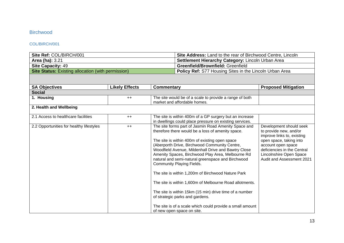## <span id="page-13-0"></span>Birchwood

#### <span id="page-13-1"></span>COL/BIRCH/001

| Site Ref: COL/BIRCH/001                                   |                       |                                                                                                                    | <b>Site Address:</b> Land to the rear of Birchwood Centre, Lincoln                                                                                                                                                                                                                                                                                                                                                                                                                                                                                                                                                                                                                                                          |                                                                                                                                                                                                                         |
|-----------------------------------------------------------|-----------------------|--------------------------------------------------------------------------------------------------------------------|-----------------------------------------------------------------------------------------------------------------------------------------------------------------------------------------------------------------------------------------------------------------------------------------------------------------------------------------------------------------------------------------------------------------------------------------------------------------------------------------------------------------------------------------------------------------------------------------------------------------------------------------------------------------------------------------------------------------------------|-------------------------------------------------------------------------------------------------------------------------------------------------------------------------------------------------------------------------|
| Area (ha): 3.21                                           |                       |                                                                                                                    | Settlement Hierarchy Category: Lincoln Urban Area                                                                                                                                                                                                                                                                                                                                                                                                                                                                                                                                                                                                                                                                           |                                                                                                                                                                                                                         |
| <b>Site Capacity: 49</b>                                  |                       |                                                                                                                    | Greenfield/Brownfield: Greenfield                                                                                                                                                                                                                                                                                                                                                                                                                                                                                                                                                                                                                                                                                           |                                                                                                                                                                                                                         |
| <b>Site Status: Existing allocation (with permission)</b> |                       |                                                                                                                    | Policy Ref: S77 Housing Sites in the Lincoln Urban Area                                                                                                                                                                                                                                                                                                                                                                                                                                                                                                                                                                                                                                                                     |                                                                                                                                                                                                                         |
|                                                           |                       |                                                                                                                    |                                                                                                                                                                                                                                                                                                                                                                                                                                                                                                                                                                                                                                                                                                                             |                                                                                                                                                                                                                         |
| <b>SA Objectives</b>                                      | <b>Likely Effects</b> | <b>Commentary</b>                                                                                                  |                                                                                                                                                                                                                                                                                                                                                                                                                                                                                                                                                                                                                                                                                                                             | <b>Proposed Mitigation</b>                                                                                                                                                                                              |
| <b>Social</b>                                             |                       |                                                                                                                    |                                                                                                                                                                                                                                                                                                                                                                                                                                                                                                                                                                                                                                                                                                                             |                                                                                                                                                                                                                         |
| 1. Housing                                                | $++$                  |                                                                                                                    | The site would be of a scale to provide a range of both<br>market and affordable homes.                                                                                                                                                                                                                                                                                                                                                                                                                                                                                                                                                                                                                                     |                                                                                                                                                                                                                         |
| 2. Health and Wellbeing                                   |                       |                                                                                                                    |                                                                                                                                                                                                                                                                                                                                                                                                                                                                                                                                                                                                                                                                                                                             |                                                                                                                                                                                                                         |
| 2.1 Access to healthcare facilities                       | $++$                  | The site is within 400m of a GP surgery but an increase<br>in dwellings could place pressure on existing services. |                                                                                                                                                                                                                                                                                                                                                                                                                                                                                                                                                                                                                                                                                                                             |                                                                                                                                                                                                                         |
| 2.2 Opportunities for healthy lifestyles                  | $++$                  |                                                                                                                    | The site forms part of Jasmin Road Amenity Space and<br>therefore there would be a loss of amenity space.<br>The site is within 400m of existing open space<br>(Aberporth Drive, Birchwood Community Centre,<br>Woodfield Avenue, Mildenhall Drive and Bawtry Close<br>Amenity Spaces, Birchwood Play Area, Melbourne Rd<br>natural and semi-natural greenspace and Birchwood<br><b>Community Playing Fields.</b><br>The site is within 1,200m of Birchwood Nature Park<br>The site is within 1,600m of Melbourne Road allotments.<br>The site is within 15km (15 min) drive time of a number<br>of strategic parks and gardens.<br>The site is of a scale which could provide a small amount<br>of new open space on site. | Development should seek<br>to provide new, and/or<br>improve links to, existing<br>open space, taking into<br>account open space<br>deficiencies in the Central<br>Lincolnshire Open Space<br>Audit and Assessment 2021 |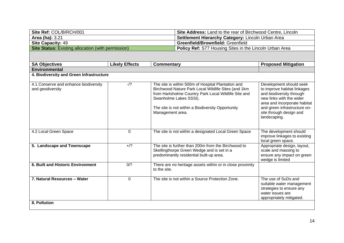| Site Ref: COL/BIRCH/001                                   | <b>Site Address: Land to the rear of Birchwood Centre, Lincoln</b> |
|-----------------------------------------------------------|--------------------------------------------------------------------|
| <b>Area (ha): 3.21</b>                                    | <b>Settlement Hierarchy Category: Lincoln Urban Area</b>           |
| <b>Site Capacity: 49</b>                                  | <b>Greenfield/Brownfield: Greenfield</b>                           |
| <b>Site Status:</b> Existing allocation (with permission) | <b>Policy Ref:</b> S77 Housing Sites in the Lincoln Urban Area     |

| <b>SA Objectives</b>                                      | <b>Likely Effects</b>                    | <b>Commentary</b>                                                                                                                                                                                                                                                    | <b>Proposed Mitigation</b>                                                                                                                                                                                                |  |  |  |
|-----------------------------------------------------------|------------------------------------------|----------------------------------------------------------------------------------------------------------------------------------------------------------------------------------------------------------------------------------------------------------------------|---------------------------------------------------------------------------------------------------------------------------------------------------------------------------------------------------------------------------|--|--|--|
| <b>Environmental</b>                                      |                                          |                                                                                                                                                                                                                                                                      |                                                                                                                                                                                                                           |  |  |  |
|                                                           | 4. Biodiversity and Green Infrastructure |                                                                                                                                                                                                                                                                      |                                                                                                                                                                                                                           |  |  |  |
| 4.1 Conserve and enhance biodiversity<br>and geodiversity | $-1$ ?                                   | The site is within 500m of Hospital Plantation and<br>Birchwood Nature Park Local Wildlife Sites (and 1km<br>from Hartsholme Country Park Local Wildlife Site and<br>Swanholme Lakes SSSI).<br>The site is not within a Biodiversity Opportunity<br>Management area. | Development should seek<br>to improve habitat linkages<br>and biodiversity through<br>new links with the wider<br>area and incorporate habitat<br>and green infrastructure on-<br>site through design and<br>landscaping. |  |  |  |
| 4.2 Local Green Space                                     | $\mathbf 0$                              | The site is not within a designated Local Green Space                                                                                                                                                                                                                | The development should<br>improve linkages to existing<br>local green space.                                                                                                                                              |  |  |  |
| 5. Landscape and Townscape                                | $+$ /?                                   | The site is further than 200m from the Birchwood to<br>Skellingthorpe Green Wedge and is set in a<br>predominantly residential built-up area.                                                                                                                        | Appropriate design, layout,<br>scale and massing to<br>ensure any impact on green<br>wedge is limited                                                                                                                     |  |  |  |
| 6. Built and Historic Environment                         | 0/?                                      | There are no heritage assets within or in close proximity<br>to the site.                                                                                                                                                                                            |                                                                                                                                                                                                                           |  |  |  |
| 7. Natural Resources - Water<br>8. Pollution              | $\Omega$                                 | The site is not within a Source Protection Zone.                                                                                                                                                                                                                     | The use of SuDs and<br>suitable water management<br>strategies to ensure any<br>water issues are<br>appropriately mitigated.                                                                                              |  |  |  |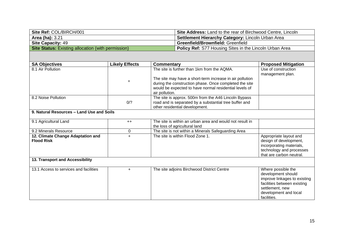| Site Ref: COL/BIRCH/001                                   | <b>Site Address:</b> Land to the rear of Birchwood Centre, Lincoln |
|-----------------------------------------------------------|--------------------------------------------------------------------|
| <b>Area (ha):</b> 3.21                                    | Settlement Hierarchy Category: Lincoln Urban Area                  |
| <b>Site Capacity: 49</b>                                  | <b>Greenfield/Brownfield: Greenfield</b>                           |
| <b>Site Status:</b> Existing allocation (with permission) | <b>Policy Ref:</b> S77 Housing Sites in the Lincoln Urban Area     |

| <b>SA Objectives</b>                      | <b>Likely Effects</b> | <b>Commentary</b>                                                      | <b>Proposed Mitigation</b>                           |
|-------------------------------------------|-----------------------|------------------------------------------------------------------------|------------------------------------------------------|
| 8.1 Air Pollution                         |                       | The site is further than 1km from the AQMA.                            | Use of construction<br>management plan.              |
|                                           | $\ddot{}$             | The site may have a short-term increase in air pollution               |                                                      |
|                                           |                       | during the construction phase. Once completed the site                 |                                                      |
|                                           |                       | would be expected to have normal residential levels of                 |                                                      |
| 8.2 Noise Pollution                       |                       | air pollution.<br>The site is approx. 500m from the A46 Lincoln Bypass |                                                      |
|                                           | 0/2                   | road and is separated by a substantial tree buffer and                 |                                                      |
|                                           |                       | other residential development.                                         |                                                      |
| 9. Natural Resources - Land Use and Soils |                       |                                                                        |                                                      |
|                                           |                       |                                                                        |                                                      |
| 9.1 Agricultural Land                     | $++$                  | The site is within an urban area and would not result in               |                                                      |
|                                           |                       | the loss of agricultural land                                          |                                                      |
| 9.2 Minerals Resource                     | 0                     | The site is not within a Minerals Safeguarding Area                    |                                                      |
| 12. Climate Change Adaptation and         | $\ddot{}$             | The site is within Flood Zone 1.                                       | Appropriate layout and                               |
| <b>Flood Risk</b>                         |                       |                                                                        | design of development,                               |
|                                           |                       |                                                                        | incorporating materials,<br>technology and processes |
|                                           |                       |                                                                        | that are carbon neutral.                             |
| 13. Transport and Accessibility           |                       |                                                                        |                                                      |
|                                           |                       |                                                                        |                                                      |
| 13.1 Access to services and facilities    | $+$                   | The site adjoins Birchwood District Centre                             | Where possible the                                   |
|                                           |                       |                                                                        | development should                                   |
|                                           |                       |                                                                        | improve linkages to existing                         |
|                                           |                       |                                                                        | facilities between existing                          |
|                                           |                       |                                                                        | settlement, new                                      |
|                                           |                       |                                                                        | development and local                                |
|                                           |                       |                                                                        | facilities.                                          |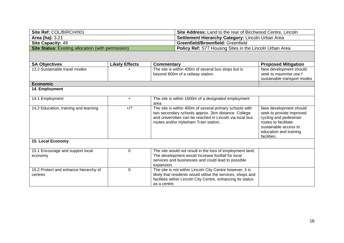| Site Ref: COL/BIRCH/001                                   | <b>Site Address:</b> Land to the rear of Birchwood Centre, Lincoln |
|-----------------------------------------------------------|--------------------------------------------------------------------|
| <b>Area (ha): 3.21</b>                                    | <b>Settlement Hierarchy Category: Lincoln Urban Area</b>           |
| <b>Site Capacity: 49</b>                                  | Greenfield/Brownfield: Greenfield                                  |
| <b>Site Status:</b> Existing allocation (with permission) | <b>Policy Ref:</b> S77 Housing Sites in the Lincoln Urban Area     |

| <b>SA Objectives</b>                             | <b>Likely Effects</b> | <b>Commentary</b>                                                                                                                                                                                                  | <b>Proposed Mitigation</b>                                                                                                                                             |
|--------------------------------------------------|-----------------------|--------------------------------------------------------------------------------------------------------------------------------------------------------------------------------------------------------------------|------------------------------------------------------------------------------------------------------------------------------------------------------------------------|
| 13.2 Sustainable travel modes                    |                       | The site is within 400m of several bus stops but is<br>beyond 800m of a railway station.                                                                                                                           | New development should<br>seek to maximise use f<br>sustainable transport modes                                                                                        |
| <b>Economic</b>                                  |                       |                                                                                                                                                                                                                    |                                                                                                                                                                        |
| 14. Employment                                   |                       |                                                                                                                                                                                                                    |                                                                                                                                                                        |
| 14.1 Employment                                  | $\ddot{}$             | The site is within 1600m of a designated employment<br>area                                                                                                                                                        |                                                                                                                                                                        |
| 14.2 Education, training and learning            | $+$ /?                | The site is within 400m of several primary schools with<br>two secondary schools approx. 2km distance. College<br>and universities can be reached in Lincoln via local bus<br>routes and/or Hykeham Train station. | New development should<br>seek to provide improved<br>cycling and pedestrian<br>routes to facilitate<br>sustainable access to<br>education and training<br>facilities. |
| <b>15. Local Economy</b>                         |                       |                                                                                                                                                                                                                    |                                                                                                                                                                        |
| 15.1 Encourage and support local<br>economy      | $\Omega$              | The site would not result in the loss of employment land.<br>The development would increase footfall for local<br>services and businesses and could lead to possible<br>expansion.                                 |                                                                                                                                                                        |
| 15.2 Protect and enhance hierarchy of<br>centres | $\Omega$              | The site is not within Lincoln City Centre however, it is<br>likely that residents would utilise the services, shops and<br>facilities within Lincoln City Centre, enhancing its status<br>as a centre.            |                                                                                                                                                                        |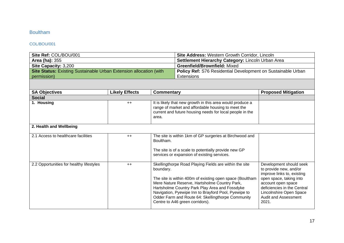## <span id="page-17-0"></span>Boultham

#### <span id="page-17-1"></span>COL/BOU/001

| Site Ref: COL/BOU/001                                                     |                       | Site Address: Western Growth Corridor, Lincoln    |                                                                                                                                                                                                                                                                                                                                                                       |                                                                                                                                                                                                                                    |
|---------------------------------------------------------------------------|-----------------------|---------------------------------------------------|-----------------------------------------------------------------------------------------------------------------------------------------------------------------------------------------------------------------------------------------------------------------------------------------------------------------------------------------------------------------------|------------------------------------------------------------------------------------------------------------------------------------------------------------------------------------------------------------------------------------|
| <b>Area (ha): 355</b>                                                     |                       | Settlement Hierarchy Category: Lincoln Urban Area |                                                                                                                                                                                                                                                                                                                                                                       |                                                                                                                                                                                                                                    |
| Site Capacity: 3,200                                                      |                       |                                                   | <b>Greenfield/Brownfield: Mixed</b>                                                                                                                                                                                                                                                                                                                                   |                                                                                                                                                                                                                                    |
| <b>Site Status: Existing Sustainable Urban Extension allocation (with</b> |                       |                                                   | Policy Ref: S76 Residential Development on Sustainable Urban                                                                                                                                                                                                                                                                                                          |                                                                                                                                                                                                                                    |
| permission)                                                               |                       |                                                   | <b>Extensions</b>                                                                                                                                                                                                                                                                                                                                                     |                                                                                                                                                                                                                                    |
|                                                                           |                       |                                                   |                                                                                                                                                                                                                                                                                                                                                                       |                                                                                                                                                                                                                                    |
| <b>SA Objectives</b>                                                      | <b>Likely Effects</b> | <b>Commentary</b>                                 |                                                                                                                                                                                                                                                                                                                                                                       | <b>Proposed Mitigation</b>                                                                                                                                                                                                         |
| <b>Social</b>                                                             |                       |                                                   |                                                                                                                                                                                                                                                                                                                                                                       |                                                                                                                                                                                                                                    |
| 1. Housing                                                                | $++$                  | area.                                             | It is likely that new growth in this area would produce a<br>range of market and affordable housing to meet the<br>current and future housing needs for local people in the                                                                                                                                                                                           |                                                                                                                                                                                                                                    |
| 2. Health and Wellbeing                                                   |                       |                                                   |                                                                                                                                                                                                                                                                                                                                                                       |                                                                                                                                                                                                                                    |
| 2.1 Access to healthcare facilities                                       | $++$                  | Boultham.                                         | The site is within 1km of GP surgeries at Birchwood and                                                                                                                                                                                                                                                                                                               |                                                                                                                                                                                                                                    |
|                                                                           |                       |                                                   | The site is of a scale to potentially provide new GP<br>services or expansion of existing services.                                                                                                                                                                                                                                                                   |                                                                                                                                                                                                                                    |
| 2.2 Opportunities for healthy lifestyles                                  | $++$                  | boundary.                                         | Skellingthorpe Road Playing Fields are within the site<br>The site is within 400m of existing open space (Boultham<br>Mere Nature Reserve, Hartsholme Country Park,<br>Hartsholme Country Park Play Area and Fossdyke<br>Navigation, Pyewipe Inn to Brayford Pool, Pyewipe to<br>Odder Farm and Route 64: Skellingthorpe Community<br>Centre to A46 green corridors). | Development should seek<br>to provide new, and/or<br>improve links to, existing<br>open space, taking into<br>account open space<br>deficiencies in the Central<br>Lincolnshire Open Space<br><b>Audit and Assessment</b><br>2021. |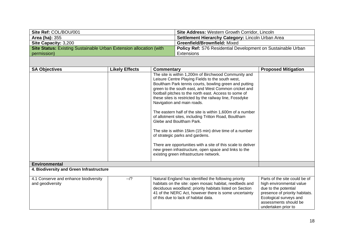| Site Ref: COL/BOU/001                                                     | <b>Site Address: Western Growth Corridor, Lincoln</b>               |
|---------------------------------------------------------------------------|---------------------------------------------------------------------|
| <b>Area (ha): 355</b>                                                     | Settlement Hierarchy Category: Lincoln Urban Area                   |
| <b>Site Capacity: 3,200</b>                                               | <b>Greenfield/Brownfield: Mixed</b>                                 |
| <b>Site Status:</b> Existing Sustainable Urban Extension allocation (with | <b>Policy Ref: S76 Residential Development on Sustainable Urban</b> |
| permission)                                                               | Extensions                                                          |

| <b>SA Objectives</b>                     | <b>Likely Effects</b> | Commentary                                                                                                       | <b>Proposed Mitigation</b>                               |
|------------------------------------------|-----------------------|------------------------------------------------------------------------------------------------------------------|----------------------------------------------------------|
|                                          |                       | The site is within 1,200m of Birchwood Community and                                                             |                                                          |
|                                          |                       | Leisure Centre Playing Fields to the south west,                                                                 |                                                          |
|                                          |                       | Boultham Park tennis courts, bowling green and putting                                                           |                                                          |
|                                          |                       | green to the south east, and West Common cricket and                                                             |                                                          |
|                                          |                       | football pitches to the north east. Access to some of<br>these sites is restricted by the railway line, Fossdyke |                                                          |
|                                          |                       | Navigation and main roads.                                                                                       |                                                          |
|                                          |                       | The eastern half of the site is within 1,600m of a number                                                        |                                                          |
|                                          |                       | of allotment sites, including Tritton Road, Boultham<br>Glebe and Boultham Park.                                 |                                                          |
|                                          |                       | The site is within 15km (15 min) drive time of a number                                                          |                                                          |
|                                          |                       | of strategic parks and gardens.                                                                                  |                                                          |
|                                          |                       | There are opportunities with a site of this scale to deliver                                                     |                                                          |
|                                          |                       | new green infrastructure, open space and links to the                                                            |                                                          |
|                                          |                       | existing green infrastructure network.                                                                           |                                                          |
| <b>Environmental</b>                     |                       |                                                                                                                  |                                                          |
| 4. Biodiversity and Green Infrastructure |                       |                                                                                                                  |                                                          |
| 4.1 Conserve and enhance biodiversity    | $-1$ ?                | Natural England has identified the following priority                                                            | Parts of the site could be of                            |
| and geodiversity                         |                       | habitats on the site: open mosaic habitat, reedbeds and                                                          | high environmental value                                 |
|                                          |                       | deciduous woodland; priority habitats listed on Section                                                          | due to the potential                                     |
|                                          |                       | 41 of the NERC Act, however there is some uncertainty<br>of this due to lack of habitat data.                    | presence of priority habitats.<br>Ecological surveys and |
|                                          |                       |                                                                                                                  | assessments should be                                    |
|                                          |                       |                                                                                                                  | undertaken prior to                                      |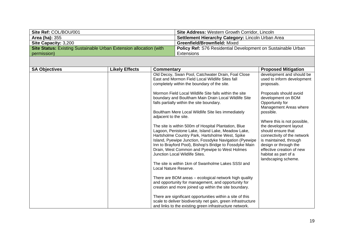| Site Ref: COL/BOU/001                                                     | <b>Site Address: Western Growth Corridor, Lincoln</b>               |
|---------------------------------------------------------------------------|---------------------------------------------------------------------|
| <b>Area (ha): 355</b>                                                     | Settlement Hierarchy Category: Lincoln Urban Area                   |
| <b>Site Capacity: 3,200</b>                                               | <b>Greenfield/Brownfield: Mixed</b>                                 |
| <b>Site Status:</b> Existing Sustainable Urban Extension allocation (with | <b>Policy Ref: S76 Residential Development on Sustainable Urban</b> |
| permission)                                                               | Extensions                                                          |

| <b>SA Objectives</b> | <b>Likely Effects</b> | <b>Commentary</b>                                                                                                                                                                                                                                                                                                                                                                             | <b>Proposed Mitigation</b>                                                                                                                                                                                                                |
|----------------------|-----------------------|-----------------------------------------------------------------------------------------------------------------------------------------------------------------------------------------------------------------------------------------------------------------------------------------------------------------------------------------------------------------------------------------------|-------------------------------------------------------------------------------------------------------------------------------------------------------------------------------------------------------------------------------------------|
|                      |                       | Old Decoy, Swan Pool, Catchwater Drain, Foal Close<br>East and Mormon Field Local Wildlife Sites fall<br>completely within the boundary of the site.                                                                                                                                                                                                                                          | development and should be<br>used to inform development<br>proposals.                                                                                                                                                                     |
|                      |                       | Mormon Field Local Wildlife Site falls within the site<br>boundary and Boultham Main Drain Local Wildlife Site<br>falls partially within the site boundary.<br>Boultham Mere Local Wildlife Site lies immediately                                                                                                                                                                             | Proposals should avoid<br>development on BOM<br>Opportunity for<br>Management Areas where<br>possible.                                                                                                                                    |
|                      |                       | adjacent to the site.<br>The site is within 500m of Hospital Plantation, Blue<br>Lagoon, Penistone Lake, Island Lake, Meadow Lake,<br>Hartsholme Country Park, Hartsholme West, Spike<br>Island, Pyewipe Junction, Fossdyke Navigation (Pyewipe<br>Inn to Brayford Pool), Bishop's Bridge to Fossdyke Main<br>Drain, West Common and Pyewipe to West Holmes<br>Junction Local Wildlife Sites. | Where this is not possible,<br>the development layout<br>should ensure that<br>connectivity of the network<br>is maintained, through<br>design or through the<br>effective creation of new<br>habitat as part of a<br>landscaping scheme. |
|                      |                       | The site is within 1km of Swanholme Lakes SSSI and<br>Local Nature Reserve.                                                                                                                                                                                                                                                                                                                   |                                                                                                                                                                                                                                           |
|                      |                       | There are BOM areas - ecological network high quality<br>and opportunity for management, and opportunity for<br>creation and more joined up within the site boundary.                                                                                                                                                                                                                         |                                                                                                                                                                                                                                           |
|                      |                       | There are significant opportunities within a site of this<br>scale to deliver biodiversity net gain, green infrastructure<br>and links to the existing green infrastructure network.                                                                                                                                                                                                          |                                                                                                                                                                                                                                           |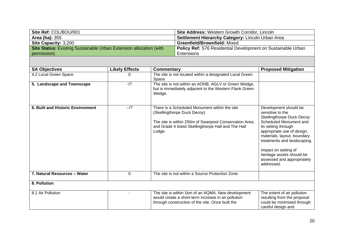| Site Ref: COL/BOU/001                                              | <b>Site Address: Western Growth Corridor, Lincoln</b>        |
|--------------------------------------------------------------------|--------------------------------------------------------------|
| <b>Area (ha): 355</b>                                              | Settlement Hierarchy Category: Lincoln Urban Area            |
| <b>Site Capacity: 3,200</b>                                        | <b>Greenfield/Brownfield: Mixed</b>                          |
| Site Status: Existing Sustainable Urban Extension allocation (with | Policy Ref: S76 Residential Development on Sustainable Urban |
| permission)                                                        | Extensions                                                   |

| <b>SA Objectives</b>                     | <b>Likely Effects</b> | Commentary                                                                                                                                                                                                | <b>Proposed Mitigation</b>                                                                                                                                                                                                                                                                                                  |
|------------------------------------------|-----------------------|-----------------------------------------------------------------------------------------------------------------------------------------------------------------------------------------------------------|-----------------------------------------------------------------------------------------------------------------------------------------------------------------------------------------------------------------------------------------------------------------------------------------------------------------------------|
| 4.2 Local Green Space                    | 0                     | The site is not located within a designated Local Green<br>Space.                                                                                                                                         |                                                                                                                                                                                                                                                                                                                             |
| 5. Landscape and Townscape               | $-1$ ?                | The site is not within an AONB, AGLV or Green Wedge,<br>but is immediately adjacent to the Western Flank Green<br>Wedge.                                                                                  |                                                                                                                                                                                                                                                                                                                             |
| <b>6. Built and Historic Environment</b> | $-1$ ?                | There is a Scheduled Monument within the site<br>(Skellingthorpe Duck Decoy).<br>The site is within 250m of Swanpool Conservation Area,<br>and Grade II listed Skellingthorpe Hall and The Hall<br>Lodge. | Development should be<br>sensitive to the<br><b>Skellingthorpe Duck Decoy</b><br>Scheduled Monument and<br>its setting through<br>appropriate use of design,<br>materials, layout, boundary<br>treatments and landscaping.<br>Impact on setting of<br>heritage assets should be<br>assessed and appropriately<br>addressed. |
| 7. Natural Resources - Water             | 0                     | The site is not within a Source Protection Zone.                                                                                                                                                          |                                                                                                                                                                                                                                                                                                                             |
| 8. Pollution                             |                       |                                                                                                                                                                                                           |                                                                                                                                                                                                                                                                                                                             |
| 8.1 Air Pollution                        |                       | The site is within 1km of an AQMA. New development<br>would create a short-term increase in air pollution<br>through construction of the site. Once built the                                             | The extent of air pollution<br>resulting from the proposal<br>could be minimised through<br>careful design and                                                                                                                                                                                                              |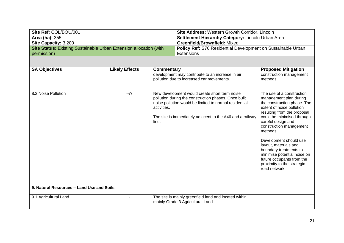| Site Ref: COL/BOU/001                                              | <b>Site Address: Western Growth Corridor, Lincoln</b>               |
|--------------------------------------------------------------------|---------------------------------------------------------------------|
| <b>Area (ha): 355</b>                                              | Settlement Hierarchy Category: Lincoln Urban Area                   |
| <b>Site Capacity: 3,200</b>                                        | <b>Greenfield/Brownfield: Mixed</b>                                 |
| Site Status: Existing Sustainable Urban Extension allocation (with | <b>Policy Ref: S76 Residential Development on Sustainable Urban</b> |
| permission)                                                        | Extensions                                                          |

| <b>SA Objectives</b>                      | <b>Likely Effects</b> | Commentary                                                                                                                                                                                                                                           | <b>Proposed Mitigation</b>                                                                                                                                                                                                                                                                                                                                                                                                       |
|-------------------------------------------|-----------------------|------------------------------------------------------------------------------------------------------------------------------------------------------------------------------------------------------------------------------------------------------|----------------------------------------------------------------------------------------------------------------------------------------------------------------------------------------------------------------------------------------------------------------------------------------------------------------------------------------------------------------------------------------------------------------------------------|
|                                           |                       | development may contribute to an increase in air<br>pollution due to increased car movements.                                                                                                                                                        | construction management<br>methods                                                                                                                                                                                                                                                                                                                                                                                               |
| 8.2 Noise Pollution                       | $-1$ ?                | New development would create short term noise<br>pollution during the construction phases. Once built<br>noise pollution would be limited to normal residential<br>activities.<br>The site is immediately adjacent to the A46 and a railway<br>line. | The use of a construction<br>management plan during<br>the construction phase. The<br>extent of noise pollution<br>resulting from the proposal<br>could be minimised through<br>careful design and<br>construction management<br>methods.<br>Development should use<br>layout, materials and<br>boundary treatments to<br>minimise potential noise on<br>future occupants from the<br>proximity to the strategic<br>road network |
| 9. Natural Resources - Land Use and Soils |                       |                                                                                                                                                                                                                                                      |                                                                                                                                                                                                                                                                                                                                                                                                                                  |
| 9.1 Agricultural Land                     |                       | The site is mainly greenfield land and located within<br>mainly Grade 3 Agricultural Land.                                                                                                                                                           |                                                                                                                                                                                                                                                                                                                                                                                                                                  |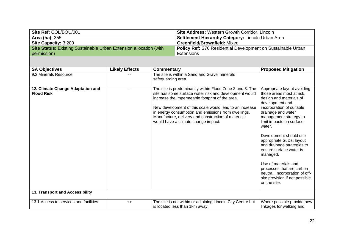| Site Ref: COL/BOU/001                                              | <b>Site Address: Western Growth Corridor, Lincoln</b>               |
|--------------------------------------------------------------------|---------------------------------------------------------------------|
| <b>Area (ha):</b> 355                                              | Settlement Hierarchy Category: Lincoln Urban Area                   |
| <b>Site Capacity: 3,200</b>                                        | <b>Greenfield/Brownfield: Mixed</b>                                 |
| Site Status: Existing Sustainable Urban Extension allocation (with | <b>Policy Ref: S76 Residential Development on Sustainable Urban</b> |
| permission)                                                        | Extensions                                                          |

| <b>SA Objectives</b>                                   | <b>Likely Effects</b> | <b>Commentary</b>                                                                                                                                                                                                                                                                                                                                                                     | <b>Proposed Mitigation</b>                                                                                                                                                                                                                                                                                                                                                                                                                                                                    |
|--------------------------------------------------------|-----------------------|---------------------------------------------------------------------------------------------------------------------------------------------------------------------------------------------------------------------------------------------------------------------------------------------------------------------------------------------------------------------------------------|-----------------------------------------------------------------------------------------------------------------------------------------------------------------------------------------------------------------------------------------------------------------------------------------------------------------------------------------------------------------------------------------------------------------------------------------------------------------------------------------------|
| 9.2 Minerals Resource                                  |                       | The site is within a Sand and Gravel minerals<br>safeguarding area.                                                                                                                                                                                                                                                                                                                   |                                                                                                                                                                                                                                                                                                                                                                                                                                                                                               |
| 12. Climate Change Adaptation and<br><b>Flood Risk</b> |                       | The site is predominantly within Flood Zone 2 and 3. The<br>site has some surface water risk and development would<br>increase the impermeable footprint of the area.<br>New development of this scale would lead to an increase<br>in energy consumption and emissions from dwellings.<br>Manufacture, delivery and construction of materials<br>would have a climate change impact. | Appropriate layout avoiding<br>those areas most at risk,<br>design and materials of<br>development and<br>incorporation of suitable<br>drainage and water<br>management strategy to<br>limit impacts on surface<br>water.<br>Development should use<br>appropriate SuDs, layout<br>and drainage strategies to<br>ensure surface water is<br>managed.<br>Use of materials and<br>processes that are carbon<br>neutral. Incorporation of off-<br>site provision if not possible<br>on the site. |
| 13. Transport and Accessibility                        |                       |                                                                                                                                                                                                                                                                                                                                                                                       |                                                                                                                                                                                                                                                                                                                                                                                                                                                                                               |
| 13.1 Access to services and facilities                 | $++$                  | The site is not within or adjoining Lincoln City Centre but<br>is located less than 1km away.                                                                                                                                                                                                                                                                                         | Where possible provide new<br>linkages for walking and                                                                                                                                                                                                                                                                                                                                                                                                                                        |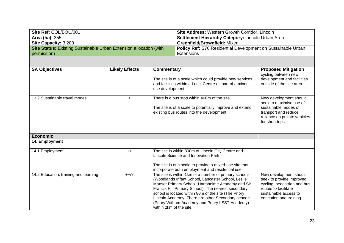| Site Ref: COL/BOU/001                                                     | <b>Site Address: Western Growth Corridor, Lincoln</b>        |
|---------------------------------------------------------------------------|--------------------------------------------------------------|
| <b>Area (ha): 355</b>                                                     | Settlement Hierarchy Category: Lincoln Urban Area            |
| <b>Site Capacity: 3,200</b>                                               | <b>Greenfield/Brownfield: Mixed</b>                          |
| <b>Site Status:</b> Existing Sustainable Urban Extension allocation (with | Policy Ref: S76 Residential Development on Sustainable Urban |
| permission)                                                               | Extensions                                                   |

| <b>SA Objectives</b>                  | <b>Likely Effects</b> | <b>Commentary</b>                                                                                                                                                                                                                                                                                                                                                                                                   | <b>Proposed Mitigation</b>                                                                                                                                    |
|---------------------------------------|-----------------------|---------------------------------------------------------------------------------------------------------------------------------------------------------------------------------------------------------------------------------------------------------------------------------------------------------------------------------------------------------------------------------------------------------------------|---------------------------------------------------------------------------------------------------------------------------------------------------------------|
|                                       |                       | The site is of a scale which could provide new services<br>and facilities within a Local Centre as part of a mixed-<br>use development.                                                                                                                                                                                                                                                                             | cycling between new<br>development and facilities<br>outside of the site area.                                                                                |
| 13.2 Sustainable travel modes         | $\ddot{}$             | There is a bus stop within 400m of the site.<br>The site is of a scale to potentially improve and extend<br>existing bus routes into the development.                                                                                                                                                                                                                                                               | New development should<br>seek to maximise use of<br>sustainable modes of<br>transport and reduce<br>reliance on private vehicles<br>for short trips.         |
| <b>Economic</b>                       |                       |                                                                                                                                                                                                                                                                                                                                                                                                                     |                                                                                                                                                               |
| 14. Employment                        |                       |                                                                                                                                                                                                                                                                                                                                                                                                                     |                                                                                                                                                               |
| 14.1 Employment                       | $++$                  | The site is within 800m of Lincoln City Centre and<br>Lincoln Science and Innovation Park.<br>The site is of a scale to provide a mixed-use site that<br>incorporate both employment and residential use.                                                                                                                                                                                                           |                                                                                                                                                               |
| 14.2 Education, training and learning | $++/?$                | The site is within 1km of a number of primary schools<br>(Woodlands Infant School, Lancaster School, Leslie<br>Manser Primary School, Hartsholme Academy and Sir<br>Francis Hill Primary School). The nearest secondary<br>school is located within 80m of the site (The Priory<br>Lincoln Academy. There are other Secondary schools<br>(Priory Witham Academy and Priory LSST Academy)<br>within 2km of the site. | New development should<br>seek to provide improved<br>cycling, pedestrian and bus<br>routes to facilitate<br>sustainable access to<br>education and training. |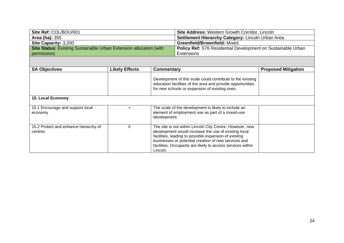| Site Ref: COL/BOU/001                                              | <b>Site Address: Western Growth Corridor, Lincoln</b>        |
|--------------------------------------------------------------------|--------------------------------------------------------------|
| <b>Area (ha): 355</b>                                              | Settlement Hierarchy Category: Lincoln Urban Area            |
| Site Capacity: 3,200                                               | <b>Greenfield/Brownfield: Mixed</b>                          |
| Site Status: Existing Sustainable Urban Extension allocation (with | Policy Ref: S76 Residential Development on Sustainable Urban |
| permission)                                                        | Extensions                                                   |

| <b>SA Objectives</b>                             | <b>Likely Effects</b> | Commentary                                                                                                                                                                                                                                                                                                  | <b>Proposed Mitigation</b> |
|--------------------------------------------------|-----------------------|-------------------------------------------------------------------------------------------------------------------------------------------------------------------------------------------------------------------------------------------------------------------------------------------------------------|----------------------------|
|                                                  |                       | Development of this scale could contribute to the existing<br>education facilities of the area and provide opportunities<br>for new schools or expansion of existing ones.                                                                                                                                  |                            |
| 15. Local Economy                                |                       |                                                                                                                                                                                                                                                                                                             |                            |
| 15.1 Encourage and support local<br>economy      |                       | The scale of the development is likely to include an<br>element of employment use as part of a mixed-use<br>development.                                                                                                                                                                                    |                            |
| 15.2 Protect and enhance hierarchy of<br>centres | $\mathbf{0}$          | The site is not within Lincoln City Centre. However, new<br>development would increase the use of existing local<br>facilities, leading to possible expansion of existing<br>businesses or potential creation of new services and<br>facilities. Occupants are likely to access services within<br>Lincoln. |                            |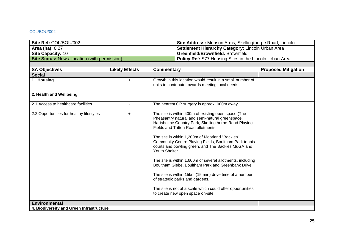#### <span id="page-25-0"></span>COL/BOU/002

| Site Ref: COL/BOU/002                                |                       |                                                   | Site Address: Monson Arms, Skellingthorpe Road, Lincoln                                                                                                                                                                                                                                                                                                                                                                                                                                                                                                                                                                                                                                      |                            |
|------------------------------------------------------|-----------------------|---------------------------------------------------|----------------------------------------------------------------------------------------------------------------------------------------------------------------------------------------------------------------------------------------------------------------------------------------------------------------------------------------------------------------------------------------------------------------------------------------------------------------------------------------------------------------------------------------------------------------------------------------------------------------------------------------------------------------------------------------------|----------------------------|
| Area (ha): 0.27                                      |                       | Settlement Hierarchy Category: Lincoln Urban Area |                                                                                                                                                                                                                                                                                                                                                                                                                                                                                                                                                                                                                                                                                              |                            |
| <b>Site Capacity: 10</b>                             |                       | Greenfield/Brownfield: Brownfield                 |                                                                                                                                                                                                                                                                                                                                                                                                                                                                                                                                                                                                                                                                                              |                            |
| <b>Site Status: New allocation (with permission)</b> |                       |                                                   | Policy Ref: S77 Housing Sites in the Lincoln Urban Area                                                                                                                                                                                                                                                                                                                                                                                                                                                                                                                                                                                                                                      |                            |
|                                                      |                       |                                                   |                                                                                                                                                                                                                                                                                                                                                                                                                                                                                                                                                                                                                                                                                              |                            |
| <b>SA Objectives</b>                                 | <b>Likely Effects</b> | Commentary                                        |                                                                                                                                                                                                                                                                                                                                                                                                                                                                                                                                                                                                                                                                                              | <b>Proposed Mitigation</b> |
| <b>Social</b>                                        |                       |                                                   |                                                                                                                                                                                                                                                                                                                                                                                                                                                                                                                                                                                                                                                                                              |                            |
| 1. Housing                                           | $+$                   |                                                   | Growth in this location would result in a small number of<br>units to contribute towards meeting local needs.                                                                                                                                                                                                                                                                                                                                                                                                                                                                                                                                                                                |                            |
| 2. Health and Wellbeing                              |                       |                                                   |                                                                                                                                                                                                                                                                                                                                                                                                                                                                                                                                                                                                                                                                                              |                            |
| 2.1 Access to healthcare facilities                  |                       |                                                   | The nearest GP surgery is approx. 900m away.                                                                                                                                                                                                                                                                                                                                                                                                                                                                                                                                                                                                                                                 |                            |
| 2.2 Opportunities for healthy lifestyles             | $+$                   | Youth Shelter.                                    | The site is within 400m of existing open space (The<br>Pheasantry natural and semi-natural greenspace,<br>Hartsholme Country Park, Skellingthorpe Road Playing<br>Fields and Tritton Road allotments.<br>The site is within 1,200m of Moorland "Backies"<br>Community Centre Playing Fields, Boultham Park tennis<br>courts and bowling green, and The Backies MuGA and<br>The site is within 1,600m of several allotments, including<br>Boultham Glebe, Boultham Park and Greenbank Drive.<br>The site is within 15km (15 min) drive time of a number<br>of strategic parks and gardens.<br>The site is not of a scale which could offer opportunities<br>to create new open space on-site. |                            |
| <b>Environmental</b>                                 |                       |                                                   |                                                                                                                                                                                                                                                                                                                                                                                                                                                                                                                                                                                                                                                                                              |                            |
| 4. Biodiversity and Green Infrastructure             |                       |                                                   |                                                                                                                                                                                                                                                                                                                                                                                                                                                                                                                                                                                                                                                                                              |                            |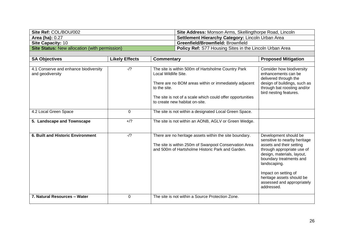| Site Ref: COL/BOU/002                                | Site Address: Monson Arms, Skellingthorpe Road, Lincoln        |
|------------------------------------------------------|----------------------------------------------------------------|
| Area (ha): $0.27$                                    | <b>Settlement Hierarchy Category: Lincoln Urban Area</b>       |
| <b>Site Capacity: 10</b>                             | <b>Greenfield/Brownfield: Brownfield</b>                       |
| <b>Site Status:</b> New allocation (with permission) | <b>Policy Ref:</b> S77 Housing Sites in the Lincoln Urban Area |

| <b>SA Objectives</b>                                      | <b>Likely Effects</b> | Commentary                                                                                                                                                                                                                                          | <b>Proposed Mitigation</b>                                                                                                                                                                                                                                                                |  |
|-----------------------------------------------------------|-----------------------|-----------------------------------------------------------------------------------------------------------------------------------------------------------------------------------------------------------------------------------------------------|-------------------------------------------------------------------------------------------------------------------------------------------------------------------------------------------------------------------------------------------------------------------------------------------|--|
| 4.1 Conserve and enhance biodiversity<br>and geodiversity | $-1$ ?                | The site is within 500m of Hartsholme Country Park<br>Local Wildlife Site.<br>There are no BOM areas within or immediately adjacent<br>to the site.<br>The site is not of a scale which could offer opportunities<br>to create new habitat on-site. | Consider how biodiversity<br>enhancements can be<br>delivered through the<br>design of buildings, such as<br>through bat roosting and/or<br>bird nesting features.                                                                                                                        |  |
| 4.2 Local Green Space                                     | 0                     | The site is not within a designated Local Green Space.                                                                                                                                                                                              |                                                                                                                                                                                                                                                                                           |  |
| 5. Landscape and Townscape                                | $+$ /?                | The site is not within an AONB, AGLV or Green Wedge.                                                                                                                                                                                                |                                                                                                                                                                                                                                                                                           |  |
| 6. Built and Historic Environment                         | $-1$ ?                | There are no heritage assets within the site boundary.<br>The site is within 250m of Swanpool Conservation Area<br>and 500m of Hartsholme Historic Park and Garden.                                                                                 | Development should be<br>sensitive to nearby heritage<br>assets and their setting<br>through appropriate use of<br>design, materials, layout,<br>boundary treatments and<br>landscaping.<br>Impact on setting of<br>heritage assets should be<br>assessed and appropriately<br>addressed. |  |
| 7. Natural Resources - Water                              | $\Omega$              | The site is not within a Source Protection Zone.                                                                                                                                                                                                    |                                                                                                                                                                                                                                                                                           |  |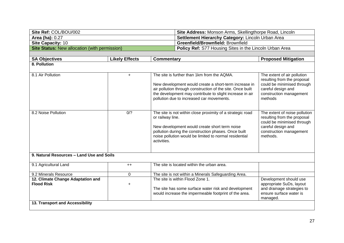| Site Ref: COL/BOU/002                                  |                       | Site Address: Monson Arms, Skellingthorpe Road, Lincoln                                                                                                                                                                                                          |                                                                                                                                                                                                                                                                             |                                                                                                                                                         |
|--------------------------------------------------------|-----------------------|------------------------------------------------------------------------------------------------------------------------------------------------------------------------------------------------------------------------------------------------------------------|-----------------------------------------------------------------------------------------------------------------------------------------------------------------------------------------------------------------------------------------------------------------------------|---------------------------------------------------------------------------------------------------------------------------------------------------------|
| <b>Area (ha): 0.27</b>                                 |                       | Settlement Hierarchy Category: Lincoln Urban Area                                                                                                                                                                                                                |                                                                                                                                                                                                                                                                             |                                                                                                                                                         |
| Site Capacity: 10                                      |                       | Greenfield/Brownfield: Brownfield                                                                                                                                                                                                                                |                                                                                                                                                                                                                                                                             |                                                                                                                                                         |
| <b>Site Status: New allocation (with permission)</b>   |                       |                                                                                                                                                                                                                                                                  | Policy Ref: S77 Housing Sites in the Lincoln Urban Area                                                                                                                                                                                                                     |                                                                                                                                                         |
|                                                        |                       |                                                                                                                                                                                                                                                                  |                                                                                                                                                                                                                                                                             |                                                                                                                                                         |
| <b>SA Objectives</b>                                   | <b>Likely Effects</b> | <b>Commentary</b>                                                                                                                                                                                                                                                | <b>Proposed Mitigation</b>                                                                                                                                                                                                                                                  |                                                                                                                                                         |
| 8. Pollution                                           |                       |                                                                                                                                                                                                                                                                  |                                                                                                                                                                                                                                                                             |                                                                                                                                                         |
| 8.1 Air Pollution                                      | $\ddot{}$             |                                                                                                                                                                                                                                                                  | The site is further than 1km from the AQMA.<br>New development would create a short-term increase in<br>air pollution through construction of the site. Once built<br>the development may contribute to slight increase in air<br>pollution due to increased car movements. | The extent of air pollution<br>resulting from the proposal<br>could be minimised through<br>careful design and<br>construction management<br>methods    |
| 8.2 Noise Pollution                                    | 0/?                   | The site is not within close proximity of a strategic road<br>or railway line.<br>New development would create short term noise<br>pollution during the construction phases. Once built<br>noise pollution would be limited to normal residential<br>activities. |                                                                                                                                                                                                                                                                             | The extent of noise pollution<br>resulting from the proposal<br>could be minimised through<br>careful design and<br>construction management<br>methods. |
| 9. Natural Resources - Land Use and Soils              |                       |                                                                                                                                                                                                                                                                  |                                                                                                                                                                                                                                                                             |                                                                                                                                                         |
| 9.1 Agricultural Land                                  | $++$                  |                                                                                                                                                                                                                                                                  | The site is located within the urban area.                                                                                                                                                                                                                                  |                                                                                                                                                         |
| 9.2 Minerals Resource                                  | 0                     | The site is not within a Minerals Safeguarding Area.                                                                                                                                                                                                             |                                                                                                                                                                                                                                                                             |                                                                                                                                                         |
| 12. Climate Change Adaptation and<br><b>Flood Risk</b> | $\ddot{}$             |                                                                                                                                                                                                                                                                  | The site is within Flood Zone 1.<br>The site has some surface water risk and development<br>would increase the impermeable footprint of the area.                                                                                                                           | Development should use<br>appropriate SuDs, layout<br>and drainage strategies to<br>ensure surface water is<br>managed.                                 |
| 13. Transport and Accessibility                        |                       |                                                                                                                                                                                                                                                                  |                                                                                                                                                                                                                                                                             |                                                                                                                                                         |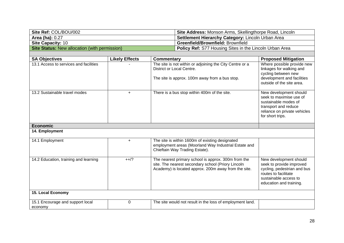| Site Ref: COL/BOU/002                                | Site Address: Monson Arms, Skellingthorpe Road, Lincoln        |
|------------------------------------------------------|----------------------------------------------------------------|
| <b>Area (ha): 0.27</b>                               | Settlement Hierarchy Category: Lincoln Urban Area              |
| <b>Site Capacity: 10</b>                             | <b>Greenfield/Brownfield: Brownfield</b>                       |
| <b>Site Status:</b> New allocation (with permission) | <b>Policy Ref:</b> S77 Housing Sites in the Lincoln Urban Area |
|                                                      |                                                                |

| <b>SA Objectives</b>                        | <b>Likely Effects</b> | <b>Commentary</b>                                                                                                                                                 | <b>Proposed Mitigation</b>                                                                                                                                    |
|---------------------------------------------|-----------------------|-------------------------------------------------------------------------------------------------------------------------------------------------------------------|---------------------------------------------------------------------------------------------------------------------------------------------------------------|
| 13.1 Access to services and facilities      |                       | The site is not within or adjoining the City Centre or a<br>District or Local Centre.<br>The site is approx. 100m away from a bus stop.                           | Where possible provide new<br>linkages for walking and<br>cycling between new<br>development and facilities                                                   |
|                                             |                       |                                                                                                                                                                   | outside of the site area.                                                                                                                                     |
| 13.2 Sustainable travel modes               | $+$                   | There is a bus stop within 400m of the site.                                                                                                                      | New development should<br>seek to maximise use of<br>sustainable modes of<br>transport and reduce<br>reliance on private vehicles<br>for short trips.         |
| <b>Economic</b>                             |                       |                                                                                                                                                                   |                                                                                                                                                               |
| 14. Employment                              |                       |                                                                                                                                                                   |                                                                                                                                                               |
| 14.1 Employment                             | $\ddot{}$             | The site is within 1600m of existing designated<br>employment areas (Moorland Way Industrial Estate and<br>Chieftain Way Trading Estate).                         |                                                                                                                                                               |
| 14.2 Education, training and learning       | $++/?$                | The nearest primary school is approx. 300m from the<br>site. The nearest secondary school (Priory Lincoln<br>Academy) is located approx. 200m away from the site. | New development should<br>seek to provide improved<br>cycling, pedestrian and bus<br>routes to facilitate<br>sustainable access to<br>education and training. |
| 15. Local Economy                           |                       |                                                                                                                                                                   |                                                                                                                                                               |
| 15.1 Encourage and support local<br>economy | $\mathbf 0$           | The site would not result in the loss of employment land.                                                                                                         |                                                                                                                                                               |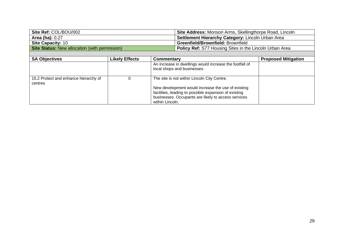| Site Ref: COL/BOU/002                                | Site Address: Monson Arms, Skellingthorpe Road, Lincoln        |
|------------------------------------------------------|----------------------------------------------------------------|
| <b>Area (ha): 0.27</b>                               | Settlement Hierarchy Category: Lincoln Urban Area              |
| <b>Site Capacity: 10</b>                             | <b>Greenfield/Brownfield: Brownfield</b>                       |
| <b>Site Status: New allocation (with permission)</b> | <b>Policy Ref: S77 Housing Sites in the Lincoln Urban Area</b> |
|                                                      |                                                                |

| <b>SA Objectives</b>                             | <b>Likely Effects</b> | Commentary                                                                                                   | <b>Proposed Mitigation</b> |
|--------------------------------------------------|-----------------------|--------------------------------------------------------------------------------------------------------------|----------------------------|
|                                                  |                       | An increase in dwellings would increase the footfall of<br>local shops and businesses.                       |                            |
| 15.2 Protect and enhance hierarchy of<br>centres |                       | The site is not within Lincoln City Centre.                                                                  |                            |
|                                                  |                       | New development would increase the use of existing                                                           |                            |
|                                                  |                       | facilities, leading to possible expansion of existing<br>businesses. Occupants are likely to access services |                            |
|                                                  |                       | within Lincoln.                                                                                              |                            |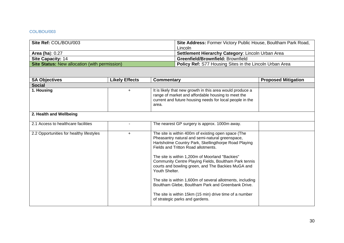#### <span id="page-30-0"></span>COL/BOU/003

| Site Ref: COL/BOU/003                                | Site Address: Former Victory Public House, Boultham Park Road, |  |
|------------------------------------------------------|----------------------------------------------------------------|--|
|                                                      | Lincoln                                                        |  |
| Area (ha): $0.27$                                    | <b>Settlement Hierarchy Category: Lincoln Urban Area</b>       |  |
| <b>Site Capacity: 14</b>                             | <b>Greenfield/Brownfield: Brownfield</b>                       |  |
| <b>Site Status: New allocation (with permission)</b> | <b>Policy Ref:</b> S77 Housing Sites in the Lincoln Urban Area |  |

| <b>SA Objectives</b>                     | <b>Likely Effects</b> | Commentary                                                                                                                                                                                                                                                                                                                                                                                                                                                                                                                                                                                                  | <b>Proposed Mitigation</b> |
|------------------------------------------|-----------------------|-------------------------------------------------------------------------------------------------------------------------------------------------------------------------------------------------------------------------------------------------------------------------------------------------------------------------------------------------------------------------------------------------------------------------------------------------------------------------------------------------------------------------------------------------------------------------------------------------------------|----------------------------|
| <b>Social</b>                            |                       |                                                                                                                                                                                                                                                                                                                                                                                                                                                                                                                                                                                                             |                            |
| 1. Housing                               | $\ddot{}$             | It is likely that new growth in this area would produce a<br>range of market and affordable housing to meet the<br>current and future housing needs for local people in the<br>area.                                                                                                                                                                                                                                                                                                                                                                                                                        |                            |
| 2. Health and Wellbeing                  |                       |                                                                                                                                                                                                                                                                                                                                                                                                                                                                                                                                                                                                             |                            |
| 2.1 Access to healthcare facilities      |                       | The nearest GP surgery is approx. 1000m away.                                                                                                                                                                                                                                                                                                                                                                                                                                                                                                                                                               |                            |
| 2.2 Opportunities for healthy lifestyles | $+$                   | The site is within 400m of existing open space (The<br>Pheasantry natural and semi-natural greenspace,<br>Hartsholme Country Park, Skellingthorpe Road Playing<br>Fields and Tritton Road allotments.<br>The site is within 1,200m of Moorland "Backies"<br>Community Centre Playing Fields, Boultham Park tennis<br>courts and bowling green, and The Backies MuGA and<br>Youth Shelter.<br>The site is within 1,600m of several allotments, including<br>Boultham Glebe, Boultham Park and Greenbank Drive.<br>The site is within 15km (15 min) drive time of a number<br>of strategic parks and gardens. |                            |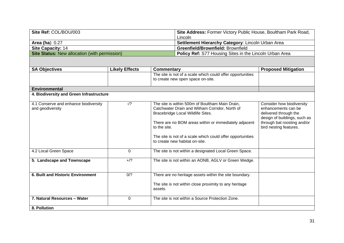| Site Ref: COL/BOU/003                         | Site Address: Former Victory Public House, Boultham Park Road, |  |
|-----------------------------------------------|----------------------------------------------------------------|--|
|                                               | Lincoln                                                        |  |
| <b>Area (ha): 0.27</b>                        | <b>Settlement Hierarchy Category: Lincoln Urban Area</b>       |  |
| <b>Site Capacity: 14</b>                      | <b>Greenfield/Brownfield: Brownfield</b>                       |  |
| Site Status: New allocation (with permission) | <b>Policy Ref:</b> S77 Housing Sites in the Lincoln Urban Area |  |

| <b>SA Objectives</b>                     | <b>Likely Effects</b> | <b>Commentary</b>                                          | <b>Proposed Mitigation</b>                                  |
|------------------------------------------|-----------------------|------------------------------------------------------------|-------------------------------------------------------------|
|                                          |                       | The site is not of a scale which could offer opportunities |                                                             |
|                                          |                       | to create new open space on-site.                          |                                                             |
|                                          |                       |                                                            |                                                             |
| <b>Environmental</b>                     |                       |                                                            |                                                             |
| 4. Biodiversity and Green Infrastructure |                       |                                                            |                                                             |
| 4.1 Conserve and enhance biodiversity    | $-1?$                 | The site is within 500m of Boultham Main Drain,            | Consider how biodiversity                                   |
| and geodiversity                         |                       | Catchwater Drain and Witham Corridor, North of             | enhancements can be                                         |
|                                          |                       | Bracebridge Local Wildlife Sites.                          | delivered through the                                       |
|                                          |                       | There are no BOM areas within or immediately adjacent      | design of buildings, such as<br>through bat roosting and/or |
|                                          |                       | to the site.                                               | bird nesting features.                                      |
|                                          |                       |                                                            |                                                             |
|                                          |                       | The site is not of a scale which could offer opportunities |                                                             |
|                                          |                       | to create new habitat on-site.                             |                                                             |
|                                          |                       |                                                            |                                                             |
| 4.2 Local Green Space                    | $\Omega$              | The site is not within a designated Local Green Space.     |                                                             |
|                                          | $+$ /?                |                                                            |                                                             |
| 5. Landscape and Townscape               |                       | The site is not within an AONB, AGLV or Green Wedge.       |                                                             |
|                                          |                       |                                                            |                                                             |
| 6. Built and Historic Environment        | 0/2                   | There are no heritage assets within the site boundary.     |                                                             |
|                                          |                       |                                                            |                                                             |
|                                          |                       | The site is not within close proximity to any heritage     |                                                             |
|                                          |                       | assets.                                                    |                                                             |
| 7. Natural Resources - Water             | $\Omega$              | The site is not within a Source Protection Zone.           |                                                             |
|                                          |                       |                                                            |                                                             |
| 8. Pollution                             |                       |                                                            |                                                             |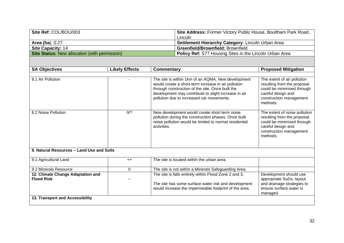| Site Ref: COL/BOU/003                                | Site Address: Former Victory Public House, Boultham Park Road, |  |
|------------------------------------------------------|----------------------------------------------------------------|--|
|                                                      | Lincoln                                                        |  |
| Area (ha): $0.27$                                    | <b>Settlement Hierarchy Category: Lincoln Urban Area</b>       |  |
| Site Capacity: 14                                    | <b>Greenfield/Brownfield: Brownfield</b>                       |  |
| <b>Site Status: New allocation (with permission)</b> | <b>Policy Ref:</b> S77 Housing Sites in the Lincoln Urban Area |  |

| <b>SA Objectives</b>                                   | <b>Likely Effects</b> | <b>Commentary</b>                                                                                                                                                                                                                                                  | <b>Proposed Mitigation</b>                                                                                                                              |
|--------------------------------------------------------|-----------------------|--------------------------------------------------------------------------------------------------------------------------------------------------------------------------------------------------------------------------------------------------------------------|---------------------------------------------------------------------------------------------------------------------------------------------------------|
|                                                        |                       |                                                                                                                                                                                                                                                                    |                                                                                                                                                         |
| 8.1 Air Pollution                                      |                       | The site is within 1km of an AQMA. New development<br>would create a short-term increase in air pollution<br>through construction of the site. Once built the<br>development may contribute to slight increase in air<br>pollution due to increased car movements. | The extent of air pollution<br>resulting from the proposal<br>could be minimised through<br>careful design and<br>construction management<br>methods    |
| 8.2 Noise Pollution                                    | 0/2                   | New development would create short term noise<br>pollution during the construction phases. Once built<br>noise pollution would be limited to normal residential<br>activities.                                                                                     | The extent of noise pollution<br>resulting from the proposal<br>could be minimised through<br>careful design and<br>construction management<br>methods. |
| 9. Natural Resources - Land Use and Soils              |                       |                                                                                                                                                                                                                                                                    |                                                                                                                                                         |
| 9.1 Agricultural Land                                  | $++$                  | The site is located within the urban area.                                                                                                                                                                                                                         |                                                                                                                                                         |
| 9.2 Minerals Resource                                  | 0                     | The site is not within a Minerals Safeguarding Area.                                                                                                                                                                                                               |                                                                                                                                                         |
| 12. Climate Change Adaptation and<br><b>Flood Risk</b> |                       | The site is falls entirely within Flood Zone 2 and 3.<br>The site has some surface water risk and development<br>would increase the impermeable footprint of the area.                                                                                             | Development should use<br>appropriate SuDs, layout<br>and drainage strategies to<br>ensure surface water is<br>managed.                                 |
| 13. Transport and Accessibility                        |                       |                                                                                                                                                                                                                                                                    |                                                                                                                                                         |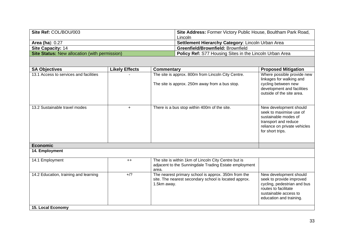| Site Ref: COL/BOU/003                                | <b>Site Address: Former Victory Public House, Boultham Park Road,</b> |  |
|------------------------------------------------------|-----------------------------------------------------------------------|--|
|                                                      | Lincoln                                                               |  |
| Area (ha): $0.27$                                    | <b>Settlement Hierarchy Category: Lincoln Urban Area</b>              |  |
| Site Capacity: 14                                    | Greenfield/Brownfield: Brownfield                                     |  |
| <b>Site Status: New allocation (with permission)</b> | <b>Policy Ref:</b> S77 Housing Sites in the Lincoln Urban Area        |  |

| <b>SA Objectives</b>                   | <b>Likely Effects</b> | <b>Commentary</b>                                                                                                           | <b>Proposed Mitigation</b>                                                                                                                                    |
|----------------------------------------|-----------------------|-----------------------------------------------------------------------------------------------------------------------------|---------------------------------------------------------------------------------------------------------------------------------------------------------------|
| 13.1 Access to services and facilities |                       | The site is approx. 800m from Lincoln City Centre.<br>The site is approx. 250m away from a bus stop.                        | Where possible provide new<br>linkages for walking and<br>cycling between new<br>development and facilities<br>outside of the site area.                      |
| 13.2 Sustainable travel modes          | $\ddot{}$             | There is a bus stop within 400m of the site.                                                                                | New development should<br>seek to maximise use of<br>sustainable modes of<br>transport and reduce<br>reliance on private vehicles<br>for short trips.         |
| <b>Economic</b>                        |                       |                                                                                                                             |                                                                                                                                                               |
| 14. Employment                         |                       |                                                                                                                             |                                                                                                                                                               |
| 14.1 Employment                        | $++$                  | The site is within 1km of Lincoln City Centre but is<br>adjacent to the Sunningdale Trading Estate employment<br>area.      |                                                                                                                                                               |
| 14.2 Education, training and learning  | $+$ /?                | The nearest primary school is approx. 350m from the<br>site. The nearest secondary school is located approx.<br>1.5km away. | New development should<br>seek to provide improved<br>cycling, pedestrian and bus<br>routes to facilitate<br>sustainable access to<br>education and training. |
| <b>15. Local Economy</b>               |                       |                                                                                                                             |                                                                                                                                                               |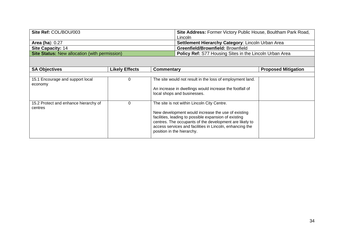| Site Ref: COL/BOU/003                                | Site Address: Former Victory Public House, Boultham Park Road, |  |
|------------------------------------------------------|----------------------------------------------------------------|--|
|                                                      | Lincoln                                                        |  |
| Area (ha): $0.27$                                    | <b>Settlement Hierarchy Category: Lincoln Urban Area</b>       |  |
| <b>Site Capacity: 14</b>                             | <b>Greenfield/Brownfield: Brownfield</b>                       |  |
| <b>Site Status: New allocation (with permission)</b> | <b>Policy Ref:</b> S77 Housing Sites in the Lincoln Urban Area |  |

| <b>SA Objectives</b>                             | <b>Likely Effects</b> | Commentary                                                                                                                                                                                                                                                       | <b>Proposed Mitigation</b> |
|--------------------------------------------------|-----------------------|------------------------------------------------------------------------------------------------------------------------------------------------------------------------------------------------------------------------------------------------------------------|----------------------------|
|                                                  |                       |                                                                                                                                                                                                                                                                  |                            |
| 15.1 Encourage and support local<br>economy      |                       | The site would not result in the loss of employment land.                                                                                                                                                                                                        |                            |
|                                                  |                       | An increase in dwellings would increase the footfall of<br>local shops and businesses.                                                                                                                                                                           |                            |
| 15.2 Protect and enhance hierarchy of<br>centres |                       | The site is not within Lincoln City Centre.                                                                                                                                                                                                                      |                            |
|                                                  |                       | New development would increase the use of existing<br>facilities, leading to possible expansion of existing<br>centres. The occupants of the development are likely to<br>access services and facilities in Lincoln, enhancing the<br>position in the hierarchy. |                            |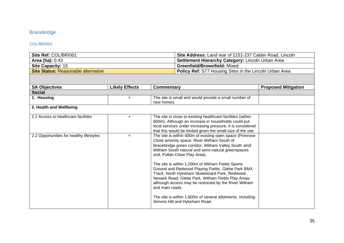## <span id="page-35-0"></span>Bracebridge

#### <span id="page-35-1"></span>COL/BR/001

| Site Ref: COL/BR/001                | Site Address: Land rear of 2151-237 Calder Road, Lincoln       |  |  |
|-------------------------------------|----------------------------------------------------------------|--|--|
| <b>Area (ha): 0.43</b>              | Settlement Hierarchy Category: Lincoln Urban Area              |  |  |
| <b>Site Capacity: 15</b>            | <b>Greenfield/Brownfield: Mixed</b>                            |  |  |
| Site Status: Reasonable alternative | <b>Policy Ref:</b> S77 Housing Sites in the Lincoln Urban Area |  |  |

| <b>SA Objectives</b>                     | <b>Likely Effects</b> | Commentary                                                                                                                                                                                                                                                                                                                                                                                                                                                                                                                                                                                                                                      | <b>Proposed Mitigation</b> |  |
|------------------------------------------|-----------------------|-------------------------------------------------------------------------------------------------------------------------------------------------------------------------------------------------------------------------------------------------------------------------------------------------------------------------------------------------------------------------------------------------------------------------------------------------------------------------------------------------------------------------------------------------------------------------------------------------------------------------------------------------|----------------------------|--|
| <b>Social</b>                            |                       |                                                                                                                                                                                                                                                                                                                                                                                                                                                                                                                                                                                                                                                 |                            |  |
| 1. Housing                               | $\ddot{}$             | The site is small and would provide a small number of<br>new homes.                                                                                                                                                                                                                                                                                                                                                                                                                                                                                                                                                                             |                            |  |
| 2. Health and Wellbeing                  |                       |                                                                                                                                                                                                                                                                                                                                                                                                                                                                                                                                                                                                                                                 |                            |  |
| 2.1 Access to healthcare facilities      | $+$                   | The site is close to existing healthcare facilities (within<br>800m). Although an increase in households could put<br>local services under increasing pressure, it is considered<br>that this would be limited given the small size of the site.                                                                                                                                                                                                                                                                                                                                                                                                |                            |  |
| 2.2 Opportunities for healthy lifestyles | $+$                   | The site is within 400m of existing open space (Primrose<br>Close amenity space, River Witham South of<br>Bracebridge green corridor, Witham Valley South and<br>Witham South natural and semi-natural greenspaces<br>and, Pullan Close Play Area).<br>The site is within 1,200m of Witham Fields Sports<br>Ground and Redwood Playing Fields, Glebe Park BMX<br>Track, North Hykeham Skateboard Park, Redwood,<br>Newark Road, Glebe Park, Witham Fields Play Areas<br>although access may be restricted by the River Witham<br>and main roads.<br>The site is within 1,600m of several allotments, including<br>Simons Hill and Hykeham Road. |                            |  |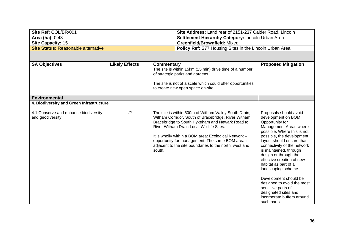| Site Ref: COL/BR/001                | Site Address: Land rear of 2151-237 Calder Road, Lincoln       |
|-------------------------------------|----------------------------------------------------------------|
| <b>Area (ha):</b> 0.43              | <b>Settlement Hierarchy Category: Lincoln Urban Area</b>       |
| <b>Site Capacity: 15</b>            | <b>Greenfield/Brownfield: Mixed</b>                            |
| Site Status: Reasonable alternative | <b>Policy Ref:</b> S77 Housing Sites in the Lincoln Urban Area |

| <b>SA Objectives</b>                                      | <b>Likely Effects</b> | <b>Commentary</b>                                                                                                                                                                                                                                                                                                                                                                            | <b>Proposed Mitigation</b>                                                                                                                                                                                                                                                                                                                                                                                                                                                                         |
|-----------------------------------------------------------|-----------------------|----------------------------------------------------------------------------------------------------------------------------------------------------------------------------------------------------------------------------------------------------------------------------------------------------------------------------------------------------------------------------------------------|----------------------------------------------------------------------------------------------------------------------------------------------------------------------------------------------------------------------------------------------------------------------------------------------------------------------------------------------------------------------------------------------------------------------------------------------------------------------------------------------------|
|                                                           |                       | The site is within 15km (15 min) drive time of a number<br>of strategic parks and gardens.                                                                                                                                                                                                                                                                                                   |                                                                                                                                                                                                                                                                                                                                                                                                                                                                                                    |
|                                                           |                       | The site is not of a scale which could offer opportunities<br>to create new open space on-site.                                                                                                                                                                                                                                                                                              |                                                                                                                                                                                                                                                                                                                                                                                                                                                                                                    |
| <b>Environmental</b>                                      |                       |                                                                                                                                                                                                                                                                                                                                                                                              |                                                                                                                                                                                                                                                                                                                                                                                                                                                                                                    |
| 4. Biodiversity and Green Infrastructure                  |                       |                                                                                                                                                                                                                                                                                                                                                                                              |                                                                                                                                                                                                                                                                                                                                                                                                                                                                                                    |
| 4.1 Conserve and enhance biodiversity<br>and geodiversity | $-1$ ?                | The site is within 500m of Witham Valley South Drain,<br>Witham Corridor, South of Bracebridge, River Witham,<br>Bracebridge to South Hykeham and Newark Road to<br>River Witham Drain Local Wildlife Sites.<br>It is wholly within a BOM area: Ecological Network -<br>opportunity for management. The same BOM area is<br>adjacent to the site boundaries to the north, west and<br>south. | Proposals should avoid<br>development on BOM<br>Opportunity for<br>Management Areas where<br>possible. Where this is not<br>possible, the development<br>layout should ensure that<br>connectivity of the network<br>is maintained, through<br>design or through the<br>effective creation of new<br>habitat as part of a<br>landscaping scheme.<br>Development should be<br>designed to avoid the most<br>sensitive parts of<br>designated sites and<br>incorporate buffers around<br>such parts. |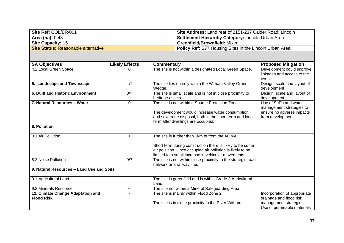| Site Ref: COL/BR/001                | Site Address: Land rear of 2151-237 Calder Road, Lincoln       |
|-------------------------------------|----------------------------------------------------------------|
| <b>Area (ha):</b> 0.43              | Settlement Hierarchy Category: Lincoln Urban Area              |
| <b>Site Capacity: 15</b>            | <b>Greenfield/Brownfield: Mixed</b>                            |
| Site Status: Reasonable alternative | <b>Policy Ref:</b> S77 Housing Sites in the Lincoln Urban Area |

| <b>SA Objectives</b>                                   | <b>Likely Effects</b> | Commentary                                                                                                                                                                                                                       | <b>Proposed Mitigation</b>                                                                                      |
|--------------------------------------------------------|-----------------------|----------------------------------------------------------------------------------------------------------------------------------------------------------------------------------------------------------------------------------|-----------------------------------------------------------------------------------------------------------------|
| 4.2 Local Green Space                                  | 0                     | The site is not within a designated Local Green Space.                                                                                                                                                                           | Development could improve<br>linkages and access to the<br>river.                                               |
| 5. Landscape and Townscape                             | $-1$ ?                | The site lies entirely within the Witham Valley Green<br>Wedge.                                                                                                                                                                  | Design, scale and layout of<br>development.                                                                     |
| 6. Built and Historic Environment                      | 0/2                   | The site is small scale and is not in close proximity to<br>heritage assets.                                                                                                                                                     | Design, scale and layout of<br>development                                                                      |
| 7. Natural Resources - Water                           | 0                     | The site is not within a Source Protection Zone.<br>The development would increase water consumption<br>and sewerage disposal, both in the short term and long<br>term after dwellings are occupied.                             | Use of SuDs and water<br>management strategies to<br>ensure no adverse impacts<br>from development.             |
| 8. Pollution                                           |                       |                                                                                                                                                                                                                                  |                                                                                                                 |
| 8.1 Air Pollution                                      | $\ddot{}$             | The site is further than 1km of from the AQMA.<br>Short term during construction there is likely to be some<br>air pollution. Once occupied air pollution is likely to be<br>limited to a small increase in vehicular movements. |                                                                                                                 |
| 8.2 Noise Pollution                                    | 0/?                   | The site is not within close proximity to the strategic road<br>network or a railway line.                                                                                                                                       |                                                                                                                 |
| 9. Natural Resources - Land Use and Soils              |                       |                                                                                                                                                                                                                                  |                                                                                                                 |
| 9.1 Agricultural Land                                  |                       | The site is greenfield and is within Grade 3 Agricultural<br>Land.                                                                                                                                                               |                                                                                                                 |
| 9.2 Minerals Resource                                  | 0                     | The site not within a Mineral Safeguarding Area.                                                                                                                                                                                 |                                                                                                                 |
| 12. Climate Change Adaptation and<br><b>Flood Risk</b> |                       | The site is mainly within Flood Zone 2.<br>The site is in close proximity to the River Witham.                                                                                                                                   | Incorporation of appropriate<br>drainage and flood risk<br>management strategies.<br>Use of permeable materials |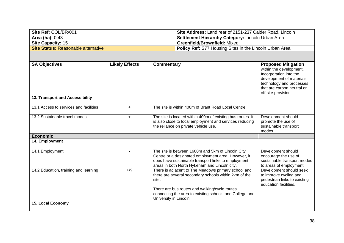| Site Ref: COL/BR/001                | Site Address: Land rear of 2151-237 Calder Road, Lincoln       |
|-------------------------------------|----------------------------------------------------------------|
| Area (ha): $0.43$                   | <b>Settlement Hierarchy Category: Lincoln Urban Area</b>       |
| <b>Site Capacity: 15</b>            | <b>Greenfield/Brownfield: Mixed</b>                            |
| Site Status: Reasonable alternative | <b>Policy Ref:</b> S77 Housing Sites in the Lincoln Urban Area |

| <b>SA Objectives</b>                   | <b>Likely Effects</b> | Commentary                                                                                           | <b>Proposed Mitigation</b>                            |
|----------------------------------------|-----------------------|------------------------------------------------------------------------------------------------------|-------------------------------------------------------|
|                                        |                       |                                                                                                      | within the development.                               |
|                                        |                       |                                                                                                      | Incorporation into the                                |
|                                        |                       |                                                                                                      | development of materials,<br>technology and processes |
|                                        |                       |                                                                                                      | that are carbon neutral or                            |
|                                        |                       |                                                                                                      | off-site provision.                                   |
| 13. Transport and Accessibility        |                       |                                                                                                      |                                                       |
| 13.1 Access to services and facilities | $+$                   | The site is within 400m of Brant Road Local Centre.                                                  |                                                       |
| 13.2 Sustainable travel modes          | $+$                   | The site is located within 400m of existing bus routes. It                                           | Development should                                    |
|                                        |                       | is also close to local employment and services reducing                                              | promote the use of                                    |
|                                        |                       | the reliance on private vehicle use.                                                                 | sustainable transport<br>modes.                       |
| <b>Economic</b>                        |                       |                                                                                                      |                                                       |
| 14. Employment                         |                       |                                                                                                      |                                                       |
|                                        |                       |                                                                                                      |                                                       |
| 14.1 Employment                        |                       | The site is between 1600m and 5km of Lincoln City                                                    | Development should                                    |
|                                        |                       | Centre or a designated employment area. However, it                                                  | encourage the use of                                  |
|                                        |                       | does have sustainable transport links to employment                                                  | sustainable transport modes                           |
| 14.2 Education, training and learning  | $+$ /?                | areas in both North Hykeham and Lincoln city.<br>There is adjacent to The Meadows primary school and | to areas of employment.<br>Development should seek    |
|                                        |                       | there are several secondary schools within 2km of the                                                | to improve cycling and                                |
|                                        |                       | site.                                                                                                | pedestrian links to existing                          |
|                                        |                       |                                                                                                      | education facilities.                                 |
|                                        |                       | There are bus routes and walking/cycle routes                                                        |                                                       |
|                                        |                       | connecting the area to existing schools and College and                                              |                                                       |
|                                        |                       | University in Lincoln.                                                                               |                                                       |
| <b>15. Local Economy</b>               |                       |                                                                                                      |                                                       |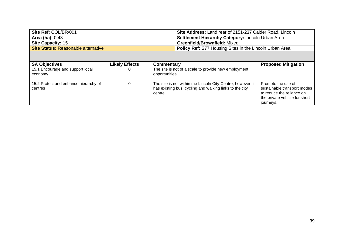| Site Ref: COL/BR/001                | Site Address: Land rear of 2151-237 Calder Road, Lincoln       |
|-------------------------------------|----------------------------------------------------------------|
| <b>Area (ha): 0.43</b>              | Settlement Hierarchy Category: Lincoln Urban Area              |
| <b>Site Capacity: 15</b>            | <b>Greenfield/Brownfield: Mixed</b>                            |
| Site Status: Reasonable alternative | <b>Policy Ref:</b> S77 Housing Sites in the Lincoln Urban Area |

| <b>SA Objectives</b>                             | <b>Likely Effects</b> | Commentary                                                                                                                        | <b>Proposed Mitigation</b>                                                                                                   |
|--------------------------------------------------|-----------------------|-----------------------------------------------------------------------------------------------------------------------------------|------------------------------------------------------------------------------------------------------------------------------|
| 15.1 Encourage and support local<br>economy      |                       | The site is not of a scale to provide new employment<br>opportunities                                                             |                                                                                                                              |
| 15.2 Protect and enhance hierarchy of<br>centres |                       | The site is not within the Lincoln City Centre; however, it<br>has existing bus, cycling and walking links to the city<br>centre. | Promote the use of<br>sustainable transport modes<br>to reduce the reliance on<br>the private vehicle for short<br>journeys. |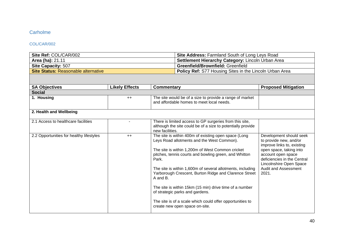# **Carholme**

### COL/CAR/002

| Site Ref: COL/CAR/002               | <b>Site Address: Farmland South of Long Leys Road</b>          |
|-------------------------------------|----------------------------------------------------------------|
| <b>Area (ha): 21.11</b>             | <b>Settlement Hierarchy Category: Lincoln Urban Area</b>       |
| <b>Site Capacity: 507</b>           | <b>Greenfield/Brownfield: Greenfield</b>                       |
| Site Status: Reasonable alternative | <b>Policy Ref:</b> S77 Housing Sites in the Lincoln Urban Area |

| <b>SA Objectives</b>                     | <b>Likely Effects</b> | Commentary                                                  | <b>Proposed Mitigation</b>                      |
|------------------------------------------|-----------------------|-------------------------------------------------------------|-------------------------------------------------|
|                                          |                       |                                                             |                                                 |
| <b>Social</b>                            |                       |                                                             |                                                 |
| 1. Housing                               | $++$                  | The site would be of a size to provide a range of market    |                                                 |
|                                          |                       | and affordable homes to meet local needs.                   |                                                 |
|                                          |                       |                                                             |                                                 |
| 2. Health and Wellbeing                  |                       |                                                             |                                                 |
|                                          |                       |                                                             |                                                 |
| 2.1 Access to healthcare facilities      |                       | There is limited access to GP surgeries from this site,     |                                                 |
|                                          |                       | although the site could be of a size to potentially provide |                                                 |
|                                          |                       | new facilities.                                             |                                                 |
| 2.2 Opportunities for healthy lifestyles | $++$                  | The site is within 400m of existing open space (Long        | Development should seek                         |
|                                          |                       | Leys Road allotments and the West Common).                  | to provide new, and/or                          |
|                                          |                       |                                                             | improve links to, existing                      |
|                                          |                       | The site is within 1,200m of West Common cricket            | open space, taking into                         |
|                                          |                       | pitches, tennis courts and bowling green, and Whitton       | account open space                              |
|                                          |                       | Park.                                                       | deficiencies in the Central                     |
|                                          |                       |                                                             |                                                 |
|                                          |                       |                                                             | Lincolnshire Open Space<br>Audit and Assessment |
|                                          |                       | The site is within 1,600m of several allotments, including  |                                                 |
|                                          |                       | Yarborough Crescent, Burton Ridge and Clarence Street       | 2021.                                           |
|                                          |                       | A and B.                                                    |                                                 |
|                                          |                       |                                                             |                                                 |
|                                          |                       | The site is within 15km (15 min) drive time of a number     |                                                 |
|                                          |                       | of strategic parks and gardens.                             |                                                 |
|                                          |                       | The site is of a scale which could offer opportunities to   |                                                 |
|                                          |                       | create new open space on-site.                              |                                                 |
|                                          |                       |                                                             |                                                 |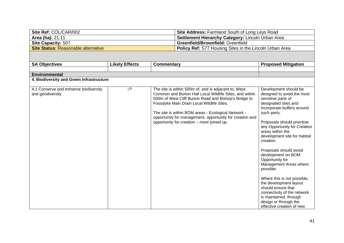| Site Ref: COL/CAR/002               | Site Address: Farmland South of Long Leys Road                 |
|-------------------------------------|----------------------------------------------------------------|
| <b>Area (ha): 21.11</b>             | <b>Settlement Hierarchy Category: Lincoln Urban Area</b>       |
| <b>Site Capacity: 507</b>           | <b>Greenfield/Brownfield: Greenfield</b>                       |
| Site Status: Reasonable alternative | <b>Policy Ref:</b> S77 Housing Sites in the Lincoln Urban Area |

| <b>SA Objectives</b>                                      | <b>Likely Effects</b> | <b>Commentary</b>                                                                                                                                                                                                                                                                                                                                                                      | <b>Proposed Mitigation</b>                                                                                                                                                                                                                                                                                                                                                                                                                                                                                                                                                             |
|-----------------------------------------------------------|-----------------------|----------------------------------------------------------------------------------------------------------------------------------------------------------------------------------------------------------------------------------------------------------------------------------------------------------------------------------------------------------------------------------------|----------------------------------------------------------------------------------------------------------------------------------------------------------------------------------------------------------------------------------------------------------------------------------------------------------------------------------------------------------------------------------------------------------------------------------------------------------------------------------------------------------------------------------------------------------------------------------------|
|                                                           |                       |                                                                                                                                                                                                                                                                                                                                                                                        |                                                                                                                                                                                                                                                                                                                                                                                                                                                                                                                                                                                        |
| <b>Environmental</b>                                      |                       |                                                                                                                                                                                                                                                                                                                                                                                        |                                                                                                                                                                                                                                                                                                                                                                                                                                                                                                                                                                                        |
| 4. Biodiversity and Green Infrastructure                  |                       |                                                                                                                                                                                                                                                                                                                                                                                        |                                                                                                                                                                                                                                                                                                                                                                                                                                                                                                                                                                                        |
| 4.1 Conserve and enhance biodiversity<br>and geodiversity | $-1$ ?                | The site is within 500m of, and is adjacent to, West<br>Common and Burton Hall Local Wildlife Sites, and within<br>500m of West Cliff Burton Road and Bishop's Bridge to<br>Fossdyke Main Drain Local Wildlife Sites.<br>The site is within BOM areas - Ecological Network -<br>opportunity for management, opportunity for creation and<br>opportunity for creation – more joined up. | Development should be<br>designed to avoid the most<br>sensitive parts of<br>designated sites and<br>incorporate buffers around<br>such parts.<br>Proposals should prioritise<br>any Opportunity for Creation<br>areas within the<br>development site for habitat<br>creation.<br>Proposals should avoid<br>development on BOM<br>Opportunity for<br>Management Areas where<br>possible.<br>Where this is not possible,<br>the development layout<br>should ensure that<br>connectivity of the network<br>is maintained, through<br>design or through the<br>effective creation of new |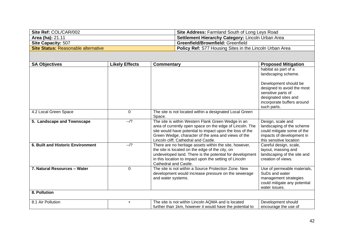| Site Ref: COL/CAR/002               | <b>Site Address: Farmland South of Long Leys Road</b>          |
|-------------------------------------|----------------------------------------------------------------|
| <b>Area (ha): 21.11</b>             | <b>Settlement Hierarchy Category: Lincoln Urban Area</b>       |
| <b>Site Capacity: 507</b>           | <b>Greenfield/Brownfield: Greenfield</b>                       |
| Site Status: Reasonable alternative | <b>Policy Ref:</b> S77 Housing Sites in the Lincoln Urban Area |

| <b>SA Objectives</b>              | <b>Likely Effects</b> | <b>Commentary</b>                                                                                                                                                                                                                                                         | <b>Proposed Mitigation</b>                                                                                                                     |
|-----------------------------------|-----------------------|---------------------------------------------------------------------------------------------------------------------------------------------------------------------------------------------------------------------------------------------------------------------------|------------------------------------------------------------------------------------------------------------------------------------------------|
|                                   |                       |                                                                                                                                                                                                                                                                           | habitat as part of a<br>landscaping scheme.                                                                                                    |
|                                   |                       |                                                                                                                                                                                                                                                                           | Development should be<br>designed to avoid the most<br>sensitive parts of<br>designated sites and<br>incorporate buffers around<br>such parts. |
| 4.2 Local Green Space             | $\Omega$              | The site is not located within a designated Local Green<br>Space.                                                                                                                                                                                                         |                                                                                                                                                |
| 5. Landscape and Townscape        | $-1$ ?                | The site is within Western Flank Green Wedge in an<br>area of currently open space on the edge of Lincoln. The<br>site would have potential to impact upon the loss of the<br>Green Wedge, character of the area and views of the<br>Lincoln cliff, Cathedral and Castle. | Design, scale and<br>landscaping of the scheme<br>could mitigate some of the<br>impacts of development in<br>this sensitive location           |
| 6. Built and Historic Environment | $-1$ ?                | There are no heritage assets within the site, however,<br>the site is located on the edge of the city, on<br>undeveloped land. There is the potential for development<br>in this location to impact upon the setting of Lincoln<br>Cathedral and Castle.                  | Careful design, scale,<br>layout, massing and<br>landscaping of the site and<br>creation of views.                                             |
| 7. Natural Resources - Water      | $\mathbf 0$           | The site is not within a Source Protection Zone. New<br>development would increase pressure on the sewerage<br>and water systems.                                                                                                                                         | Use of permeable materials,<br>SuDs and water<br>management strategies<br>could mitigate any potential<br>water issues.                        |
| 8. Pollution                      |                       |                                                                                                                                                                                                                                                                           |                                                                                                                                                |
| 8.1 Air Pollution                 | $\ddot{}$             | The site is not within Lincoln AQMA and is located<br>further than 1km, however it would have the potential to                                                                                                                                                            | Development should<br>encourage the use of                                                                                                     |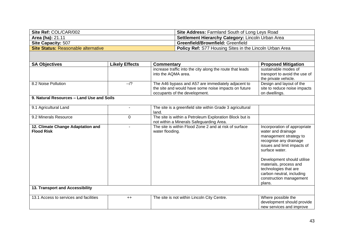| Site Ref: COL/CAR/002               | Site Address: Farmland South of Long Leys Road                 |
|-------------------------------------|----------------------------------------------------------------|
| <b>Area (ha): 21.11</b>             | <b>Settlement Hierarchy Category: Lincoln Urban Area</b>       |
| <b>Site Capacity: 507</b>           | <b>Greenfield/Brownfield: Greenfield</b>                       |
| Site Status: Reasonable alternative | <b>Policy Ref:</b> S77 Housing Sites in the Lincoln Urban Area |

| <b>SA Objectives</b>                                                                      | <b>Likely Effects</b> | Commentary                                                                                                                                  | <b>Proposed Mitigation</b>                                                                                                                                                                                                                                                                                 |
|-------------------------------------------------------------------------------------------|-----------------------|---------------------------------------------------------------------------------------------------------------------------------------------|------------------------------------------------------------------------------------------------------------------------------------------------------------------------------------------------------------------------------------------------------------------------------------------------------------|
|                                                                                           |                       | increase traffic into the city along the route that leads<br>into the AQMA area.                                                            | sustainable modes of<br>transport to avoid the use of<br>the private vehicle.                                                                                                                                                                                                                              |
| 8.2 Noise Pollution                                                                       | $-1$ ?                | The A46 bypass and A57 are immediately adjacent to<br>the site and would have some noise impacts on future<br>occupants of the development. | Design and layout of the<br>site to reduce noise impacts<br>on dwellings.                                                                                                                                                                                                                                  |
| 9. Natural Resources - Land Use and Soils                                                 |                       |                                                                                                                                             |                                                                                                                                                                                                                                                                                                            |
| 9.1 Agricultural Land                                                                     |                       | The site is a greenfield site within Grade 3 agricultural<br>land.                                                                          |                                                                                                                                                                                                                                                                                                            |
| 9.2 Minerals Resource                                                                     | 0                     | The site is within a Petroleum Exploration Block but is<br>not within a Minerals Safeguarding Area.                                         |                                                                                                                                                                                                                                                                                                            |
| 12. Climate Change Adaptation and<br><b>Flood Risk</b><br>13. Transport and Accessibility |                       | The site is within Flood Zone 2 and at risk of surface<br>water flooding.                                                                   | Incorporation of appropriate<br>water and drainage<br>management strategy to<br>recognise any drainage<br>issues and limit impacts of<br>surface water.<br>Development should utilise<br>materials, process and<br>technologies that are<br>carbon neutral, including<br>construction management<br>plans. |
|                                                                                           |                       |                                                                                                                                             |                                                                                                                                                                                                                                                                                                            |
| 13.1 Access to services and facilities                                                    | $++$                  | The site is not within Lincoln City Centre.                                                                                                 | Where possible the<br>development should provide<br>new services and improve                                                                                                                                                                                                                               |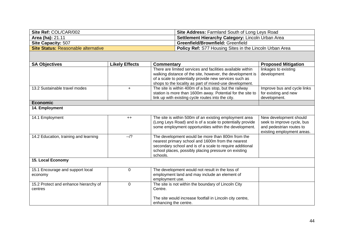| Site Ref: COL/CAR/002               | <b>Site Address: Farmland South of Long Leys Road</b>    |
|-------------------------------------|----------------------------------------------------------|
| <b>Area (ha):</b> 21.11             | <b>Settlement Hierarchy Category:</b> Lincoln Urban Area |
| <b>Site Capacity: 507</b>           | <b>Greenfield/Brownfield: Greenfield</b>                 |
| Site Status: Reasonable alternative | Policy Ref: S77 Housing Sites in the Lincoln Urban Area  |

| <b>SA Objectives</b>                  | <b>Likely Effects</b> | <b>Commentary</b>                                          | <b>Proposed Mitigation</b>  |
|---------------------------------------|-----------------------|------------------------------------------------------------|-----------------------------|
|                                       |                       | There are limited services and facilities available within | linkages to existing        |
|                                       |                       | walking distance of the site, however, the development is  | development                 |
|                                       |                       | of a scale to potentially provide new services such as     |                             |
|                                       |                       | shops to the locality as part of mixed-use development.    |                             |
| 13.2 Sustainable travel modes         | $+$                   | The site is within 400m of a bus stop, but the railway     | Improve bus and cycle links |
|                                       |                       | station is more than 1600m away. Potential for the site to | for existing and new        |
|                                       |                       | link up with existing cycle routes into the city.          | development.                |
| <b>Economic</b>                       |                       |                                                            |                             |
| 14. Employment                        |                       |                                                            |                             |
| 14.1 Employment                       | $++$                  | The site is within 500m of an existing employment area     | New development should      |
|                                       |                       | (Long Leys Road) and is of a scale to potentially provide  | seek to improve cycle, bus  |
|                                       |                       | some employment opportunities within the development.      | and pedestrian routes to    |
|                                       |                       |                                                            | existing employment areas.  |
| 14.2 Education, training and learning | $-1$ ?                | The development would be more than 800m from the           |                             |
|                                       |                       | nearest primary school and 1600m from the nearest          |                             |
|                                       |                       | secondary school and is of a scale to require additional   |                             |
|                                       |                       | school places, possibly placing pressure on existing       |                             |
|                                       |                       | schools.                                                   |                             |
| 15. Local Economy                     |                       |                                                            |                             |
| 15.1 Encourage and support local      | $\Omega$              | The development would not result in the loss of            |                             |
| economy                               |                       | employment land and may include an element of              |                             |
|                                       |                       | employment use.                                            |                             |
| 15.2 Protect and enhance hierarchy of | 0                     | The site is not within the boundary of Lincoln City        |                             |
| centres                               |                       | Centre.                                                    |                             |
|                                       |                       |                                                            |                             |
|                                       |                       | The site would increase footfall in Lincoln city centre,   |                             |
|                                       |                       | enhancing the centre.                                      |                             |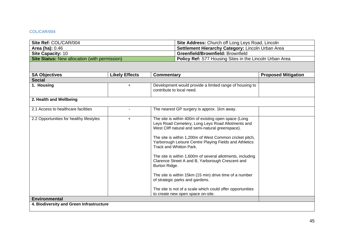### COL/CAR/004

| Site Ref: COL/CAR/004                                | <b>Site Address: Church off Long Leys Road, Lincoln</b>        |
|------------------------------------------------------|----------------------------------------------------------------|
| <b>Area (ha): 0.46</b>                               | Settlement Hierarchy Category: Lincoln Urban Area              |
| <b>Site Capacity: 10</b>                             | <b>Greenfield/Brownfield: Brownfield</b>                       |
| <b>Site Status:</b> New allocation (with permission) | <b>Policy Ref:</b> S77 Housing Sites in the Lincoln Urban Area |

| <b>SA Objectives</b>                     | <b>Likely Effects</b> | <b>Commentary</b>                                                                                                                                                                                                                                                                                                                                                                                                                                                                                                                                                                                                                                 | <b>Proposed Mitigation</b> |
|------------------------------------------|-----------------------|---------------------------------------------------------------------------------------------------------------------------------------------------------------------------------------------------------------------------------------------------------------------------------------------------------------------------------------------------------------------------------------------------------------------------------------------------------------------------------------------------------------------------------------------------------------------------------------------------------------------------------------------------|----------------------------|
| <b>Social</b>                            |                       |                                                                                                                                                                                                                                                                                                                                                                                                                                                                                                                                                                                                                                                   |                            |
| 1. Housing                               | $+$                   | Development would provide a limited range of housing to<br>contribute to local need.                                                                                                                                                                                                                                                                                                                                                                                                                                                                                                                                                              |                            |
| 2. Health and Wellbeing                  |                       |                                                                                                                                                                                                                                                                                                                                                                                                                                                                                                                                                                                                                                                   |                            |
| 2.1 Access to healthcare facilities      |                       | The nearest GP surgery is approx. 1km away.                                                                                                                                                                                                                                                                                                                                                                                                                                                                                                                                                                                                       |                            |
| 2.2 Opportunities for healthy lifestyles | $\ddot{}$             | The site is within 400m of existing open space (Long<br>Leys Road Cemetery, Long Leys Road Allotments and<br>West Cliff natural and semi-natural greenspace).<br>The site is within 1,200m of West Common cricket pitch,<br>Yarborough Leisure Centre Playing Fields and Athletics<br>Track and Whitton Park.<br>The site is within 1,600m of several allotments, including<br>Clarence Street A and B, Yarborough Crescent and<br>Burton Ridge.<br>The site is within 15km (15 min) drive time of a number<br>of strategic parks and gardens.<br>The site is not of a scale which could offer opportunities<br>to create new open space on-site. |                            |
| <b>Environmental</b>                     |                       |                                                                                                                                                                                                                                                                                                                                                                                                                                                                                                                                                                                                                                                   |                            |
| 4. Biodiversity and Green Infrastructure |                       |                                                                                                                                                                                                                                                                                                                                                                                                                                                                                                                                                                                                                                                   |                            |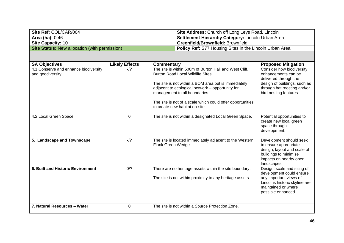| Site Ref: COL/CAR/004                                | <b>Site Address:</b> Church off Long Leys Road, Lincoln        |
|------------------------------------------------------|----------------------------------------------------------------|
| <b>Area (ha): 0.46</b>                               | <b>Settlement Hierarchy Category: Lincoln Urban Area</b>       |
| <b>Site Capacity: 10</b>                             | <b>Greenfield/Brownfield: Brownfield</b>                       |
| <b>Site Status:</b> New allocation (with permission) | <b>Policy Ref:</b> S77 Housing Sites in the Lincoln Urban Area |

| <b>SA Objectives</b>                                      | <b>Likely Effects</b> | Commentary                                                                                                                                                                                                                                                                                                                               | <b>Proposed Mitigation</b>                                                                                                                                         |
|-----------------------------------------------------------|-----------------------|------------------------------------------------------------------------------------------------------------------------------------------------------------------------------------------------------------------------------------------------------------------------------------------------------------------------------------------|--------------------------------------------------------------------------------------------------------------------------------------------------------------------|
| 4.1 Conserve and enhance biodiversity<br>and geodiversity | $-1$ ?                | The site is within 500m of Burton Hall and West Cliff,<br>Burton Road Local Wildlife Sites.<br>The site is not within a BOM area but is immediately<br>adjacent to ecological network - opportunity for<br>management to all boundaries.<br>The site is not of a scale which could offer opportunities<br>to create new habitat on-site. | Consider how biodiversity<br>enhancements can be<br>delivered through the<br>design of buildings, such as<br>through bat roosting and/or<br>bird nesting features. |
| 4.2 Local Green Space                                     | $\mathbf 0$           | The site is not within a designated Local Green Space.                                                                                                                                                                                                                                                                                   | Potential opportunities to<br>create new local green<br>space through<br>development.                                                                              |
| 5. Landscape and Townscape                                | $-1$ ?                | The site is located immediately adjacent to the Western<br>Flank Green Wedge.                                                                                                                                                                                                                                                            | Development should seek<br>to ensure appropriate<br>design, layout and scale of<br>buildings to minimise<br>impacts on nearby open<br>landscapes.                  |
| <b>6. Built and Historic Environment</b>                  | 0/?                   | There are no heritage assets within the site boundary.<br>The site is not within proximity to any heritage assets.                                                                                                                                                                                                                       | Design, scale and siting of<br>development could ensure<br>any important views of<br>Lincolns historic skyline are<br>maintained or where<br>possible enhanced.    |
| 7. Natural Resources - Water                              | 0                     | The site is not within a Source Protection Zone.                                                                                                                                                                                                                                                                                         |                                                                                                                                                                    |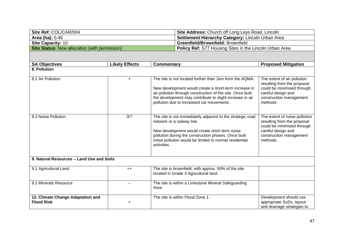| Site Ref: COL/CAR/004                                | <b>Site Address: Church off Long Leys Road, Lincoln</b>        |
|------------------------------------------------------|----------------------------------------------------------------|
| <b>Area (ha): 0.46</b>                               | <b>Settlement Hierarchy Category: Lincoln Urban Area</b>       |
| <b>Site Capacity: 10</b>                             | <b>Greenfield/Brownfield: Brownfield</b>                       |
| <b>Site Status:</b> New allocation (with permission) | <b>Policy Ref:</b> S77 Housing Sites in the Lincoln Urban Area |

| <b>SA Objectives</b>                                   | <b>Likely Effects</b> | Commentary                                                                                                                                                                                                                                                                              | <b>Proposed Mitigation</b>                                                                                                                              |  |  |
|--------------------------------------------------------|-----------------------|-----------------------------------------------------------------------------------------------------------------------------------------------------------------------------------------------------------------------------------------------------------------------------------------|---------------------------------------------------------------------------------------------------------------------------------------------------------|--|--|
| 8. Pollution                                           |                       |                                                                                                                                                                                                                                                                                         |                                                                                                                                                         |  |  |
| 8.1 Air Pollution                                      | $+$                   | The site is not located further than 1km from the AQMA.<br>New development would create a short-term increase in<br>air pollution through construction of the site. Once built<br>the development may contribute to slight increase in air<br>pollution due to increased car movements. | The extent of air pollution<br>resulting from the proposal<br>could be minimised through<br>careful design and<br>construction management<br>methods    |  |  |
| 8.2 Noise Pollution                                    | 0/?                   | The site is not immediately adjacent to the strategic road<br>network or a railway line.<br>New development would create short term noise<br>pollution during the construction phases. Once built<br>noise pollution would be limited to normal residential<br>activities.              | The extent of noise pollution<br>resulting from the proposal<br>could be minimised through<br>careful design and<br>construction management<br>methods. |  |  |
| 9. Natural Resources - Land Use and Soils              |                       |                                                                                                                                                                                                                                                                                         |                                                                                                                                                         |  |  |
| 9.1 Agricultural Land                                  | $++$                  | The site is brownfield, with approx. 50% of the site<br>located in Grade 3 Agricultural land.                                                                                                                                                                                           |                                                                                                                                                         |  |  |
| 9.2 Minerals Resource                                  |                       | The site is within a Limestone Mineral Safeguarding<br>Area                                                                                                                                                                                                                             |                                                                                                                                                         |  |  |
| 12. Climate Change Adaptation and<br><b>Flood Risk</b> | $\ddot{}$             | The site is within Flood Zone 1.                                                                                                                                                                                                                                                        | Development should use<br>appropriate SuDs, layout<br>and drainage strategies to                                                                        |  |  |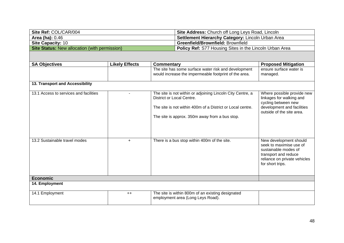| Site Ref: COL/CAR/004                                | <b>Site Address: Church off Long Leys Road, Lincoln</b>        |
|------------------------------------------------------|----------------------------------------------------------------|
| <b>Area (ha): 0.46</b>                               | <b>Settlement Hierarchy Category: Lincoln Urban Area</b>       |
| <b>Site Capacity: 10</b>                             | <b>Greenfield/Brownfield: Brownfield</b>                       |
| <b>Site Status:</b> New allocation (with permission) | <b>Policy Ref:</b> S77 Housing Sites in the Lincoln Urban Area |

| <b>SA Objectives</b>                   | <b>Likely Effects</b> | <b>Commentary</b>                                                                                                                                                                                       | <b>Proposed Mitigation</b>                                                                                                                            |
|----------------------------------------|-----------------------|---------------------------------------------------------------------------------------------------------------------------------------------------------------------------------------------------------|-------------------------------------------------------------------------------------------------------------------------------------------------------|
|                                        |                       | The site has some surface water risk and development<br>would increase the impermeable footprint of the area.                                                                                           | ensure surface water is<br>managed.                                                                                                                   |
| 13. Transport and Accessibility        |                       |                                                                                                                                                                                                         |                                                                                                                                                       |
| 13.1 Access to services and facilities |                       | The site is not within or adjoining Lincoln City Centre, a<br>District or Local Centre.<br>The site is not within 400m of a District or Local centre.<br>The site is approx. 350m away from a bus stop. | Where possible provide new<br>linkages for walking and<br>cycling between new<br>development and facilities<br>outside of the site area.              |
| 13.2 Sustainable travel modes          | $\ddot{}$             | There is a bus stop within 400m of the site.                                                                                                                                                            | New development should<br>seek to maximise use of<br>sustainable modes of<br>transport and reduce<br>reliance on private vehicles<br>for short trips. |
| <b>Economic</b>                        |                       |                                                                                                                                                                                                         |                                                                                                                                                       |
| 14. Employment                         |                       |                                                                                                                                                                                                         |                                                                                                                                                       |
| 14.1 Employment                        | $++$                  | The site is within 800m of an existing designated<br>employment area (Long Leys Road).                                                                                                                  |                                                                                                                                                       |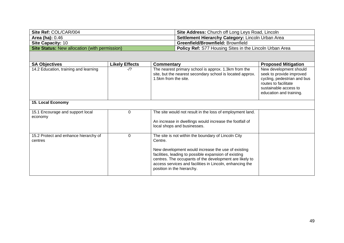| Site Ref: COL/CAR/004                                | <b>Site Address: Church off Long Leys Road, Lincoln</b>        |
|------------------------------------------------------|----------------------------------------------------------------|
| <b>Area (ha):</b> 0.46                               | <b>Settlement Hierarchy Category: Lincoln Urban Area</b>       |
| <b>Site Capacity: 10</b>                             | <b>Greenfield/Brownfield: Brownfield</b>                       |
| <b>Site Status:</b> New allocation (with permission) | <b>Policy Ref:</b> S77 Housing Sites in the Lincoln Urban Area |

| <b>SA Objectives</b>                             | <b>Likely Effects</b> | Commentary                                                                                                                                                                                                                                                                                                                         | <b>Proposed Mitigation</b>                                                                                                                                    |
|--------------------------------------------------|-----------------------|------------------------------------------------------------------------------------------------------------------------------------------------------------------------------------------------------------------------------------------------------------------------------------------------------------------------------------|---------------------------------------------------------------------------------------------------------------------------------------------------------------|
| 14.2 Education, training and learning            | $-1?$                 | The nearest primary school is approx. 1.3km from the<br>site, but the nearest secondary school is located approx.<br>1.5km from the site.                                                                                                                                                                                          | New development should<br>seek to provide improved<br>cycling, pedestrian and bus<br>routes to facilitate<br>sustainable access to<br>education and training. |
| 15. Local Economy                                |                       |                                                                                                                                                                                                                                                                                                                                    |                                                                                                                                                               |
| 15.1 Encourage and support local<br>economy      | 0                     | The site would not result in the loss of employment land.<br>An increase in dwellings would increase the footfall of<br>local shops and businesses.                                                                                                                                                                                |                                                                                                                                                               |
| 15.2 Protect and enhance hierarchy of<br>centres | 0                     | The site is not within the boundary of Lincoln City<br>Centre.<br>New development would increase the use of existing<br>facilities, leading to possible expansion of existing<br>centres. The occupants of the development are likely to<br>access services and facilities in Lincoln, enhancing the<br>position in the hierarchy. |                                                                                                                                                               |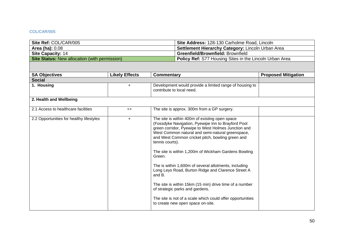### COL/CAR/005

| Site Ref: COL/CAR/005                                | Site Address: 128-130 Carholme Road, Lincoln            |
|------------------------------------------------------|---------------------------------------------------------|
| <b>Area (ha):</b> 0.08                               | Settlement Hierarchy Category: Lincoln Urban Area       |
| Site Capacity: 14                                    | <b>Greenfield/Brownfield: Brownfield</b>                |
| <b>Site Status: New allocation (with permission)</b> | Policy Ref: S77 Housing Sites in the Lincoln Urban Area |
|                                                      |                                                         |

| <b>SA Objectives</b>                     | <b>Likely Effects</b> | <b>Commentary</b>                                                                                                                                                                                                                                                                                                                                                                                                                                                                                                                                                                                                                                                                  | <b>Proposed Mitigation</b> |
|------------------------------------------|-----------------------|------------------------------------------------------------------------------------------------------------------------------------------------------------------------------------------------------------------------------------------------------------------------------------------------------------------------------------------------------------------------------------------------------------------------------------------------------------------------------------------------------------------------------------------------------------------------------------------------------------------------------------------------------------------------------------|----------------------------|
| <b>Social</b>                            |                       |                                                                                                                                                                                                                                                                                                                                                                                                                                                                                                                                                                                                                                                                                    |                            |
| 1. Housing                               | $+$                   | Development would provide a limited range of housing to<br>contribute to local need.                                                                                                                                                                                                                                                                                                                                                                                                                                                                                                                                                                                               |                            |
| 2. Health and Wellbeing                  |                       |                                                                                                                                                                                                                                                                                                                                                                                                                                                                                                                                                                                                                                                                                    |                            |
| 2.1 Access to healthcare facilities      | $++$                  | The site is approx. 300m from a GP surgery.                                                                                                                                                                                                                                                                                                                                                                                                                                                                                                                                                                                                                                        |                            |
| 2.2 Opportunities for healthy lifestyles | $\ddot{}$             | The site is within 400m of existing open space<br>(Fossdyke Navigation, Pyewipe Inn to Brayford Pool<br>green corridor, Pyewipe to West Holmes Junction and<br>West Common natural and semi-natural greenspace,<br>and West Common cricket pitch, bowling green and<br>tennis courts).<br>The site is within 1,200m of Wickham Gardens Bowling<br>Green.<br>The is within 1,600m of several allotments, including<br>Long Leys Road, Burton Ridge and Clarence Street A<br>and B.<br>The site is within 15km (15 min) drive time of a number<br>of strategic parks and gardens.<br>The site is not of a scale which could offer opportunities<br>to create new open space on-site. |                            |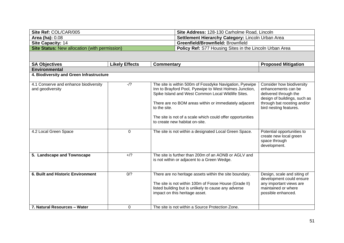| Site Ref: COL/CAR/005                                | <b>Site Address: 128-130 Carholme Road, Lincoln</b>            |
|------------------------------------------------------|----------------------------------------------------------------|
| <b>Area (ha): 0.08</b>                               | <b>Settlement Hierarchy Category: Lincoln Urban Area</b>       |
| <b>Site Capacity: 14</b>                             | <b>Greenfield/Brownfield: Brownfield</b>                       |
| <b>Site Status:</b> New allocation (with permission) | <b>Policy Ref:</b> S77 Housing Sites in the Lincoln Urban Area |

| <b>SA Objectives</b>                                      | <b>Likely Effects</b> | Commentary                                                                                                                                                                                                                                                                                                                                       | <b>Proposed Mitigation</b>                                                                                                                                         |
|-----------------------------------------------------------|-----------------------|--------------------------------------------------------------------------------------------------------------------------------------------------------------------------------------------------------------------------------------------------------------------------------------------------------------------------------------------------|--------------------------------------------------------------------------------------------------------------------------------------------------------------------|
| <b>Environmental</b>                                      |                       |                                                                                                                                                                                                                                                                                                                                                  |                                                                                                                                                                    |
| 4. Biodiversity and Green Infrastructure                  |                       |                                                                                                                                                                                                                                                                                                                                                  |                                                                                                                                                                    |
| 4.1 Conserve and enhance biodiversity<br>and geodiversity | $-1$ ?                | The site is within 500m of Fossdyke Navigation, Pyewipe<br>Inn to Brayford Pool, Pyewipe to West Holmes Junction,<br>Spike Island and West Common Local Wildlife Sites.<br>There are no BOM areas within or immediately adjacent<br>to the site.<br>The site is not of a scale which could offer opportunities<br>to create new habitat on-site. | Consider how biodiversity<br>enhancements can be<br>delivered through the<br>design of buildings, such as<br>through bat roosting and/or<br>bird nesting features. |
| 4.2 Local Green Space                                     | $\Omega$              | The site is not within a designated Local Green Space.                                                                                                                                                                                                                                                                                           | Potential opportunities to<br>create new local green<br>space through<br>development.                                                                              |
| 5. Landscape and Townscape                                | $+$ /?                | The site is further than 200m of an AONB or AGLV and<br>is not within or adjacent to a Green Wedge.                                                                                                                                                                                                                                              |                                                                                                                                                                    |
| 6. Built and Historic Environment                         | 0/2                   | There are no heritage assets within the site boundary.<br>The site is not within 100m of Fosse House (Grade II)<br>listed building but is unlikely to cause any adverse<br>impact on this heritage asset.                                                                                                                                        | Design, scale and siting of<br>development could ensure<br>any important views are<br>maintained or where<br>possible enhanced.                                    |
| 7. Natural Resources - Water                              | 0                     | The site is not within a Source Protection Zone.                                                                                                                                                                                                                                                                                                 |                                                                                                                                                                    |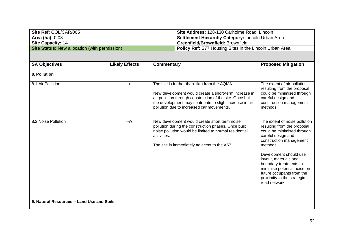| Site Ref: COL/CAR/005                                | Site Address: 128-130 Carholme Road, Lincoln                   |
|------------------------------------------------------|----------------------------------------------------------------|
| <b>Area (ha): 0.08</b>                               | Settlement Hierarchy Category: Lincoln Urban Area              |
| <b>Site Capacity: 14</b>                             | <b>Greenfield/Brownfield: Brownfield</b>                       |
| <b>Site Status:</b> New allocation (with permission) | <b>Policy Ref:</b> S77 Housing Sites in the Lincoln Urban Area |

| <b>SA Objectives</b>                      | <b>Likely Effects</b> | <b>Commentary</b>                                                                                                                                                                                                                                                           | <b>Proposed Mitigation</b>                                                                                                                                                                                                                                                                                                                      |
|-------------------------------------------|-----------------------|-----------------------------------------------------------------------------------------------------------------------------------------------------------------------------------------------------------------------------------------------------------------------------|-------------------------------------------------------------------------------------------------------------------------------------------------------------------------------------------------------------------------------------------------------------------------------------------------------------------------------------------------|
|                                           |                       |                                                                                                                                                                                                                                                                             |                                                                                                                                                                                                                                                                                                                                                 |
| 8. Pollution                              |                       |                                                                                                                                                                                                                                                                             |                                                                                                                                                                                                                                                                                                                                                 |
| 8.1 Air Pollution                         | $\ddot{}$             | The site is further than 1km from the AQMA.<br>New development would create a short-term increase in<br>air pollution through construction of the site. Once built<br>the development may contribute to slight increase in air<br>pollution due to increased car movements. | The extent of air pollution<br>resulting from the proposal<br>could be minimised through<br>careful design and<br>construction management<br>methods                                                                                                                                                                                            |
| 8.2 Noise Pollution                       | $-1$ ?                | New development would create short term noise<br>pollution during the construction phases. Once built<br>noise pollution would be limited to normal residential<br>activities.<br>The site is immediately adjacent to the A57.                                              | The extent of noise pollution<br>resulting from the proposal<br>could be minimised through<br>careful design and<br>construction management<br>methods.<br>Development should use<br>layout, materials and<br>boundary treatments to<br>minimise potential noise on<br>future occupants from the<br>proximity to the strategic<br>road network. |
| 9. Natural Resources - Land Use and Soils |                       |                                                                                                                                                                                                                                                                             |                                                                                                                                                                                                                                                                                                                                                 |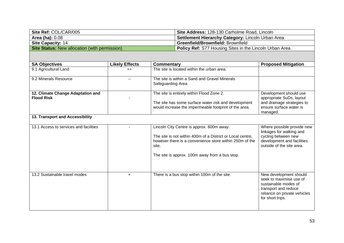| Site Ref: COL/CAR/005                                | <b>Site Address: 128-130 Carholme Road, Lincoln</b>            |
|------------------------------------------------------|----------------------------------------------------------------|
| <b>Area (ha): 0.08</b>                               | <b>Settlement Hierarchy Category: Lincoln Urban Area</b>       |
| <b>Site Capacity: 14</b>                             | <b>Greenfield/Brownfield: Brownfield</b>                       |
| <b>Site Status:</b> New allocation (with permission) | <b>Policy Ref:</b> S77 Housing Sites in the Lincoln Urban Area |

| <b>SA Objectives</b>                                   | <b>Likely Effects</b> | Commentary                                                                                                                                                 | <b>Proposed Mitigation</b>                                                                                              |
|--------------------------------------------------------|-----------------------|------------------------------------------------------------------------------------------------------------------------------------------------------------|-------------------------------------------------------------------------------------------------------------------------|
| 9.1 Agricultural Land                                  | $++$                  | The site is located within the urban area.                                                                                                                 |                                                                                                                         |
| 9.2 Minerals Resource                                  |                       | The site is within a Sand and Gravel Minerals<br>Safeguarding Area                                                                                         |                                                                                                                         |
| 12. Climate Change Adaptation and<br><b>Flood Risk</b> |                       | The site is entirely within Flood Zone 2.<br>The site has some surface water risk and development<br>would increase the impermeable footprint of the area. | Development should use<br>appropriate SuDs, layout<br>and drainage strategies to<br>ensure surface water is<br>managed. |

## **13. Transport and Accessibility**

| 13.1 Access to services and facilities |    | Lincoln City Centre is approx. 600m away.<br>The site is not within 400m of a District or Local centre,<br>however there is a convenience store within 250m of the<br>site.<br>The site is approx. 100m away from a bus stop. | Where possible provide new<br>linkages for walking and<br>cycling between new<br>development and facilities<br>outside of the site area.              |
|----------------------------------------|----|-------------------------------------------------------------------------------------------------------------------------------------------------------------------------------------------------------------------------------|-------------------------------------------------------------------------------------------------------------------------------------------------------|
| 13.2 Sustainable travel modes          | ÷. | There is a bus stop within 100m of the site.                                                                                                                                                                                  | New development should<br>seek to maximise use of<br>sustainable modes of<br>transport and reduce<br>reliance on private vehicles<br>for short trips. |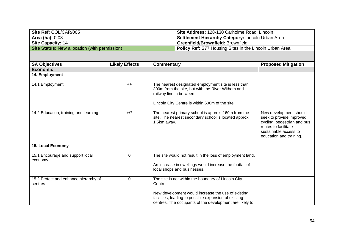| Site Ref: COL/CAR/005                                | <b>Site Address: 128-130 Carholme Road, Lincoln</b>            |
|------------------------------------------------------|----------------------------------------------------------------|
| <b>Area (ha):</b> 0.08                               | <b>Settlement Hierarchy Category: Lincoln Urban Area</b>       |
| <b>Site Capacity: 14</b>                             | <b>Greenfield/Brownfield: Brownfield</b>                       |
| <b>Site Status:</b> New allocation (with permission) | <b>Policy Ref:</b> S77 Housing Sites in the Lincoln Urban Area |

| <b>SA Objectives</b>                             | <b>Likely Effects</b> | Commentary                                                                                                                                                                                                                               | <b>Proposed Mitigation</b>                                                                                                                                    |
|--------------------------------------------------|-----------------------|------------------------------------------------------------------------------------------------------------------------------------------------------------------------------------------------------------------------------------------|---------------------------------------------------------------------------------------------------------------------------------------------------------------|
| <b>Economic</b>                                  |                       |                                                                                                                                                                                                                                          |                                                                                                                                                               |
| 14. Employment                                   |                       |                                                                                                                                                                                                                                          |                                                                                                                                                               |
| 14.1 Employment                                  | $++$                  | The nearest designated employment site is less than<br>300m from the site, but with the River Witham and<br>railway line in between.<br>Lincoln City Centre is within 600m of the site.                                                  |                                                                                                                                                               |
| 14.2 Education, training and learning            | $+$ /?                | The nearest primary school is approx. 160m from the<br>site. The nearest secondary school is located approx.<br>1.5km away.                                                                                                              | New development should<br>seek to provide improved<br>cycling, pedestrian and bus<br>routes to facilitate<br>sustainable access to<br>education and training. |
| 15. Local Economy                                |                       |                                                                                                                                                                                                                                          |                                                                                                                                                               |
| 15.1 Encourage and support local<br>economy      | 0                     | The site would not result in the loss of employment land.<br>An increase in dwellings would increase the footfall of<br>local shops and businesses.                                                                                      |                                                                                                                                                               |
| 15.2 Protect and enhance hierarchy of<br>centres | 0                     | The site is not within the boundary of Lincoln City<br>Centre.<br>New development would increase the use of existing<br>facilities, leading to possible expansion of existing<br>centres. The occupants of the development are likely to |                                                                                                                                                               |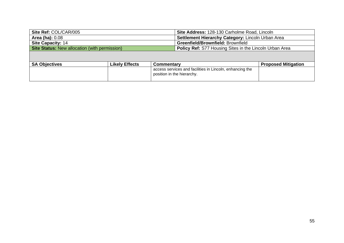| Site Ref: COL/CAR/005                                |                       | Site Address: 128-130 Carholme Road, Lincoln             |                            |  |
|------------------------------------------------------|-----------------------|----------------------------------------------------------|----------------------------|--|
| <b>Area (ha): 0.08</b>                               |                       | Settlement Hierarchy Category: Lincoln Urban Area        |                            |  |
| <b>Site Capacity: 14</b>                             |                       | Greenfield/Brownfield: Brownfield                        |                            |  |
| <b>Site Status: New allocation (with permission)</b> |                       | Policy Ref: S77 Housing Sites in the Lincoln Urban Area  |                            |  |
|                                                      |                       |                                                          |                            |  |
|                                                      |                       |                                                          |                            |  |
| <b>SA Objectives</b>                                 | <b>Likely Effects</b> | <b>Commentary</b>                                        | <b>Proposed Mitigation</b> |  |
|                                                      |                       | access services and facilities in Lincoln, enhancing the |                            |  |

position in the hierarchy.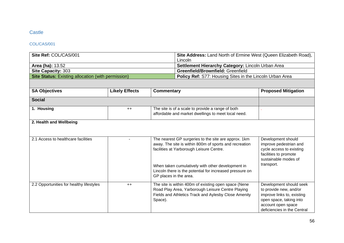# **Castle**

### COL/CAS/001

| Site Ref: COL/CAS/001                                     |                       | Site Address: Land North of Ermine West (Queen Elizabeth Road),<br>Lincoln |                                                                                                                                                                                                                 |                                                                                                                                                                 |
|-----------------------------------------------------------|-----------------------|----------------------------------------------------------------------------|-----------------------------------------------------------------------------------------------------------------------------------------------------------------------------------------------------------------|-----------------------------------------------------------------------------------------------------------------------------------------------------------------|
| Area (ha): 13.52                                          |                       | Settlement Hierarchy Category: Lincoln Urban Area                          |                                                                                                                                                                                                                 |                                                                                                                                                                 |
| Site Capacity: 303                                        |                       |                                                                            | Greenfield/Brownfield: Greenfield                                                                                                                                                                               |                                                                                                                                                                 |
| <b>Site Status: Existing allocation (with permission)</b> |                       |                                                                            | Policy Ref: S77: Housing Sites in the Lincoln Urban Area                                                                                                                                                        |                                                                                                                                                                 |
|                                                           |                       |                                                                            |                                                                                                                                                                                                                 |                                                                                                                                                                 |
| <b>SA Objectives</b>                                      | <b>Likely Effects</b> | <b>Commentary</b>                                                          |                                                                                                                                                                                                                 | <b>Proposed Mitigation</b>                                                                                                                                      |
| <b>Social</b>                                             |                       |                                                                            |                                                                                                                                                                                                                 |                                                                                                                                                                 |
| 1. Housing                                                | $++$                  |                                                                            | The site is of a scale to provide a range of both<br>affordable and market dwellings to meet local need.                                                                                                        |                                                                                                                                                                 |
| 2. Health and Wellbeing                                   |                       |                                                                            |                                                                                                                                                                                                                 |                                                                                                                                                                 |
| 2.1 Access to healthcare facilities                       |                       |                                                                            | The nearest GP surgeries to the site are approx. 1km<br>away. The site is within 800m of sports and recreation<br>facilities at Yarborough Leisure Centre.<br>When taken cumulatively with other development in | Development should<br>improve pedestrian and<br>cycle access to existing<br>facilities to promote<br>sustainable modes of<br>transport.                         |
|                                                           |                       |                                                                            | Lincoln there is the potential for increased pressure on<br>GP places in the area.                                                                                                                              |                                                                                                                                                                 |
| 2.2 Opportunities for healthy lifestyles                  | $++$                  | Space).                                                                    | The site is within 400m of existing open space (Nene<br>Road Play Area, Yarborough Leisure Centre Playing<br>Fields and Athletics Track and Aylesby Close Amenity                                               | Development should seek<br>to provide new, and/or<br>improve links to, existing<br>open space, taking into<br>account open space<br>deficiencies in the Central |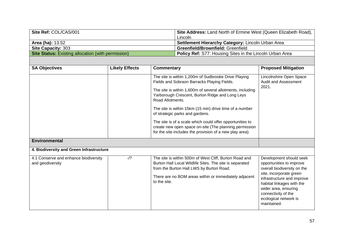| Site Ref: COL/CAS/001                                     | <b>Site Address:</b> Land North of Ermine West (Queen Elizabeth Road), |
|-----------------------------------------------------------|------------------------------------------------------------------------|
|                                                           | Lincoln                                                                |
| <b>Area (ha): 13.52</b>                                   | Settlement Hierarchy Category: Lincoln Urban Area                      |
| <b>Site Capacity: 303</b>                                 | <b>Greenfield/Brownfield: Greenfield</b>                               |
| <b>Site Status:</b> Existing allocation (with permission) | <b>Policy Ref: S77: Housing Sites in the Lincoln Urban Area</b>        |

| <b>SA Objectives</b>                                      | <b>Likely Effects</b> | <b>Commentary</b>                                                                                                                                                                                                                                                                                                                                                                                                                                                                                                         | <b>Proposed Mitigation</b>                                                                                                                                                                                                                                      |
|-----------------------------------------------------------|-----------------------|---------------------------------------------------------------------------------------------------------------------------------------------------------------------------------------------------------------------------------------------------------------------------------------------------------------------------------------------------------------------------------------------------------------------------------------------------------------------------------------------------------------------------|-----------------------------------------------------------------------------------------------------------------------------------------------------------------------------------------------------------------------------------------------------------------|
|                                                           |                       | The site is within 1,200m of Sudbrooke Drive Playing<br>Fields and Sobraon Barracks Playing Fields.<br>The site is within 1,600m of several allotments, including<br>Yarborough Crescent, Burton Ridge and Long Leys<br>Road Allotments.<br>The site is within 15km (15 min) drive time of a number<br>of strategic parks and gardens.<br>The site is of a scale which could offer opportunities to<br>create new open space on-site (The planning permission<br>for the site includes the provision of a new play area). | Lincolnshire Open Space<br><b>Audit and Assessment</b><br>2021.                                                                                                                                                                                                 |
| <b>Environmental</b>                                      |                       |                                                                                                                                                                                                                                                                                                                                                                                                                                                                                                                           |                                                                                                                                                                                                                                                                 |
| 4. Biodiversity and Green Infrastructure                  |                       |                                                                                                                                                                                                                                                                                                                                                                                                                                                                                                                           |                                                                                                                                                                                                                                                                 |
| 4.1 Conserve and enhance biodiversity<br>and geodiversity | $-1$ ?                | The site is within 500m of West Cliff, Burton Road and<br>Burton Hall Local Wildlife Sites. The site is separated<br>from the Burton Hall LWS by Burton Road.<br>There are no BOM areas within or immediately adjacent<br>to the site.                                                                                                                                                                                                                                                                                    | Development should seek<br>opportunities to improve<br>overall biodiversity on the<br>site, incorporate green<br>infrastructure and improve<br>habitat linkages with the<br>wider area, ensuring<br>connectivity of the<br>ecological network is<br>maintained. |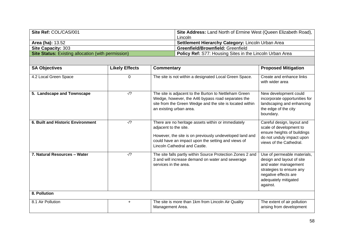| Site Ref: COL/CAS/001                                     | Site Address: Land North of Ermine West (Queen Elizabeth Road), |
|-----------------------------------------------------------|-----------------------------------------------------------------|
|                                                           | Lincoln                                                         |
| <b>Area (ha): 13.52</b>                                   | <b>Settlement Hierarchy Category: Lincoln Urban Area</b>        |
| <b>Site Capacity: 303</b>                                 | <b>Greenfield/Brownfield: Greenfield</b>                        |
| <b>Site Status:</b> Existing allocation (with permission) | Policy Ref: S77: Housing Sites in the Lincoln Urban Area        |

| <b>SA Objectives</b>              | <b>Likely Effects</b> | <b>Commentary</b>                                                                                                                                                                                                             | <b>Proposed Mitigation</b>                                                                                                                                               |
|-----------------------------------|-----------------------|-------------------------------------------------------------------------------------------------------------------------------------------------------------------------------------------------------------------------------|--------------------------------------------------------------------------------------------------------------------------------------------------------------------------|
| 4.2 Local Green Space             | 0                     | The site is not within a designated Local Green Space.                                                                                                                                                                        | Create and enhance links<br>with wider area                                                                                                                              |
| 5. Landscape and Townscape        | $-1$ ?                | The site is adjacent to the Burton to Nettleham Green<br>Wedge, however, the A46 bypass road separates the<br>site from the Green Wedge and the site is located within<br>an existing urban area.                             | New development could<br>incorporate opportunities for<br>landscaping and enhancing<br>the edge of the city<br>boundary.                                                 |
| 6. Built and Historic Environment | $-1$ ?                | There are no heritage assets within or immediately<br>adjacent to the site.<br>However, the site is on previously undeveloped land and<br>could have an impact upon the setting and views of<br>Lincoln Cathedral and Castle. | Careful design, layout and<br>scale of development to<br>ensure heights of buildings<br>do not unduly impact upon<br>views of the Cathedral.                             |
| 7. Natural Resources - Water      | $-1$ ?                | The site falls partly within Source Protection Zones 2 and<br>3 and will increase demand on water and sewerage<br>services in the area.                                                                                       | Use of permeable materials,<br>design and layout of site<br>and water management<br>strategies to ensure any<br>negative effects are<br>adequately mitigated<br>against. |
| 8. Pollution                      |                       |                                                                                                                                                                                                                               |                                                                                                                                                                          |
| 8.1 Air Pollution                 | $\ddot{}$             | The site is more than 1km from Lincoln Air Quality<br>Management Area.                                                                                                                                                        | The extent of air pollution<br>arising from development                                                                                                                  |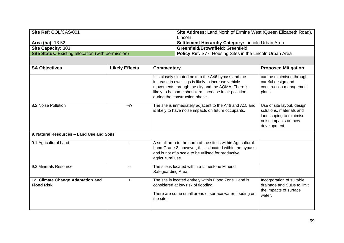| Site Ref: COL/CAS/001                                     | <b>Site Address:</b> Land North of Ermine West (Queen Elizabeth Road), |
|-----------------------------------------------------------|------------------------------------------------------------------------|
|                                                           | Lincoln                                                                |
| <b>Area (ha): 13.52</b>                                   | Settlement Hierarchy Category: Lincoln Urban Area                      |
| <b>Site Capacity: 303</b>                                 | <b>Greenfield/Brownfield: Greenfield</b>                               |
| <b>Site Status:</b> Existing allocation (with permission) | <b>Policy Ref: S77: Housing Sites in the Lincoln Urban Area</b>        |

| <b>SA Objectives</b>                                   | <b>Likely Effects</b> | <b>Commentary</b>                                                                                                                                                                                                                                             | <b>Proposed Mitigation</b>                                                                                                |
|--------------------------------------------------------|-----------------------|---------------------------------------------------------------------------------------------------------------------------------------------------------------------------------------------------------------------------------------------------------------|---------------------------------------------------------------------------------------------------------------------------|
|                                                        |                       | It is closely situated next to the A46 bypass and the<br>increase in dwellings is likely to increase vehicle<br>movements through the city and the AQMA. There is<br>likely to be some short-term increase in air pollution<br>during the construction phase. | can be minimised through<br>careful design and<br>construction management<br>plans.                                       |
| 8.2 Noise Pollution                                    | $-1$ ?                | The site is immediately adjacent to the A46 and A15 and<br>is likely to have noise impacts on future occupants.                                                                                                                                               | Use of site layout, design<br>solutions, materials and<br>landscaping to minimise<br>noise impacts on new<br>development. |
| 9. Natural Resources - Land Use and Soils              |                       |                                                                                                                                                                                                                                                               |                                                                                                                           |
| 9.1 Agricultural Land                                  |                       | A small area to the north of the site is within Agricultural<br>Land Grade 2, however, this is located within the bypass<br>and is not of a scale to be utilised for productive<br>agricultural use.                                                          |                                                                                                                           |
| 9.2 Minerals Resource                                  |                       | The site is located within a Limestone Mineral<br>Safeguarding Area.                                                                                                                                                                                          |                                                                                                                           |
| 12. Climate Change Adaptation and<br><b>Flood Risk</b> | $\ddot{}$             | The site is located entirely within Flood Zone 1 and is<br>considered at low risk of flooding.<br>There are some small areas of surface water flooding on<br>the site.                                                                                        | Incorporation of suitable<br>drainage and SuDs to limit<br>the impacts of surface<br>water.                               |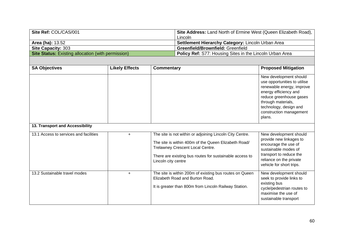| Site Ref: COL/CAS/001                                     | Site Address: Land North of Ermine West (Queen Elizabeth Road), |
|-----------------------------------------------------------|-----------------------------------------------------------------|
|                                                           | Lincoln                                                         |
| <b>Area (ha): 13.52</b>                                   | Settlement Hierarchy Category: Lincoln Urban Area               |
| <b>Site Capacity: 303</b>                                 | <b>Greenfield/Brownfield: Greenfield</b>                        |
| <b>Site Status:</b> Existing allocation (with permission) | <b>Policy Ref:</b> S77: Housing Sites in the Lincoln Urban Area |

| <b>SA Objectives</b>                   | <b>Likely Effects</b> | <b>Commentary</b>                                                                                                                                                                                                                      | <b>Proposed Mitigation</b>                                                                                                                                                                                                   |  |  |
|----------------------------------------|-----------------------|----------------------------------------------------------------------------------------------------------------------------------------------------------------------------------------------------------------------------------------|------------------------------------------------------------------------------------------------------------------------------------------------------------------------------------------------------------------------------|--|--|
|                                        |                       |                                                                                                                                                                                                                                        | New development should<br>use opportunities to utilise<br>renewable energy, improve<br>energy efficiency and<br>reduce greenhouse gases<br>through materials,<br>technology, design and<br>construction management<br>plans. |  |  |
| 13. Transport and Accessibility        |                       |                                                                                                                                                                                                                                        |                                                                                                                                                                                                                              |  |  |
| 13.1 Access to services and facilities | $\ddot{}$             | The site is not within or adjoining Lincoln City Centre.<br>The site is within 400m of the Queen Elizabeth Road/<br>Trelawney Crescent Local Centre.<br>There are existing bus routes for sustainable access to<br>Lincoln city centre | New development should<br>provide new linkages to<br>encourage the use of<br>sustainable modes of<br>transport to reduce the<br>reliance on the private<br>vehicle for short trips.                                          |  |  |
| 13.2 Sustainable travel modes          | $\ddot{}$             | The site is within 200m of existing bus routes on Queen<br>Elizabeth Road and Burton Road.<br>It is greater than 800m from Lincoln Railway Station.                                                                                    | New development should<br>seek to provide links to<br>existing bus<br>cycle/pedestrian routes to<br>maximise the use of<br>sustainable transport                                                                             |  |  |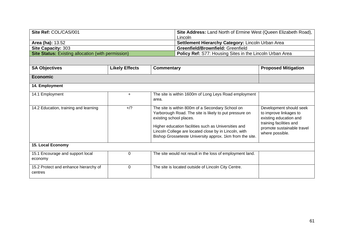| Site Ref: COL/CAS/001                                     |                       |                                                   | Site Address: Land North of Ermine West (Queen Elizabeth Road),<br>Lincoln                                                                                                                                                                                                              |                                                                                                                                                         |
|-----------------------------------------------------------|-----------------------|---------------------------------------------------|-----------------------------------------------------------------------------------------------------------------------------------------------------------------------------------------------------------------------------------------------------------------------------------------|---------------------------------------------------------------------------------------------------------------------------------------------------------|
| Area (ha): 13.52                                          |                       | Settlement Hierarchy Category: Lincoln Urban Area |                                                                                                                                                                                                                                                                                         |                                                                                                                                                         |
| Site Capacity: 303                                        |                       |                                                   | Greenfield/Brownfield: Greenfield                                                                                                                                                                                                                                                       |                                                                                                                                                         |
| <b>Site Status: Existing allocation (with permission)</b> |                       |                                                   | Policy Ref: S77: Housing Sites in the Lincoln Urban Area                                                                                                                                                                                                                                |                                                                                                                                                         |
|                                                           |                       |                                                   |                                                                                                                                                                                                                                                                                         |                                                                                                                                                         |
| <b>SA Objectives</b>                                      | <b>Likely Effects</b> | <b>Commentary</b>                                 |                                                                                                                                                                                                                                                                                         | <b>Proposed Mitigation</b>                                                                                                                              |
| <b>Economic</b>                                           |                       |                                                   |                                                                                                                                                                                                                                                                                         |                                                                                                                                                         |
| 14. Employment                                            |                       |                                                   |                                                                                                                                                                                                                                                                                         |                                                                                                                                                         |
| 14.1 Employment                                           | $\ddot{}$             | area.                                             | The site is within 1600m of Long Leys Road employment                                                                                                                                                                                                                                   |                                                                                                                                                         |
| 14.2 Education, training and learning                     | $+$ /?                | existing school places.                           | The site is within 800m of a Secondary School on<br>Yarborough Road. The site is likely to put pressure on<br>Higher education facilities such as Universities and<br>Lincoln College are located close by in Lincoln, with<br>Bishop Grosseteste University approx. 1km from the site. | Development should seek<br>to improve linkages to<br>existing education and<br>training facilities and<br>promote sustainable travel<br>where possible. |
| 15. Local Economy                                         |                       |                                                   |                                                                                                                                                                                                                                                                                         |                                                                                                                                                         |
| 15.1 Encourage and support local<br>economy               | $\mathbf 0$           |                                                   | The site would not result in the loss of employment land.                                                                                                                                                                                                                               |                                                                                                                                                         |
| 15.2 Protect and enhance hierarchy of<br>centres          | 0                     |                                                   | The site is located outside of Lincoln City Centre.                                                                                                                                                                                                                                     |                                                                                                                                                         |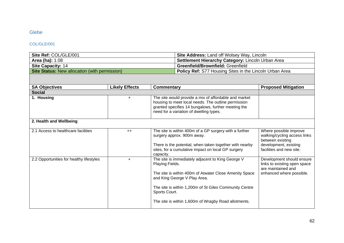# Glebe

## COL/GLE/001

| Site Ref: COL/GLE/001                                | <b>Site Address: Land off Wolsey Way, Lincoln</b>              |
|------------------------------------------------------|----------------------------------------------------------------|
| <b>Area (ha): 1.08</b>                               | <b>Settlement Hierarchy Category: Lincoln Urban Area</b>       |
| Site Capacity: 14                                    | <b>Greenfield/Brownfield: Greenfield</b>                       |
| <b>Site Status:</b> New allocation (with permission) | <b>Policy Ref:</b> S77 Housing Sites in the Lincoln Urban Area |

| <b>SA Objectives</b>                     | <b>Likely Effects</b> | Commentary                                                                                                                                                                                                                                                                                        | <b>Proposed Mitigation</b>                                                                                                      |  |
|------------------------------------------|-----------------------|---------------------------------------------------------------------------------------------------------------------------------------------------------------------------------------------------------------------------------------------------------------------------------------------------|---------------------------------------------------------------------------------------------------------------------------------|--|
| <b>Social</b>                            |                       |                                                                                                                                                                                                                                                                                                   |                                                                                                                                 |  |
| 1. Housing                               | ÷.                    | The site would provide a mix of affordable and market<br>housing to meet local needs. The outline permission<br>granted specifies 14 bungalows, further meeting the<br>need for a variation of dwelling types.                                                                                    |                                                                                                                                 |  |
| 2. Health and Wellbeing                  |                       |                                                                                                                                                                                                                                                                                                   |                                                                                                                                 |  |
| 2.1 Access to healthcare facilities      | $++$                  | The site is within 400m of a GP surgery with a further<br>surgery approx. 900m away.<br>There is the potential, when taken together with nearby<br>sites, for a cumulative impact on local GP surgery<br>capacity.                                                                                | Where possible improve<br>walking/cycling access links<br>between existing<br>development, existing<br>facilities and new site. |  |
| 2.2 Opportunities for healthy lifestyles | $\ddot{}$             | The site is immediately adjacent to King George V<br>Playing Fields.<br>The site is within 400m of Atwater Close Amenity Space<br>and King George V Play Area.<br>The site is within 1,200m of St Giles Community Centre<br>Sports Court.<br>The site is within 1,600m of Wragby Road allotments. | Development should ensure<br>links to existing open space<br>are maintained and<br>enhanced where possible.                     |  |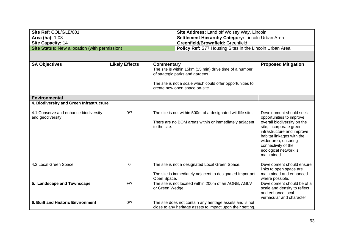| Site Ref: COL/GLE/001                                | <b>Site Address: Land off Wolsey Way, Lincoln</b>              |
|------------------------------------------------------|----------------------------------------------------------------|
| <b>Area (ha): 1.08</b>                               | <b>Settlement Hierarchy Category: Lincoln Urban Area</b>       |
| <b>Site Capacity: 14</b>                             | <b>Greenfield/Brownfield: Greenfield</b>                       |
| <b>Site Status:</b> New allocation (with permission) | <b>Policy Ref:</b> S77 Housing Sites in the Lincoln Urban Area |

| <b>SA Objectives</b>                                      | <b>Likely Effects</b> | Commentary                                                                                                             | <b>Proposed Mitigation</b>                                                                                                                                                                               |
|-----------------------------------------------------------|-----------------------|------------------------------------------------------------------------------------------------------------------------|----------------------------------------------------------------------------------------------------------------------------------------------------------------------------------------------------------|
|                                                           |                       | The site is within 15km (15 min) drive time of a number<br>of strategic parks and gardens.                             |                                                                                                                                                                                                          |
|                                                           |                       | The site is not a scale which could offer opportunities to<br>create new open space on-site.                           |                                                                                                                                                                                                          |
| <b>Environmental</b>                                      |                       |                                                                                                                        |                                                                                                                                                                                                          |
| 4. Biodiversity and Green Infrastructure                  |                       |                                                                                                                        |                                                                                                                                                                                                          |
| 4.1 Conserve and enhance biodiversity<br>and geodiversity | 0/2                   | The site is not within 500m of a designated wildlife site.                                                             | Development should seek<br>opportunities to improve                                                                                                                                                      |
|                                                           |                       | There are no BOM areas within or immediately adjacent<br>to the site.                                                  | overall biodiversity on the<br>site, incorporate green<br>infrastructure and improve<br>habitat linkages with the<br>wider area, ensuring<br>connectivity of the<br>ecological network is<br>maintained. |
| 4.2 Local Green Space                                     | $\mathbf 0$           | The site is not a designated Local Green Space.<br>The site is immediately adjacent to designated Important            | Development should ensure<br>links to open space are<br>maintained and enhanced                                                                                                                          |
|                                                           |                       | Open Space.                                                                                                            | where possible.                                                                                                                                                                                          |
| 5. Landscape and Townscape                                | $+$ /?                | The site is not located within 200m of an AONB, AGLV<br>or Green Wedge.                                                | Development should be of a<br>scale and density to reflect<br>and enhance local<br>vernacular and character                                                                                              |
| <b>6. Built and Historic Environment</b>                  | 0/2                   | The site does not contain any heritage assets and is not<br>close to any heritage assets to impact upon their setting. |                                                                                                                                                                                                          |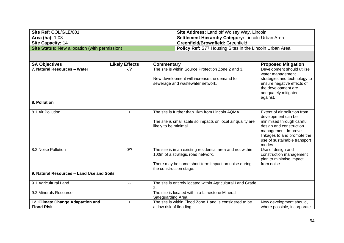| Site Ref: COL/GLE/001                                | <b>Site Address: Land off Wolsey Way, Lincoln</b>              |
|------------------------------------------------------|----------------------------------------------------------------|
| <b>Area (ha): 1.08</b>                               | <b>Settlement Hierarchy Category: Lincoln Urban Area</b>       |
| <b>Site Capacity: 14</b>                             | <b>Greenfield/Brownfield: Greenfield</b>                       |
| <b>Site Status:</b> New allocation (with permission) | <b>Policy Ref:</b> S77 Housing Sites in the Lincoln Urban Area |

| <b>SA Objectives</b>                                   | <b>Likely Effects</b> | Commentary                                                                                      | <b>Proposed Mitigation</b>                                                                                                                           |
|--------------------------------------------------------|-----------------------|-------------------------------------------------------------------------------------------------|------------------------------------------------------------------------------------------------------------------------------------------------------|
| 7. Natural Resources - Water                           | $-1?$                 | The site is within Source Protection Zone 2 and 3.                                              | Development should utilise<br>water management                                                                                                       |
|                                                        |                       | New development will increase the demand for                                                    | strategies and technology to                                                                                                                         |
|                                                        |                       | sewerage and wastewater network.                                                                | ensure negative effects of<br>the development are                                                                                                    |
|                                                        |                       |                                                                                                 | adequately mitigated                                                                                                                                 |
|                                                        |                       |                                                                                                 | against.                                                                                                                                             |
| 8. Pollution                                           |                       |                                                                                                 |                                                                                                                                                      |
| 8.1 Air Pollution                                      | $+$                   | The site is further than 1km from Lincoln AQMA.                                                 | Extent of air pollution from<br>development can be                                                                                                   |
|                                                        |                       | The site is small scale so impacts on local air quality are<br>likely to be minimal.            | minimised through careful<br>design and construction<br>management. Improve<br>linkages to and promote the<br>use of sustainable transport<br>modes. |
| 8.2 Noise Pollution                                    | 0/2                   | The site is in an existing residential area and not within<br>100m of a strategic road network. | Use of design and<br>construction management<br>plan to minimise impact                                                                              |
|                                                        |                       | There may be some short-term impact on noise during<br>the construction stage.                  | from noise.                                                                                                                                          |
| 9. Natural Resources - Land Use and Soils              |                       |                                                                                                 |                                                                                                                                                      |
| 9.1 Agricultural Land                                  | --                    | The site is entirely located within Agricultural Land Grade<br>2.                               |                                                                                                                                                      |
| 9.2 Minerals Resource                                  | $\sim$ $\sim$         | The site is located within a Limestone Mineral<br>Safeguarding Area.                            |                                                                                                                                                      |
| 12. Climate Change Adaptation and<br><b>Flood Risk</b> | +                     | The site is within Flood Zone 1 and is considered to be<br>at low risk of flooding.             | New development should,<br>where possible, incorporate                                                                                               |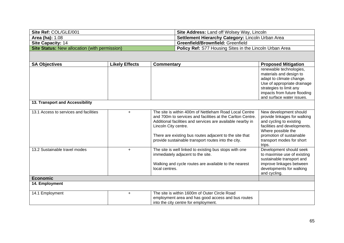| Site Ref: COL/GLE/001                                | <b>Site Address: Land off Wolsey Way, Lincoln</b>              |
|------------------------------------------------------|----------------------------------------------------------------|
| <b>Area (ha): 1.08</b>                               | Settlement Hierarchy Category: Lincoln Urban Area              |
| <b>Site Capacity: 14</b>                             | <b>Greenfield/Brownfield: Greenfield</b>                       |
| <b>Site Status:</b> New allocation (with permission) | <b>Policy Ref:</b> S77 Housing Sites in the Lincoln Urban Area |

| <b>SA Objectives</b>                   | <b>Likely Effects</b> | Commentary                                                 | <b>Proposed Mitigation</b>                                |
|----------------------------------------|-----------------------|------------------------------------------------------------|-----------------------------------------------------------|
|                                        |                       |                                                            | renewable technologies,                                   |
|                                        |                       |                                                            | materials and design to                                   |
|                                        |                       |                                                            | adapt to climate change.                                  |
|                                        |                       |                                                            | Use of appropriate drainage                               |
|                                        |                       |                                                            | strategies to limit any                                   |
|                                        |                       |                                                            | impacts from future flooding<br>and surface water issues. |
| 13. Transport and Accessibility        |                       |                                                            |                                                           |
|                                        |                       |                                                            |                                                           |
| 13.1 Access to services and facilities | $\ddot{}$             | The site is within 400m of Nettleham Road Local Centre     | New development should                                    |
|                                        |                       | and 700m to services and facilities at the Carlton Centre. | provide linkages for walking                              |
|                                        |                       | Additional facilities and services are available nearby in | and cycling to existing                                   |
|                                        |                       | Lincoln City centre.                                       | facilities and developments.                              |
|                                        |                       |                                                            | Where possible the                                        |
|                                        |                       | There are existing bus routes adjacent to the site that    | promotion of sustainable                                  |
|                                        |                       | provide sustainable transport routes into the city.        | transport modes for short                                 |
| 13.2 Sustainable travel modes          | $+$                   | The site is well linked to existing bus stops with one     | trips.<br>Development should seek                         |
|                                        |                       | immediately adjacent to the site.                          | to maximise use of existing                               |
|                                        |                       |                                                            | sustainable transport and                                 |
|                                        |                       | Walking and cycle routes are available to the nearest      | improve linkages between                                  |
|                                        |                       | local centres.                                             | developments for walking                                  |
|                                        |                       |                                                            | and cycling.                                              |
| <b>Economic</b>                        |                       |                                                            |                                                           |
| 14. Employment                         |                       |                                                            |                                                           |
| 14.1 Employment                        | $\ddot{}$             | The site is within 1600m of Outer Circle Road              |                                                           |
|                                        |                       | employment area and has good access and bus routes         |                                                           |
|                                        |                       | into the city centre for employment.                       |                                                           |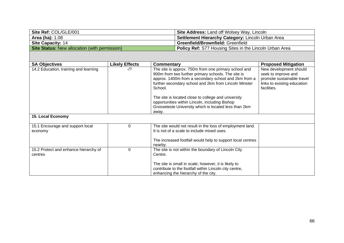| Site Ref: COL/GLE/001                                | <b>Site Address: Land off Wolsey Way, Lincoln</b>              |
|------------------------------------------------------|----------------------------------------------------------------|
| <b>Area (ha): 1.08</b>                               | <b>Settlement Hierarchy Category: Lincoln Urban Area</b>       |
| <b>Site Capacity: 14</b>                             | <b>Greenfield/Brownfield: Greenfield</b>                       |
| <b>Site Status:</b> New allocation (with permission) | <b>Policy Ref:</b> S77 Housing Sites in the Lincoln Urban Area |

| <b>SA Objectives</b>                             | <b>Likely Effects</b> | Commentary                                                                                                                                                                                                                             | <b>Proposed Mitigation</b>                                                                                                |
|--------------------------------------------------|-----------------------|----------------------------------------------------------------------------------------------------------------------------------------------------------------------------------------------------------------------------------------|---------------------------------------------------------------------------------------------------------------------------|
| 14.2 Education, training and learning            | $-1?$                 | The site is approx. 750m from one primary school and<br>900m from two further primary schools. The site is<br>approx. 1400m from a secondary school and 2km from a<br>further secondary school and 2km from Lincoln Minster<br>School. | New development should<br>seek to improve and<br>promote sustainable travel<br>links to existing education<br>facilities. |
|                                                  |                       | The site is located close to college and university<br>opportunities within Lincoln, including Bishop<br>Grosseteste University which is located less than 2km<br>away.                                                                |                                                                                                                           |
| 15. Local Economy                                |                       |                                                                                                                                                                                                                                        |                                                                                                                           |
|                                                  |                       |                                                                                                                                                                                                                                        |                                                                                                                           |
| 15.1 Encourage and support local<br>economy      | 0                     | The site would not result in the loss of employment land.<br>It is not of a scale to include mixed uses.                                                                                                                               |                                                                                                                           |
|                                                  |                       | The increased footfall would help to support local centres<br>nearby.                                                                                                                                                                  |                                                                                                                           |
| 15.2 Protect and enhance hierarchy of<br>centres | 0                     | The site is not within the boundary of Lincoln City<br>Centre.                                                                                                                                                                         |                                                                                                                           |
|                                                  |                       | The site is small in scale; however, it is likely to<br>contribute to the footfall within Lincoln city centre,<br>enhancing the hierarchy of the city.                                                                                 |                                                                                                                           |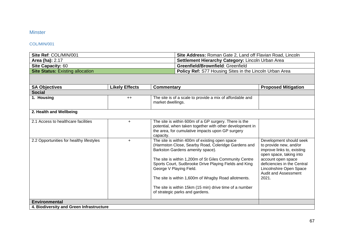# **Minster**

## COL/MIN/001

| Site Ref: COL/MIN/001                   | Site Address: Roman Gate 2, Land off Flavian Road, Lincoln     |  |  |
|-----------------------------------------|----------------------------------------------------------------|--|--|
| <b>Area (ha): 2.17</b>                  | <b>Settlement Hierarchy Category: Lincoln Urban Area</b>       |  |  |
| <b>Site Capacity: 60</b>                | <b>Greenfield/Brownfield: Greenfield</b>                       |  |  |
| <b>Site Status: Existing allocation</b> | <b>Policy Ref:</b> S77 Housing Sites in the Lincoln Urban Area |  |  |

| <b>SA Objectives</b>                     | <b>Likely Effects</b> | <b>Commentary</b>                                                                                                                                                                                                                                                                                                                                                                                                                             | <b>Proposed Mitigation</b>                                                                                                                                                                                                         |  |
|------------------------------------------|-----------------------|-----------------------------------------------------------------------------------------------------------------------------------------------------------------------------------------------------------------------------------------------------------------------------------------------------------------------------------------------------------------------------------------------------------------------------------------------|------------------------------------------------------------------------------------------------------------------------------------------------------------------------------------------------------------------------------------|--|
| <b>Social</b>                            |                       |                                                                                                                                                                                                                                                                                                                                                                                                                                               |                                                                                                                                                                                                                                    |  |
| 1. Housing                               | $++$                  | The site is of a scale to provide a mix of affordable and<br>market dwellings.                                                                                                                                                                                                                                                                                                                                                                |                                                                                                                                                                                                                                    |  |
| 2. Health and Wellbeing                  |                       |                                                                                                                                                                                                                                                                                                                                                                                                                                               |                                                                                                                                                                                                                                    |  |
| 2.1 Access to healthcare facilities      | $+$                   | The site is within 600m of a GP surgery. There is the<br>potential, when taken together with other development in<br>the area, for cumulative impacts upon GP surgery<br>capacity.                                                                                                                                                                                                                                                            |                                                                                                                                                                                                                                    |  |
| 2.2 Opportunities for healthy lifestyles | $\ddot{}$             | The site is within 400m of existing open space<br>(Harmston Close, Searby Road, Coleridge Gardens and<br>Barkston Gardens amenity space).<br>The site is within 1,200m of St Giles Community Centre<br>Sports Court, Sudbrooke Drive Playing Fields and King<br>George V Playing Field.<br>The site is within 1,600m of Wragby Road allotments.<br>The site is within 15km (15 min) drive time of a number<br>of strategic parks and gardens. | Development should seek<br>to provide new, and/or<br>improve links to, existing<br>open space, taking into<br>account open space<br>deficiencies in the Central<br>Lincolnshire Open Space<br><b>Audit and Assessment</b><br>2021. |  |
| <b>Environmental</b>                     |                       |                                                                                                                                                                                                                                                                                                                                                                                                                                               |                                                                                                                                                                                                                                    |  |
| 4. Biodiversity and Green Infrastructure |                       |                                                                                                                                                                                                                                                                                                                                                                                                                                               |                                                                                                                                                                                                                                    |  |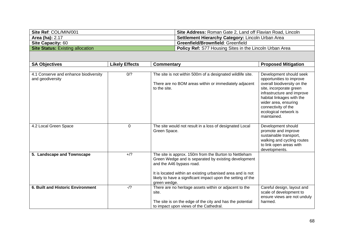| Site Ref: COL/MIN/001                   | Site Address: Roman Gate 2, Land off Flavian Road, Lincoln     |  |  |
|-----------------------------------------|----------------------------------------------------------------|--|--|
| <b>Area (ha):</b> 2.17                  | <b>Settlement Hierarchy Category:</b> Lincoln Urban Area       |  |  |
| <b>Site Capacity: 60</b>                | <b>Greenfield/Brownfield: Greenfield</b>                       |  |  |
| <b>Site Status:</b> Existing allocation | <b>Policy Ref:</b> S77 Housing Sites in the Lincoln Urban Area |  |  |

| <b>SA Objectives</b>                                      | <b>Likely Effects</b> | <b>Commentary</b>                                                                                                                                                                                                                                                                      | <b>Proposed Mitigation</b>                                                                                                                                                                                                                                      |  |
|-----------------------------------------------------------|-----------------------|----------------------------------------------------------------------------------------------------------------------------------------------------------------------------------------------------------------------------------------------------------------------------------------|-----------------------------------------------------------------------------------------------------------------------------------------------------------------------------------------------------------------------------------------------------------------|--|
|                                                           |                       |                                                                                                                                                                                                                                                                                        |                                                                                                                                                                                                                                                                 |  |
| 4.1 Conserve and enhance biodiversity<br>and geodiversity | 0/?                   | The site is not within 500m of a designated wildlife site.<br>There are no BOM areas within or immediately adjacent<br>to the site.                                                                                                                                                    | Development should seek<br>opportunities to improve<br>overall biodiversity on the<br>site, incorporate green<br>infrastructure and improve<br>habitat linkages with the<br>wider area, ensuring<br>connectivity of the<br>ecological network is<br>maintained. |  |
| 4.2 Local Green Space                                     | $\mathbf 0$           | The site would not result in a loss of designated Local<br>Green Space.                                                                                                                                                                                                                | Development should<br>promote and improve<br>sustainable transport,<br>walking and cycling routes<br>to link open areas with<br>developments.                                                                                                                   |  |
| 5. Landscape and Townscape                                | $+$ /?                | The site is approx. 150m from the Burton to Nettleham<br>Green Wedge and is separated by existing development<br>and the A46 bypass road.<br>It is located within an existing urbanised area and is not<br>likely to have a significant impact upon the setting of the<br>green wedge. |                                                                                                                                                                                                                                                                 |  |
| 6. Built and Historic Environment                         | $-1$ ?                | There are no heritage assets within or adjacent to the<br>site.<br>The site is on the edge of the city and has the potential<br>to impact upon views of the Cathedral.                                                                                                                 | Careful design, layout and<br>scale of development to<br>ensure views are not unduly<br>harmed.                                                                                                                                                                 |  |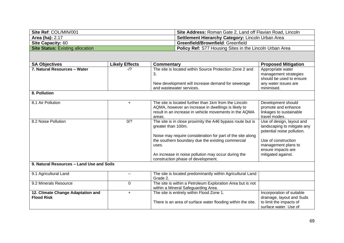| Site Ref: COL/MIN/001                   | <b>Site Address: Roman Gate 2, Land off Flavian Road, Lincoln</b> |  |  |
|-----------------------------------------|-------------------------------------------------------------------|--|--|
| <b>Area (ha): 2.17</b>                  | <b>Settlement Hierarchy Category: Lincoln Urban Area</b>          |  |  |
| <b>Site Capacity: 60</b>                | <b>Greenfield/Brownfield: Greenfield</b>                          |  |  |
| <b>Site Status:</b> Existing allocation | <b>Policy Ref:</b> S77 Housing Sites in the Lincoln Urban Area    |  |  |

| <b>SA Objectives</b>                                   | <b>Likely Effects</b> | <b>Commentary</b>                                                                                                                                                                                                                                                                                         | <b>Proposed Mitigation</b>                                                                                                                                                       |
|--------------------------------------------------------|-----------------------|-----------------------------------------------------------------------------------------------------------------------------------------------------------------------------------------------------------------------------------------------------------------------------------------------------------|----------------------------------------------------------------------------------------------------------------------------------------------------------------------------------|
| 7. Natural Resources - Water                           | -/?                   | The site is located within Source Protection Zone 2 and<br>3.                                                                                                                                                                                                                                             | Appropriate water<br>management strategies<br>should be used to ensure                                                                                                           |
|                                                        |                       | New development will increase demand for sewerage<br>and wastewater services.                                                                                                                                                                                                                             | any water issues are<br>minimised.                                                                                                                                               |
| 8. Pollution                                           |                       |                                                                                                                                                                                                                                                                                                           |                                                                                                                                                                                  |
| 8.1 Air Pollution                                      | $+$                   | The site is located further than 1km from the Lincoln<br>AQMA, however an increase in dwellings is likely to<br>result in an increase in vehicle movements in the AQMA<br>areas.                                                                                                                          | Development should<br>promote and enhance<br>linkages to sustainable<br>travel modes.                                                                                            |
| 8.2 Noise Pollution                                    | 0/2                   | The site is in close proximity the A46 bypass route but is<br>greater than 100m.<br>Noise may require consideration for part of the site along<br>the southern boundary due the existing commercial<br>uses.<br>An increase in noise pollution may occur during the<br>construction phase of development. | Use of design, layout and<br>landscaping to mitigate any<br>potential noise pollution.<br>Use of construction<br>management plans to<br>ensure impacts are<br>mitigated against. |
| 9. Natural Resources - Land Use and Soils              |                       |                                                                                                                                                                                                                                                                                                           |                                                                                                                                                                                  |
| 9.1 Agricultural Land                                  |                       | The site is located predominantly within Agricultural Land<br>Grade 2.                                                                                                                                                                                                                                    |                                                                                                                                                                                  |
| 9.2 Minerals Resource                                  | $\mathbf 0$           | The site is within a Petroleum Exploration Area but is not<br>within a Mineral Safeguarding Area.                                                                                                                                                                                                         |                                                                                                                                                                                  |
| 12. Climate Change Adaptation and<br><b>Flood Risk</b> | $+$                   | The site is entirely within Flood Zone 1.<br>There is an area of surface water flooding within the site.                                                                                                                                                                                                  | Incorporation of suitable<br>drainage, layout and Suds<br>to limit the impacts of<br>surface water. Use of                                                                       |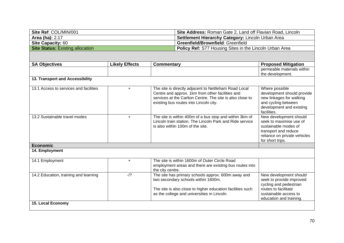| Site Ref: COL/MIN/001                   | Site Address: Roman Gate 2, Land off Flavian Road, Lincoln     |  |  |
|-----------------------------------------|----------------------------------------------------------------|--|--|
| <b>Area (ha): 2.17</b>                  | <b>Settlement Hierarchy Category: Lincoln Urban Area</b>       |  |  |
| <b>Site Capacity: 60</b>                | <b>Greenfield/Brownfield: Greenfield</b>                       |  |  |
| <b>Site Status: Existing allocation</b> | <b>Policy Ref:</b> S77 Housing Sites in the Lincoln Urban Area |  |  |

| <b>SA Objectives</b>                   | <b>Likely Effects</b> | Commentary                                                                                                                                                                                                       | <b>Proposed Mitigation</b>                                                                                                                               |
|----------------------------------------|-----------------------|------------------------------------------------------------------------------------------------------------------------------------------------------------------------------------------------------------------|----------------------------------------------------------------------------------------------------------------------------------------------------------|
|                                        |                       |                                                                                                                                                                                                                  | permeable materials within<br>the development.                                                                                                           |
| 13. Transport and Accessibility        |                       |                                                                                                                                                                                                                  |                                                                                                                                                          |
| 13.1 Access to services and facilities | $\ddot{}$             | The site is directly adjacent to Nettleham Road Local<br>Centre and approx. 1km from other facilities and<br>services at the Carlton Centre. The site is also close to<br>existing bus routes into Lincoln city. | Where possible<br>development should provide<br>new linkages for walking<br>and cycling between<br>development and existing<br>facilities.               |
| 13.2 Sustainable travel modes          | $+$                   | The site is within 400m of a bus stop and within 3km of<br>Lincoln train station. The Lincoln Park and Ride service<br>is also within 100m of the site.                                                          | New development should<br>seek to maximise use of<br>sustainable modes of<br>transport and reduce<br>reliance on private vehicles<br>for short trips.    |
| <b>Economic</b>                        |                       |                                                                                                                                                                                                                  |                                                                                                                                                          |
| 14. Employment                         |                       |                                                                                                                                                                                                                  |                                                                                                                                                          |
| 14.1 Employment                        | $+$                   | The site is within 1600m of Outer Circle Road<br>employment areas and there are existing bus routes into<br>the city centre.                                                                                     |                                                                                                                                                          |
| 14.2 Education, training and learning  | $-1$ ?                | The site has primary schools approx. 600m away and<br>two secondary schools within 1600m.<br>The site is also close to higher education facilities such<br>as the college and universities in Lincoln.           | New development should<br>seek to provide improved<br>cycling and pedestrian<br>routes to facilitate<br>sustainable access to<br>education and training. |
| 15. Local Economy                      |                       |                                                                                                                                                                                                                  |                                                                                                                                                          |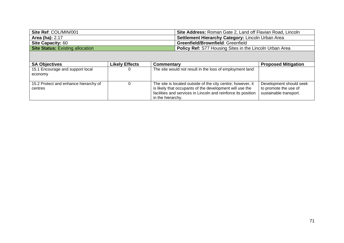| Site Ref: COL/MIN/001                   | Site Address: Roman Gate 2, Land off Flavian Road, Lincoln     |  |  |
|-----------------------------------------|----------------------------------------------------------------|--|--|
| <b>Area (ha): 2.17</b>                  | <b>Settlement Hierarchy Category: Lincoln Urban Area</b>       |  |  |
| <b>Site Capacity: 60</b>                | <b>Greenfield/Brownfield: Greenfield</b>                       |  |  |
| <b>Site Status:</b> Existing allocation | <b>Policy Ref:</b> S77 Housing Sites in the Lincoln Urban Area |  |  |

| <b>SA Objectives</b>                             | <b>Likely Effects</b> | <b>Commentary</b>                                                                                                                                                                                             | <b>Proposed Mitigation</b>                                                 |
|--------------------------------------------------|-----------------------|---------------------------------------------------------------------------------------------------------------------------------------------------------------------------------------------------------------|----------------------------------------------------------------------------|
| 15.1 Encourage and support local<br>economy      |                       | The site would not result in the loss of employment land                                                                                                                                                      |                                                                            |
| 15.2 Protect and enhance hierarchy of<br>centres |                       | The site is located outside of the city centre; however, it<br>is likely that occupants of the development will use the<br>facilities and services in Lincoln and reinforce its position<br>in the hierarchy. | Development should seek<br>to promote the use of<br>sustainable transport. |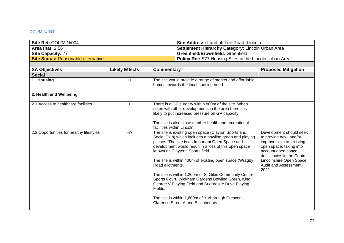### COL/MIN/004

| Site Ref: COL/MIN/004                      | <b>Site Address: Land off Lee Road, Lincoln</b>          |
|--------------------------------------------|----------------------------------------------------------|
| <b>Area (ha): 2.56</b>                     | <b>Settlement Hierarchy Category: Lincoln Urban Area</b> |
| <b>Site Capacity: 77</b>                   | <b>Greenfield/Brownfield: Greenfield</b>                 |
| <b>Site Status: Reasonable alternative</b> | Policy Ref: S77 Housing Sites in the Lincoln Urban Area  |
|                                            |                                                          |

| <b>SA Objectives</b>                     | <b>Likely Effects</b> | <b>Commentary</b>                                                                                                                                                                                                                                                                                                                                                                                                                                                                                                                                                                                                        | <b>Proposed Mitigation</b>                                                                                                                                                                                                         |
|------------------------------------------|-----------------------|--------------------------------------------------------------------------------------------------------------------------------------------------------------------------------------------------------------------------------------------------------------------------------------------------------------------------------------------------------------------------------------------------------------------------------------------------------------------------------------------------------------------------------------------------------------------------------------------------------------------------|------------------------------------------------------------------------------------------------------------------------------------------------------------------------------------------------------------------------------------|
| <b>Social</b>                            |                       |                                                                                                                                                                                                                                                                                                                                                                                                                                                                                                                                                                                                                          |                                                                                                                                                                                                                                    |
| 1. Housing                               | $++$                  | The site would provide a range of market and affordable<br>homes towards the local housing need.                                                                                                                                                                                                                                                                                                                                                                                                                                                                                                                         |                                                                                                                                                                                                                                    |
| 2. Health and Wellbeing                  |                       |                                                                                                                                                                                                                                                                                                                                                                                                                                                                                                                                                                                                                          |                                                                                                                                                                                                                                    |
| 2.1 Access to healthcare facilities      | $+$                   | There is a GP surgery within 800m of the site. When<br>taken with other developments in the area there it is<br>likely to put increased pressure on GP capacity.<br>The site is also close to other health and recreational<br>facilities within Lincoln.                                                                                                                                                                                                                                                                                                                                                                |                                                                                                                                                                                                                                    |
| 2.2 Opportunities for healthy lifestyles | $-1$ ?                | The site is existing open space (Clayton Sports and<br>Social Club) which includes a bowling green and playing<br>pitches. The site is an Important Open Space and<br>development would result in a loss of this open space<br>known as Claytons Sports field.<br>The site is within 400m of existing open space (Wragby<br>Road allotments.<br>The site is within 1,200m of St Giles Community Centre<br>Sports Court, Wickham Gardens Bowling Green, King<br>George V Playing Field and Sudbrooke Drive Playing<br>Fields.<br>The site is within 1,600m of Yarborough Crescent,<br>Clarence Street A and B allotments. | Development should seek<br>to provide new, and/or<br>improve links to, existing<br>open space, taking into<br>account open space<br>deficiencies in the Central<br>Lincolnshire Open Space<br><b>Audit and Assessment</b><br>2021. |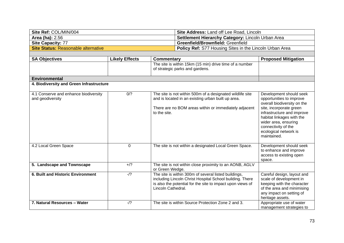| Site Ref: COL/MIN/004               | <b>Site Address: Land off Lee Road, Lincoln</b>                |
|-------------------------------------|----------------------------------------------------------------|
| <b>Area (ha): 2.56</b>              | <b>Settlement Hierarchy Category: Lincoln Urban Area</b>       |
| <b>Site Capacity: 77</b>            | <b>Greenfield/Brownfield: Greenfield</b>                       |
| Site Status: Reasonable alternative | <b>Policy Ref:</b> S77 Housing Sites in the Lincoln Urban Area |

| <b>SA Objectives</b>                                      | <b>Likely Effects</b> | Commentary                                                                                                                                                                                           | <b>Proposed Mitigation</b>                                                                                                                                                                                                                                      |
|-----------------------------------------------------------|-----------------------|------------------------------------------------------------------------------------------------------------------------------------------------------------------------------------------------------|-----------------------------------------------------------------------------------------------------------------------------------------------------------------------------------------------------------------------------------------------------------------|
|                                                           |                       | The site is within 15km (15 min) drive time of a number<br>of strategic parks and gardens.                                                                                                           |                                                                                                                                                                                                                                                                 |
| <b>Environmental</b>                                      |                       |                                                                                                                                                                                                      |                                                                                                                                                                                                                                                                 |
| 4. Biodiversity and Green Infrastructure                  |                       |                                                                                                                                                                                                      |                                                                                                                                                                                                                                                                 |
| 4.1 Conserve and enhance biodiversity<br>and geodiversity | 0/2                   | The site is not within 500m of a designated wildlife site<br>and is located in an existing urban built up area.<br>There are no BOM areas within or immediately adjacent<br>to the site.             | Development should seek<br>opportunities to improve<br>overall biodiversity on the<br>site, incorporate green<br>infrastructure and improve<br>habitat linkages with the<br>wider area, ensuring<br>connectivity of the<br>ecological network is<br>maintained. |
| 4.2 Local Green Space                                     | $\mathbf 0$           | The site is not within a designated Local Green Space.                                                                                                                                               | Development should seek<br>to enhance and improve<br>access to existing open<br>space.                                                                                                                                                                          |
| 5. Landscape and Townscape                                | $+$ /?                | The site is not within close proximity to an AONB, AGLV<br>or Green Wedge.                                                                                                                           |                                                                                                                                                                                                                                                                 |
| 6. Built and Historic Environment                         | $-1?$                 | The site is within 300m of several listed buildings,<br>including Lincoln Christ Hospital School building. There<br>is also the potential for the site to impact upon views of<br>Lincoln Cathedral. | Careful design, layout and<br>scale of development in<br>keeping with the character<br>of the area and minimising<br>any impact on setting of<br>heritage assets.                                                                                               |
| 7. Natural Resources - Water                              | $-1$ ?                | The site is within Source Protection Zone 2 and 3.                                                                                                                                                   | Appropriate use of water<br>management strategies to                                                                                                                                                                                                            |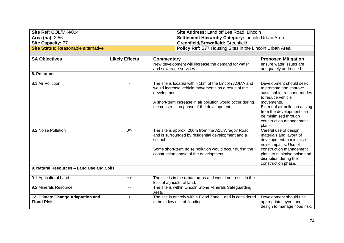| Site Ref: COL/MIN/004                      | <b>Site Address: Land off Lee Road, Lincoln</b>                |
|--------------------------------------------|----------------------------------------------------------------|
| <b>Area (ha): 2.56</b>                     | Settlement Hierarchy Category: Lincoln Urban Area              |
| <b>Site Capacity: 77</b>                   | <b>Greenfield/Brownfield: Greenfield</b>                       |
| <b>Site Status: Reasonable alternative</b> | <b>Policy Ref: S77 Housing Sites in the Lincoln Urban Area</b> |
|                                            |                                                                |

| <b>SA Objectives</b>                                   | <b>Likely Effects</b> | <b>Commentary</b>                                                                                                                                                                                                                        | <b>Proposed Mitigation</b>                                                                                                                                                                                                                      |
|--------------------------------------------------------|-----------------------|------------------------------------------------------------------------------------------------------------------------------------------------------------------------------------------------------------------------------------------|-------------------------------------------------------------------------------------------------------------------------------------------------------------------------------------------------------------------------------------------------|
|                                                        |                       | New development will increase the demand for water                                                                                                                                                                                       | ensure water issues are                                                                                                                                                                                                                         |
|                                                        |                       | and sewerage services.                                                                                                                                                                                                                   | adequately addressed.                                                                                                                                                                                                                           |
| 8. Pollution                                           |                       |                                                                                                                                                                                                                                          |                                                                                                                                                                                                                                                 |
| 8.1 Air Pollution                                      |                       | The site is located within 1km of the Lincoln AQMA and<br>would increase vehicle movements as a result of the<br>development.<br>A short-term increase in air pollution would occur during<br>the construction phase of the development. | Development should seek<br>to promote and improve<br>sustainable transport modes<br>to reduce vehicle<br>movements.<br>Extent of air pollution arising<br>from the development can<br>be minimised through<br>construction management<br>plans. |
| 8.2 Noise Pollution                                    | 0/2                   | The site is approx. 200m from the A15/Wragby Road<br>and is surrounded by residential development and a<br>school.<br>Some short-term noise pollution would occur during the<br>construction phase of the development.                   | Careful use of design,<br>materials and layout of<br>development to minimise<br>noise impacts. Use of<br>construction management<br>plans to minimise noise and<br>disruption during the<br>construction phase.                                 |
| 9. Natural Resources - Land Use and Soils              |                       |                                                                                                                                                                                                                                          |                                                                                                                                                                                                                                                 |
| 9.1 Agricultural Land                                  | $++$                  | The site is in the urban areas and would not result in the<br>loss of agricultural land.                                                                                                                                                 |                                                                                                                                                                                                                                                 |
| 9.2 Minerals Resource                                  | $\sim$ $\sim$         | The site is within Lincoln Stone Minerals Safeguarding<br>Area.                                                                                                                                                                          |                                                                                                                                                                                                                                                 |
| 12. Climate Change Adaptation and<br><b>Flood Risk</b> | $\ddot{}$             | The site is entirely within Flood Zone 1 and is considered<br>to be at low risk of flooding.                                                                                                                                             | Development should use<br>appropriate layout and<br>design to manage flood risk.                                                                                                                                                                |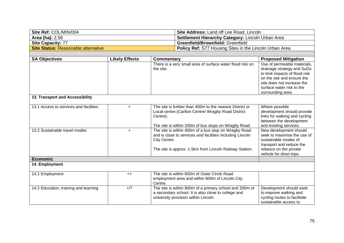| Site Ref: COL/MIN/004                      | <b>Site Address: Land off Lee Road, Lincoln</b>                |
|--------------------------------------------|----------------------------------------------------------------|
| <b>Area (ha): 2.56</b>                     | Settlement Hierarchy Category: Lincoln Urban Area              |
| <b>Site Capacity: 77</b>                   | <b>Greenfield/Brownfield: Greenfield</b>                       |
| <b>Site Status: Reasonable alternative</b> | <b>Policy Ref:</b> S77 Housing Sites in the Lincoln Urban Area |
|                                            |                                                                |

| <b>SA Objectives</b>                   | <b>Likely Effects</b> | <b>Commentary</b>                                                                                                                                                                            | <b>Proposed Mitigation</b>                                                                                                                                                           |
|----------------------------------------|-----------------------|----------------------------------------------------------------------------------------------------------------------------------------------------------------------------------------------|--------------------------------------------------------------------------------------------------------------------------------------------------------------------------------------|
|                                        |                       | There is a very small area of surface water flood risk on<br>the site.                                                                                                                       | Use of permeable materials,<br>drainage strategy and SuDs<br>to limit impacts of flood risk<br>on the site and ensure the<br>site does not increase the<br>surface water risk to the |
| 13. Transport and Accessibility        |                       |                                                                                                                                                                                              | surrounding area.                                                                                                                                                                    |
| 13.1 Access to services and facilities | $\ddot{}$             | The site is further than 400m to the nearest District or<br>Local centre (Carlton Centre/ Wragby Road District<br>Centre).<br>The site is within 200m of bus stops on Wragby Road.           | Where possible<br>development should provide<br>links for walking and cycling<br>between the development<br>and existing services.                                                   |
| 13.2 Sustainable travel modes          | $+$                   | The site is within 400m of a bus stop on Wragby Road<br>and is close to services and facilities including Lincoln<br>City Centre.<br>The site is approx. 1.5km from Lincoln Railway Station. | New development should<br>seek to maximise the use of<br>sustainable modes of<br>transport and reduce the<br>reliance on the private                                                 |
| <b>Economic</b>                        |                       |                                                                                                                                                                                              | vehicle for short trips.                                                                                                                                                             |
| 14. Employment                         |                       |                                                                                                                                                                                              |                                                                                                                                                                                      |
| 14.1 Employment                        | $++$                  | The site is within 800m of Outer Circle Road<br>employment area and within 800m of Lincoln City<br>Centre.                                                                                   |                                                                                                                                                                                      |
| 14.2 Education, training and learning  | $+$ /?                | The site is within 800m of a primary school and 200m of<br>a secondary school. It is also close to college and<br>university provision within Lincoln.                                       | Development should seek<br>to improve walking and<br>cycling routes to facilitate<br>sustainable access to                                                                           |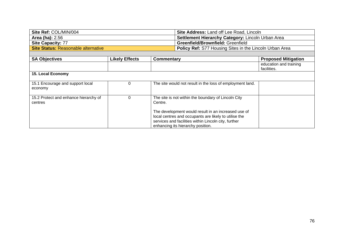| Site Ref: COL/MIN/004               | <b>Site Address: Land off Lee Road, Lincoln</b>                |
|-------------------------------------|----------------------------------------------------------------|
| <b>Area (ha): 2.56</b>              | <b>Settlement Hierarchy Category: Lincoln Urban Area</b>       |
| Site Capacity: 77                   | <b>Greenfield/Brownfield: Greenfield</b>                       |
| Site Status: Reasonable alternative | <b>Policy Ref:</b> S77 Housing Sites in the Lincoln Urban Area |

| <b>SA Objectives</b>                             | <b>Likely Effects</b> | Commentary                                                                                                                                                                                                | <b>Proposed Mitigation</b>            |
|--------------------------------------------------|-----------------------|-----------------------------------------------------------------------------------------------------------------------------------------------------------------------------------------------------------|---------------------------------------|
|                                                  |                       |                                                                                                                                                                                                           | education and training<br>facilities. |
| <b>15. Local Economy</b>                         |                       |                                                                                                                                                                                                           |                                       |
| 15.1 Encourage and support local<br>economy      |                       | The site would not result in the loss of employment land.                                                                                                                                                 |                                       |
| 15.2 Protect and enhance hierarchy of<br>centres | 0                     | The site is not within the boundary of Lincoln City<br>Centre.                                                                                                                                            |                                       |
|                                                  |                       | The development would result in an increased use of<br>local centres and occupants are likely to utilise the<br>services and facilities within Lincoln city, further<br>enhancing its hierarchy position. |                                       |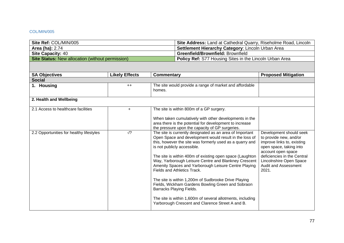### COL/MIN/005

| Site Ref: COL/MIN/005                                   | Site Address: Land at Cathedral Quarry, Riseholme Road, Lincoln |
|---------------------------------------------------------|-----------------------------------------------------------------|
| <b>Area (ha): 2.74</b>                                  | <b>Settlement Hierarchy Category: Lincoln Urban Area</b>        |
| <b>Site Capacity: 40</b>                                | <b>Greenfield/Brownfield: Brownfield</b>                        |
| <b>Site Status:</b> New allocation (without permission) | <b>Policy Ref:</b> S77 Housing Sites in the Lincoln Urban Area  |

| <b>SA Objectives</b>                     | <b>Likely Effects</b> | Commentary                                                                                                                                                                                                                                                                                                                                                                                                                                                                                                                                                                                                                                                                          | <b>Proposed Mitigation</b>                                                                                                                                                                                                  |
|------------------------------------------|-----------------------|-------------------------------------------------------------------------------------------------------------------------------------------------------------------------------------------------------------------------------------------------------------------------------------------------------------------------------------------------------------------------------------------------------------------------------------------------------------------------------------------------------------------------------------------------------------------------------------------------------------------------------------------------------------------------------------|-----------------------------------------------------------------------------------------------------------------------------------------------------------------------------------------------------------------------------|
| <b>Social</b>                            |                       |                                                                                                                                                                                                                                                                                                                                                                                                                                                                                                                                                                                                                                                                                     |                                                                                                                                                                                                                             |
| 1. Housing                               | $++$                  | The site would provide a range of market and affordable<br>homes.                                                                                                                                                                                                                                                                                                                                                                                                                                                                                                                                                                                                                   |                                                                                                                                                                                                                             |
| 2. Health and Wellbeing                  |                       |                                                                                                                                                                                                                                                                                                                                                                                                                                                                                                                                                                                                                                                                                     |                                                                                                                                                                                                                             |
| 2.1 Access to healthcare facilities      | $+$                   | The site is within 800m of a GP surgery.<br>When taken cumulatively with other developments in the<br>area there is the potential for development to increase<br>the pressure upon the capacity of GP surgeries.                                                                                                                                                                                                                                                                                                                                                                                                                                                                    |                                                                                                                                                                                                                             |
| 2.2 Opportunities for healthy lifestyles | $-1$ ?                | The site is currently designated as an area of Important<br>Open Space and development would result in the loss of<br>this, however the site was formerly used as a quarry and<br>is not publicly accessible.<br>The site is within 400m of existing open space (Laughton<br>Way, Yarborough Leisure Centre and Blankney Crescent<br>Amenity Spaces and Yarborough Leisure Centre Playing<br>Fields and Athletics Track.<br>The site is within 1,200m of Sudbrooke Drive Playing<br>Fields, Wickham Gardens Bowling Green and Sobraon<br>Barracks Playing Fields.<br>The site is within 1,600m of several allotments, including<br>Yarborough Crescent and Clarence Street A and B. | Development should seek<br>to provide new, and/or<br>improve links to, existing<br>open space, taking into<br>account open space<br>deficiencies in the Central<br>Lincolnshire Open Space<br>Audit and Assessment<br>2021. |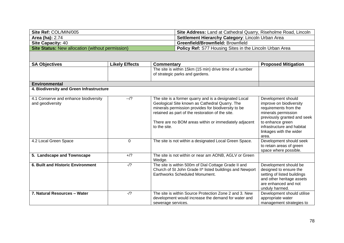| Site Ref: COL/MIN/005                                   | <b>Site Address:</b> Land at Cathedral Quarry, Riseholme Road, Lincoln |
|---------------------------------------------------------|------------------------------------------------------------------------|
| Area (ha): 2.74                                         | <b>Settlement Hierarchy Category: Lincoln Urban Area</b>               |
| <b>Site Capacity: 40</b>                                | <b>Greenfield/Brownfield: Brownfield</b>                               |
| <b>Site Status: New allocation (without permission)</b> | <b>Policy Ref:</b> S77 Housing Sites in the Lincoln Urban Area         |

| <b>SA Objectives</b>                                      | <b>Likely Effects</b> | <b>Commentary</b>                                                                                                                                                                                                                                                                           | <b>Proposed Mitigation</b>                                                                                                                                                                                         |
|-----------------------------------------------------------|-----------------------|---------------------------------------------------------------------------------------------------------------------------------------------------------------------------------------------------------------------------------------------------------------------------------------------|--------------------------------------------------------------------------------------------------------------------------------------------------------------------------------------------------------------------|
|                                                           |                       | The site is within 15km (15 min) drive time of a number<br>of strategic parks and gardens.                                                                                                                                                                                                  |                                                                                                                                                                                                                    |
| <b>Environmental</b>                                      |                       |                                                                                                                                                                                                                                                                                             |                                                                                                                                                                                                                    |
| 4. Biodiversity and Green Infrastructure                  |                       |                                                                                                                                                                                                                                                                                             |                                                                                                                                                                                                                    |
| 4.1 Conserve and enhance biodiversity<br>and geodiversity | $-1$ ?                | The site is a former quarry and is a designated Local<br>Geological Site known as Cathedral Quarry. The<br>minerals permission provides for biodiversity to be<br>retained as part of the restoration of the site.<br>There are no BOM areas within or immediately adjacent<br>to the site. | Development should<br>improve on biodiversity<br>requirements from the<br>minerals permission<br>previously granted and seek<br>to enhance green<br>infrastructure and habitat<br>linkages with the wider<br>area. |
| 4.2 Local Green Space                                     | $\Omega$              | The site is not within a designated Local Green Space.                                                                                                                                                                                                                                      | Development should seek<br>to retain areas of green<br>space where possible.                                                                                                                                       |
| 5. Landscape and Townscape                                | $+$ /?                | The site is not within or near am AONB, AGLV or Green<br>Wedge.                                                                                                                                                                                                                             |                                                                                                                                                                                                                    |
| <b>6. Built and Historic Environment</b>                  | $-1$ ?                | The site is within 500m of Dial Cottage Grade II and<br>Church of St John Grade II* listed buildings and Newport<br>Earthworks Scheduled Monument.                                                                                                                                          | Development should be<br>designed to ensure the<br>setting of listed buildings<br>and other heritage assets<br>are enhanced and not<br>unduly harmed.                                                              |
| 7. Natural Resources - Water                              | $-1$ ?                | The site is within Source Protection Zone 2 and 3. New<br>development would increase the demand for water and<br>sewerage services.                                                                                                                                                         | Development should utilise<br>appropriate water<br>management strategies to                                                                                                                                        |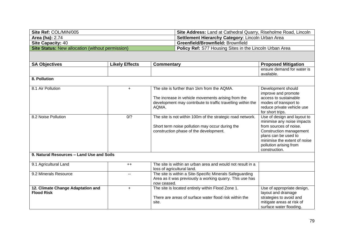| Site Ref: COL/MIN/005                                   | Site Address: Land at Cathedral Quarry, Riseholme Road, Lincoln |
|---------------------------------------------------------|-----------------------------------------------------------------|
| Area (ha): 2.74                                         | Settlement Hierarchy Category: Lincoln Urban Area               |
| <b>Site Capacity: 40</b>                                | <b>Greenfield/Brownfield: Brownfield</b>                        |
| <b>Site Status:</b> New allocation (without permission) | <b>Policy Ref:</b> S77 Housing Sites in the Lincoln Urban Area  |

| <b>SA Objectives</b>                      | <b>Likely Effects</b> | <b>Commentary</b>                                           | <b>Proposed Mitigation</b>   |
|-------------------------------------------|-----------------------|-------------------------------------------------------------|------------------------------|
|                                           |                       |                                                             | ensure demand for water is   |
|                                           |                       |                                                             | available.                   |
| 8. Pollution                              |                       |                                                             |                              |
| 8.1 Air Pollution                         | $+$                   | The site is further than 1km from the AQMA.                 | Development should           |
|                                           |                       |                                                             | improve and promote          |
|                                           |                       | The increase in vehicle movements arising from the          | access to sustainable        |
|                                           |                       | development may contribute to traffic travelling within the | modes of transport to        |
|                                           |                       | AQMA.                                                       | reduce private vehicle use   |
|                                           |                       |                                                             | for short trips.             |
| 8.2 Noise Pollution                       | 0/2                   | The site is not within 100m of the strategic road network.  | Use of design and layout to  |
|                                           |                       |                                                             | minimise any noise impacts   |
|                                           |                       | Short term noise pollution may occur during the             | from sources of noise.       |
|                                           |                       | construction phase of the development.                      | Construction management      |
|                                           |                       |                                                             | plans can be used to         |
|                                           |                       |                                                             | minimise the extent of noise |
|                                           |                       |                                                             | pollution arising from       |
|                                           |                       |                                                             | construction.                |
| 9. Natural Resources - Land Use and Soils |                       |                                                             |                              |
|                                           |                       |                                                             |                              |
| 9.1 Agricultural Land                     | $++$                  | The site is within an urban area and would not result in a  |                              |
|                                           |                       | loss of agricultural land.                                  |                              |
| 9.2 Minerals Resource                     |                       | The site is within a Site-Specific Minerals Safeguarding    |                              |
|                                           |                       | Area as it was previously a working quarry. This use has    |                              |
|                                           |                       | now ceased.                                                 |                              |
| 12. Climate Change Adaptation and         | $+$                   | The site is located entirely within Flood Zone 1.           | Use of appropriate design,   |
| <b>Flood Risk</b>                         |                       |                                                             | layout and drainage          |
|                                           |                       | There are areas of surface water flood risk within the      | strategies to avoid and      |
|                                           |                       | site.                                                       | mitigate areas at risk of    |
|                                           |                       |                                                             | surface water flooding.      |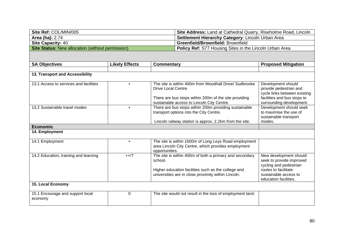| Site Ref: COL/MIN/005                                   | <b>Site Address:</b> Land at Cathedral Quarry, Riseholme Road, Lincoln |
|---------------------------------------------------------|------------------------------------------------------------------------|
| <b>Area (ha): 2.74</b>                                  | <b>Settlement Hierarchy Category: Lincoln Urban Area</b>               |
| <b>Site Capacity: 40</b>                                | <b>Greenfield/Brownfield: Brownfield</b>                               |
| <b>Site Status:</b> New allocation (without permission) | <b>Policy Ref:</b> S77 Housing Sites in the Lincoln Urban Area         |

| <b>SA Objectives</b>                        | <b>Likely Effects</b> | <b>Commentary</b>                                                                                                                                                                    | <b>Proposed Mitigation</b>                                                                                                                             |
|---------------------------------------------|-----------------------|--------------------------------------------------------------------------------------------------------------------------------------------------------------------------------------|--------------------------------------------------------------------------------------------------------------------------------------------------------|
|                                             |                       |                                                                                                                                                                                      |                                                                                                                                                        |
| 13. Transport and Accessibility             |                       |                                                                                                                                                                                      |                                                                                                                                                        |
| 13.1 Access to services and facilities      | $\ddot{}$             | The site is within 400m from Woodhall Drive/ Sudbrooke<br>Drive Local Centre.<br>There are bus stops within 200m of the site providing<br>sustainable access to Lincoln City Centre. | Development should<br>provide pedestrian and<br>cycle links between existing<br>facilities and bus stops to<br>surrounding development.                |
| 13.2 Sustainable travel modes               | $\ddot{}$             | There are bus stops within 200m providing sustainable<br>transport options into the City Centre.<br>Lincoln railway station is approx. 2.2km from the site.                          | Development should seek<br>to maximise the use of<br>sustainable transport<br>modes.                                                                   |
| <b>Economic</b>                             |                       |                                                                                                                                                                                      |                                                                                                                                                        |
| 14. Employment                              |                       |                                                                                                                                                                                      |                                                                                                                                                        |
| 14.1 Employment                             | $+$                   | The site is within 1600m of Long Leys Road employment<br>area Lincoln City Centre, which provides employment<br>opportunities.                                                       |                                                                                                                                                        |
| 14.2 Education, training and learning       | $++/?$                | The site is within 400m of both a primary and secondary<br>school.<br>Higher education facilities such as the college and<br>universities are in close proximity within Lincoln.     | New development should<br>seek to provide improved<br>cycling and pedestrian<br>routes to facilitate<br>sustainable access to<br>education facilities. |
| 15. Local Economy                           |                       |                                                                                                                                                                                      |                                                                                                                                                        |
| 15.1 Encourage and support local<br>economy | $\Omega$              | The site would not result in the loss of employment land.                                                                                                                            |                                                                                                                                                        |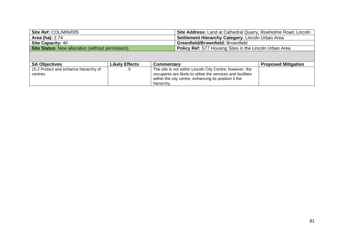| Site Ref: COL/MIN/005                                   | Site Address: Land at Cathedral Quarry, Riseholme Road, Lincoln |
|---------------------------------------------------------|-----------------------------------------------------------------|
| <b>Area (ha): 2.74</b>                                  | Settlement Hierarchy Category: Lincoln Urban Area               |
| <b>Site Capacity: 40</b>                                | <b>Greenfield/Brownfield: Brownfield</b>                        |
| <b>Site Status: New allocation (without permission)</b> | <b>Policy Ref:</b> S77 Housing Sites in the Lincoln Urban Area  |

| <b>SA Objectives</b>                  | <b>Likely Effects</b> | Commentary                                                  | <b>Proposed Mitigation</b> |
|---------------------------------------|-----------------------|-------------------------------------------------------------|----------------------------|
| 15.2 Protect and enhance hierarchy of |                       | The site is not within Lincoln City Centre; however, the    |                            |
| centres                               |                       | occupants are likely to utilise the services and facilities |                            |
|                                       |                       | within the city centre, enhancing its position it the       |                            |
|                                       |                       | hierarchy.                                                  |                            |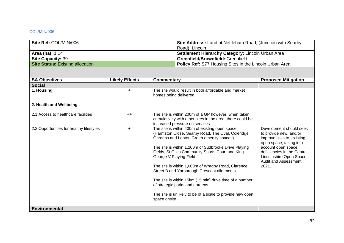### COL/MIN/006

| Site Ref: COL/MIN/006                   | <b>Site Address:</b> Land at Nettleham Road, (Junction with Searby |  |  |
|-----------------------------------------|--------------------------------------------------------------------|--|--|
|                                         | Road), Lincoln                                                     |  |  |
| <b>Area (ha): 1.14</b>                  | Settlement Hierarchy Category: Lincoln Urban Area                  |  |  |
| <b>Site Capacity: 39</b>                | <b>Greenfield/Brownfield: Greenfield</b>                           |  |  |
| <b>Site Status: Existing allocation</b> | <b>Policy Ref:</b> S77 Housing Sites in the Lincoln Urban Area     |  |  |

| <b>SA Objectives</b>                     | <b>Likely Effects</b> | Commentary                                                                                                                                                                                                                                                                                                                                                                                                                                                                                                                                                                | <b>Proposed Mitigation</b>                                                                                                                                                                                                         |
|------------------------------------------|-----------------------|---------------------------------------------------------------------------------------------------------------------------------------------------------------------------------------------------------------------------------------------------------------------------------------------------------------------------------------------------------------------------------------------------------------------------------------------------------------------------------------------------------------------------------------------------------------------------|------------------------------------------------------------------------------------------------------------------------------------------------------------------------------------------------------------------------------------|
| <b>Social</b>                            |                       |                                                                                                                                                                                                                                                                                                                                                                                                                                                                                                                                                                           |                                                                                                                                                                                                                                    |
| 1. Housing                               | $\ddot{}$             | The site would result in both affordable and market<br>homes being delivered.                                                                                                                                                                                                                                                                                                                                                                                                                                                                                             |                                                                                                                                                                                                                                    |
| 2. Health and Wellbeing                  |                       |                                                                                                                                                                                                                                                                                                                                                                                                                                                                                                                                                                           |                                                                                                                                                                                                                                    |
| 2.1 Access to healthcare facilities      | $++$                  | The site is within 200m of a GP however, when taken<br>cumulatively with other sites in the area, there could be<br>increased pressure on services.                                                                                                                                                                                                                                                                                                                                                                                                                       |                                                                                                                                                                                                                                    |
| 2.2 Opportunities for healthy lifestyles | $\ddot{}$             | The site is within 400m of existing open space<br>(Harmston Close, Searby Road, The Oval, Coleridge<br>Gardens and Lenton Green amenity spaces).<br>The site is within 1,200m of Sudbrooke Drive Playing<br>Fields, St Giles Community Sports Court and King<br>George V Playing Field.<br>The site is within 1,600m of Wragby Road, Clarence<br>Street B and Yarborough Crescent allotments.<br>The site is within 15km (15 min) drive time of a number<br>of strategic parks and gardens.<br>The site is unlikely to be of a scale to provide new open<br>space onsite. | Development should seek<br>to provide new, and/or<br>improve links to, existing<br>open space, taking into<br>account open space<br>deficiencies in the Central<br>Lincolnshire Open Space<br><b>Audit and Assessment</b><br>2021. |
| <b>Environmental</b>                     |                       |                                                                                                                                                                                                                                                                                                                                                                                                                                                                                                                                                                           |                                                                                                                                                                                                                                    |
|                                          |                       |                                                                                                                                                                                                                                                                                                                                                                                                                                                                                                                                                                           |                                                                                                                                                                                                                                    |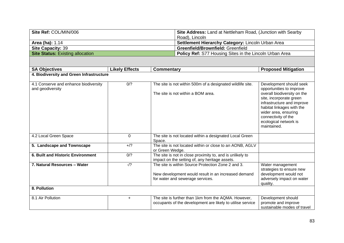| Site Ref: COL/MIN/006                   | <b>Site Address: Land at Nettleham Road, (Junction with Searby</b> |  |
|-----------------------------------------|--------------------------------------------------------------------|--|
|                                         | Road), Lincoln                                                     |  |
| <b>Area (ha): 1.14</b>                  | Settlement Hierarchy Category: Lincoln Urban Area                  |  |
| <b>Site Capacity: 39</b>                | <b>Greenfield/Brownfield: Greenfield</b>                           |  |
| <b>Site Status: Existing allocation</b> | <b>Policy Ref:</b> S77 Housing Sites in the Lincoln Urban Area     |  |

| <b>SA Objectives</b>                                      | <b>Likely Effects</b> | <b>Commentary</b>                                                                                                                             | <b>Proposed Mitigation</b>                                                                                                                                                                                                                                      |
|-----------------------------------------------------------|-----------------------|-----------------------------------------------------------------------------------------------------------------------------------------------|-----------------------------------------------------------------------------------------------------------------------------------------------------------------------------------------------------------------------------------------------------------------|
| 4. Biodiversity and Green Infrastructure                  |                       |                                                                                                                                               |                                                                                                                                                                                                                                                                 |
| 4.1 Conserve and enhance biodiversity<br>and geodiversity | 0/2                   | The site is not within 500m of a designated wildlife site.<br>The site is not within a BOM area.                                              | Development should seek<br>opportunities to improve<br>overall biodiversity on the<br>site, incorporate green<br>infrastructure and improve<br>habitat linkages with the<br>wider area, ensuring<br>connectivity of the<br>ecological network is<br>maintained. |
| 4.2 Local Green Space                                     | $\Omega$              | The site is not located within a designated Local Green<br>Space.                                                                             |                                                                                                                                                                                                                                                                 |
| 5. Landscape and Townscape                                | $+$ /?                | The site is not located within or close to an AONB, AGLV<br>or Green Wedge.                                                                   |                                                                                                                                                                                                                                                                 |
| <b>6. Built and Historic Environment</b>                  | 0/2                   | The site is not in close proximity to, and is unlikely to<br>impact on the setting of, any heritage assets.                                   |                                                                                                                                                                                                                                                                 |
| 7. Natural Resources - Water                              | $-1$ ?                | The site is within Source Protection Zone 2 and 3.<br>New development would result in an increased demand<br>for water and sewerage services. | Water management<br>strategies to ensure new<br>development would not<br>adversely impact on water<br>quality.                                                                                                                                                  |
| 8. Pollution                                              |                       |                                                                                                                                               |                                                                                                                                                                                                                                                                 |
| 8.1 Air Pollution                                         | $\ddot{}$             | The site is further than 1km from the AQMA. However,<br>occupants of the development are likely to utilise service                            | Development should<br>promote and improve<br>sustainable modes of travel                                                                                                                                                                                        |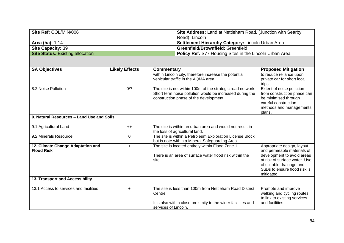| Site Ref: COL/MIN/006                   | <b>Site Address:</b> Land at Nettleham Road, (Junction with Searby |
|-----------------------------------------|--------------------------------------------------------------------|
|                                         | Road), Lincoln                                                     |
| <b>Area (ha): 1.14</b>                  | Settlement Hierarchy Category: Lincoln Urban Area                  |
| <b>Site Capacity: 39</b>                | <b>Greenfield/Brownfield: Greenfield</b>                           |
| <b>Site Status:</b> Existing allocation | <b>Policy Ref:</b> S77 Housing Sites in the Lincoln Urban Area     |

| <b>SA Objectives</b>                                   | <b>Likely Effects</b> | Commentary                                                                                                                                                      | <b>Proposed Mitigation</b>                                                                                                                    |
|--------------------------------------------------------|-----------------------|-----------------------------------------------------------------------------------------------------------------------------------------------------------------|-----------------------------------------------------------------------------------------------------------------------------------------------|
|                                                        |                       | within Lincoln city, therefore increase the potential<br>vehicular traffic in the AQMA area.                                                                    | to reduce reliance upon<br>private car for short local                                                                                        |
|                                                        |                       |                                                                                                                                                                 | trips.                                                                                                                                        |
| 8.2 Noise Pollution                                    | 0/2                   | The site is not within 100m of the strategic road network.<br>Short term noise pollution would be increased during the<br>construction phase of the development | Extent of noise pollution<br>from construction phase can<br>be minimised through<br>careful construction<br>methods and managements<br>plans. |
| 9. Natural Resources - Land Use and Soils              |                       |                                                                                                                                                                 |                                                                                                                                               |
| 9.1 Agricultural Land                                  | $++$                  | The site is within an urban area and would not result in<br>the loss of agricultural land.                                                                      |                                                                                                                                               |
| 9.2 Minerals Resource                                  | $\Omega$              | The site is within a Petroleum Exploration License Block<br>but is note within a Mineral Safeguarding Area.                                                     |                                                                                                                                               |
| 12. Climate Change Adaptation and<br><b>Flood Risk</b> | $\ddot{}$             | The site is located entirely within Flood Zone 1.                                                                                                               | Appropriate design, layout<br>and permeable materials of                                                                                      |
|                                                        |                       | There is an area of surface water flood risk within the<br>site.                                                                                                | development to avoid areas<br>at risk of surface water. Use                                                                                   |
|                                                        |                       |                                                                                                                                                                 | of suitable drainage and<br>SuDs to ensure flood risk is                                                                                      |
| 13. Transport and Accessibility                        |                       |                                                                                                                                                                 | mitigated.                                                                                                                                    |
| 13.1 Access to services and facilities                 | $\ddot{}$             | The site is less than 100m from Nettleham Road District<br>Centre.                                                                                              | Promote and improve<br>walking and cycling routes<br>to link to existing services                                                             |
|                                                        |                       | It is also within close proximity to the wider facilities and<br>services of Lincoln.                                                                           | and facilities.                                                                                                                               |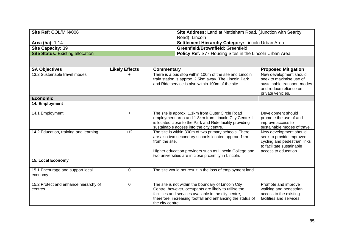| Site Ref: COL/MIN/006                            |                       |                                                                                                                                                                                                                                                | Site Address: Land at Nettleham Road, (Junction with Searby<br>Road), Lincoln                                                                                                                                                      |                                                                                                                                         |
|--------------------------------------------------|-----------------------|------------------------------------------------------------------------------------------------------------------------------------------------------------------------------------------------------------------------------------------------|------------------------------------------------------------------------------------------------------------------------------------------------------------------------------------------------------------------------------------|-----------------------------------------------------------------------------------------------------------------------------------------|
| Area (ha): 1.14                                  |                       |                                                                                                                                                                                                                                                | Settlement Hierarchy Category: Lincoln Urban Area                                                                                                                                                                                  |                                                                                                                                         |
| Site Capacity: 39                                |                       |                                                                                                                                                                                                                                                | Greenfield/Brownfield: Greenfield                                                                                                                                                                                                  |                                                                                                                                         |
| <b>Site Status: Existing allocation</b>          |                       |                                                                                                                                                                                                                                                | Policy Ref: S77 Housing Sites in the Lincoln Urban Area                                                                                                                                                                            |                                                                                                                                         |
|                                                  |                       |                                                                                                                                                                                                                                                |                                                                                                                                                                                                                                    |                                                                                                                                         |
| <b>SA Objectives</b>                             | <b>Likely Effects</b> | Commentary                                                                                                                                                                                                                                     |                                                                                                                                                                                                                                    | <b>Proposed Mitigation</b>                                                                                                              |
| 13.2 Sustainable travel modes                    |                       | There is a bus stop within 100m of the site and Lincoln<br>train station is approx. 2.5km away. The Lincoln Park<br>and Ride service is also within 100m of the site.                                                                          |                                                                                                                                                                                                                                    | New development should<br>seek to maximise use of<br>sustainable transport modes<br>and reduce reliance on<br>private vehicles.         |
| <b>Economic</b>                                  |                       |                                                                                                                                                                                                                                                |                                                                                                                                                                                                                                    |                                                                                                                                         |
| 14. Employment                                   |                       |                                                                                                                                                                                                                                                |                                                                                                                                                                                                                                    |                                                                                                                                         |
| 14.1 Employment                                  | $+$                   | The site is approx. 1.1km from Outer Circle Road<br>employment area and 1.8km from Lincoln City Centre. It<br>is located close to the Park and Ride facility providing<br>sustainable access into the city centre.                             |                                                                                                                                                                                                                                    | Development should<br>promote the use of and<br>improve access to<br>sustainable modes of travel.                                       |
| 14.2 Education, training and learning            | $+$ /?                | The site is within 300m of two primary schools. There<br>are also two secondary schools located approx. 1km<br>from the site.<br>Higher education providers such as Lincoln College and<br>two universities are in close proximity in Lincoln. |                                                                                                                                                                                                                                    | New development should<br>seek to provide improved<br>cycling and pedestrian links<br>to facilitate sustainable<br>access to education. |
| 15. Local Economy                                |                       |                                                                                                                                                                                                                                                |                                                                                                                                                                                                                                    |                                                                                                                                         |
| 15.1 Encourage and support local<br>economy      | $\mathbf 0$           |                                                                                                                                                                                                                                                | The site would not result in the loss of employment land                                                                                                                                                                           |                                                                                                                                         |
| 15.2 Protect and enhance hierarchy of<br>centres | $\mathbf 0$           | the city centre.                                                                                                                                                                                                                               | The site is not within the boundary of Lincoln City<br>Centre; however, occupants are likely to utilise the<br>facilities and services available in the city centre,<br>therefore, increasing footfall and enhancing the status of | Promote and improve<br>walking and pedestrian<br>access to the existing<br>facilities and services.                                     |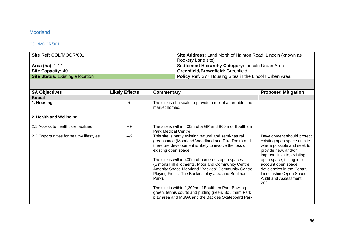## Moorland

## COL/MOOR/001

| Site Ref: COL/MOOR/001                   |                       | Site Address: Land North of Hainton Road, Lincoln (known as<br>Rookery Lane site)                                                                                                                                                                                                                                                                                                                                                                                                                                                                                                                |                                                           |                                                                                                                                                                                                                                                                                          |
|------------------------------------------|-----------------------|--------------------------------------------------------------------------------------------------------------------------------------------------------------------------------------------------------------------------------------------------------------------------------------------------------------------------------------------------------------------------------------------------------------------------------------------------------------------------------------------------------------------------------------------------------------------------------------------------|-----------------------------------------------------------|------------------------------------------------------------------------------------------------------------------------------------------------------------------------------------------------------------------------------------------------------------------------------------------|
| Area (ha): 1.14                          |                       | Settlement Hierarchy Category: Lincoln Urban Area                                                                                                                                                                                                                                                                                                                                                                                                                                                                                                                                                |                                                           |                                                                                                                                                                                                                                                                                          |
| <b>Site Capacity: 40</b>                 |                       |                                                                                                                                                                                                                                                                                                                                                                                                                                                                                                                                                                                                  | Greenfield/Brownfield: Greenfield                         |                                                                                                                                                                                                                                                                                          |
| <b>Site Status: Existing allocation</b>  |                       |                                                                                                                                                                                                                                                                                                                                                                                                                                                                                                                                                                                                  | Policy Ref: S77 Housing Sites in the Lincoln Urban Area   |                                                                                                                                                                                                                                                                                          |
|                                          |                       |                                                                                                                                                                                                                                                                                                                                                                                                                                                                                                                                                                                                  |                                                           |                                                                                                                                                                                                                                                                                          |
| <b>SA Objectives</b>                     | <b>Likely Effects</b> | <b>Commentary</b>                                                                                                                                                                                                                                                                                                                                                                                                                                                                                                                                                                                |                                                           | <b>Proposed Mitigation</b>                                                                                                                                                                                                                                                               |
| <b>Social</b>                            |                       |                                                                                                                                                                                                                                                                                                                                                                                                                                                                                                                                                                                                  |                                                           |                                                                                                                                                                                                                                                                                          |
| 1. Housing                               | $\ddot{}$             | market homes.                                                                                                                                                                                                                                                                                                                                                                                                                                                                                                                                                                                    | The site is of a scale to provide a mix of affordable and |                                                                                                                                                                                                                                                                                          |
| 2. Health and Wellbeing                  |                       |                                                                                                                                                                                                                                                                                                                                                                                                                                                                                                                                                                                                  |                                                           |                                                                                                                                                                                                                                                                                          |
| 2.1 Access to healthcare facilities      | $++$                  | The site is within 400m of a GP and 800m of Boultham<br>Park Medical Centre.                                                                                                                                                                                                                                                                                                                                                                                                                                                                                                                     |                                                           |                                                                                                                                                                                                                                                                                          |
| 2.2 Opportunities for healthy lifestyles | $-1$ ?                | This site is partly existing natural and semi-natural<br>greenspace (Moorland Woodland and Pike Drain) and<br>therefore development is likely to involve the loss of<br>existing open space.<br>The site is within 400m of numerous open spaces<br>(Simons Hill allotments, Moorland Community Centre<br>Amenity Space Moorland "Backies" Community Centre<br>Playing Fields, The Backies play area and Boultham<br>Park).<br>The site is within 1,200m of Boultham Park Bowling<br>green, tennis courts and putting green, Boultham Park<br>play area and MuGA and the Backies Skateboard Park. |                                                           | Development should protect<br>existing open space on site<br>where possible and seek to<br>provide new, and/or<br>improve links to, existing<br>open space, taking into<br>account open space<br>deficiencies in the Central<br>Lincolnshire Open Space<br>Audit and Assessment<br>2021. |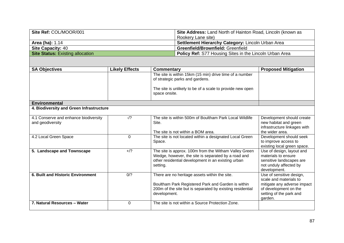| Site Ref: COL/MOOR/001                  | Site Address: Land North of Hainton Road, Lincoln (known as    |
|-----------------------------------------|----------------------------------------------------------------|
|                                         | Rookery Lane site)                                             |
| <b>Area (ha): 1.14</b>                  | Settlement Hierarchy Category: Lincoln Urban Area              |
| <b>Site Capacity: 40</b>                | <b>Greenfield/Brownfield: Greenfield</b>                       |
| <b>Site Status:</b> Existing allocation | <b>Policy Ref:</b> S77 Housing Sites in the Lincoln Urban Area |

| <b>SA Objectives</b>                                      | <b>Likely Effects</b> | Commentary                                                                                                                                                                     | <b>Proposed Mitigation</b>                                                                                             |
|-----------------------------------------------------------|-----------------------|--------------------------------------------------------------------------------------------------------------------------------------------------------------------------------|------------------------------------------------------------------------------------------------------------------------|
|                                                           |                       | The site is within 15km (15 min) drive time of a number<br>of strategic parks and gardens.                                                                                     |                                                                                                                        |
|                                                           |                       | The site is unlikely to be of a scale to provide new open<br>space onsite.                                                                                                     |                                                                                                                        |
| <b>Environmental</b>                                      |                       |                                                                                                                                                                                |                                                                                                                        |
| 4. Biodiversity and Green Infrastructure                  |                       |                                                                                                                                                                                |                                                                                                                        |
| 4.1 Conserve and enhance biodiversity<br>and geodiversity | $-1$ ?                | The site is within 500m of Boultham Park Local Wildlife<br>Site.                                                                                                               | Development should create<br>new habitat and green<br>infrastructure linkages with                                     |
|                                                           |                       | The site is not within a BOM area.                                                                                                                                             | the wider area.                                                                                                        |
| 4.2 Local Green Space                                     | $\mathbf 0$           | The site is not located within a designated Local Green<br>Space.                                                                                                              | Development should seek<br>to improve access to<br>existing local green space.                                         |
| 5. Landscape and Townscape                                | $+$ /?                | The site is approx. 100m from the Witham Valley Green<br>Wedge, however, the site is separated by a road and<br>other residential development in an existing urban<br>setting. | Use of design, layout and<br>materials to ensure<br>sensitive landscapes are<br>not unduly affected by<br>development. |
| <b>6. Built and Historic Environment</b>                  | 0/2                   | There are no heritage assets within the site.                                                                                                                                  | Use of sensitive design,<br>scale and materials to                                                                     |
|                                                           |                       | Boultham Park Registered Park and Garden is within<br>200m of the site but is separated by existing residential<br>development.                                                | mitigate any adverse impact<br>of development on the<br>setting of the park and<br>garden.                             |
| 7. Natural Resources - Water                              | 0                     | The site is not within a Source Protection Zone.                                                                                                                               |                                                                                                                        |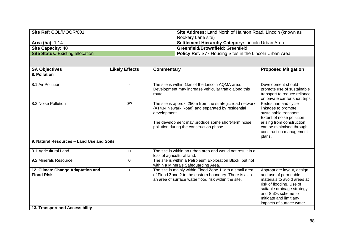| Site Ref: COL/MOOR/001                  | Site Address: Land North of Hainton Road, Lincoln (known as    |
|-----------------------------------------|----------------------------------------------------------------|
|                                         | Rookery Lane site)                                             |
| <b>Area (ha): 1.14</b>                  | Settlement Hierarchy Category: Lincoln Urban Area              |
| <b>Site Capacity: 40</b>                | <b>Greenfield/Brownfield: Greenfield</b>                       |
| <b>Site Status: Existing allocation</b> | <b>Policy Ref:</b> S77 Housing Sites in the Lincoln Urban Area |

| <b>SA Objectives</b>                                   | <b>Likely Effects</b> | Commentary                                                                                                                                                                 | <b>Proposed Mitigation</b>                                                                                                                                                                                               |
|--------------------------------------------------------|-----------------------|----------------------------------------------------------------------------------------------------------------------------------------------------------------------------|--------------------------------------------------------------------------------------------------------------------------------------------------------------------------------------------------------------------------|
| 8. Pollution                                           |                       |                                                                                                                                                                            |                                                                                                                                                                                                                          |
| 8.1 Air Pollution                                      | $\blacksquare$        | The site is within 1km of the Lincoln AQMA area.<br>Development may increase vehicular traffic along this<br>route.                                                        | Development should<br>promote use of sustainable<br>transport to reduce reliance<br>on private car for short trips.                                                                                                      |
| 8.2 Noise Pollution                                    | 0/2                   | The site is approx. 250m from the strategic road network<br>(A1434 Newark Road) and separated by residential<br>development.                                               | Pedestrian and cycle<br>linkages to promote<br>sustainable transport.<br>Extent of noise pollution                                                                                                                       |
|                                                        |                       | The development may produce some short-term noise<br>pollution during the construction phase.                                                                              | arising from construction<br>can be minimised through<br>construction management<br>plans.                                                                                                                               |
| 9. Natural Resources - Land Use and Soils              |                       |                                                                                                                                                                            |                                                                                                                                                                                                                          |
| 9.1 Agricultural Land                                  | $++$                  | The site is within an urban area and would not result in a<br>loss of agricultural land.                                                                                   |                                                                                                                                                                                                                          |
| 9.2 Minerals Resource                                  | $\Omega$              | The site is within a Petroleum Exploration Block, but not<br>within a Minerals Safeguarding Area.                                                                          |                                                                                                                                                                                                                          |
| 12. Climate Change Adaptation and<br><b>Flood Risk</b> | $+$                   | The site is mainly within Flood Zone 1 with a small area<br>of Flood Zone 2 to the eastern boundary. There is also<br>an area of surface water flood risk within the site. | Appropriate layout, design<br>and use of permeable<br>materials to avoid areas at<br>risk of flooding. Use of<br>suitable drainage strategy<br>and SuDs scheme to<br>mitigate and limit any<br>impacts of surface water. |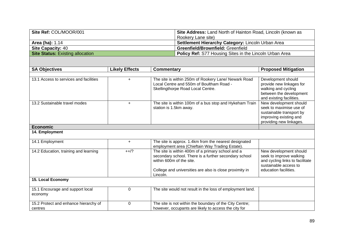| Site Ref: COL/MOOR/001           | Site Address: Land North of Hainton Road, Lincoln (known as    |
|----------------------------------|----------------------------------------------------------------|
|                                  | Rookery Lane site)                                             |
| <b>Area (ha): 1.14</b>           | <b>Settlement Hierarchy Category: Lincoln Urban Area</b>       |
| <b>Site Capacity: 40</b>         | <b>Greenfield/Brownfield: Greenfield</b>                       |
| Site Status: Existing allocation | <b>Policy Ref:</b> S77 Housing Sites in the Lincoln Urban Area |

| <b>SA Objectives</b>                             | <b>Likely Effects</b> | Commentary                                                                                                                                                                                                    | <b>Proposed Mitigation</b>                                                                                                             |
|--------------------------------------------------|-----------------------|---------------------------------------------------------------------------------------------------------------------------------------------------------------------------------------------------------------|----------------------------------------------------------------------------------------------------------------------------------------|
|                                                  |                       |                                                                                                                                                                                                               |                                                                                                                                        |
| 13.1 Access to services and facilities           | $+$                   | The site is within 250m of Rookery Lane/ Newark Road<br>Local Centre and 550m of Boultham Road -<br>Skellingthorpe Road Local Centre.                                                                         | Development should<br>provide new linkages for<br>walking and cycling<br>between the development<br>and existing facilities.           |
| 13.2 Sustainable travel modes                    | $\ddot{}$             | The site is within 100m of a bus stop and Hykeham Train<br>station is 1.5km away.                                                                                                                             | New development should<br>seek to maximise use of<br>sustainable transport by<br>improving existing and<br>providing new linkages.     |
| <b>Economic</b>                                  |                       |                                                                                                                                                                                                               |                                                                                                                                        |
| 14. Employment                                   |                       |                                                                                                                                                                                                               |                                                                                                                                        |
| 14.1 Employment                                  | $\ddot{}$             | The site is approx. 1.4km from the nearest designated<br>employment area (Chieftain Way Trading Estate).                                                                                                      |                                                                                                                                        |
| 14.2 Education, training and learning            | $++/?$                | The site is within 400m of a primary school and a<br>secondary school. There is a further secondary school<br>within 600m of the site.<br>College and universities are also is close proximity in<br>Lincoln. | New development should<br>seek to improve walking<br>and cycling links to facilitate<br>sustainable access to<br>education facilities. |
| 15. Local Economy                                |                       |                                                                                                                                                                                                               |                                                                                                                                        |
| 15.1 Encourage and support local<br>economy      | $\Omega$              | The site would not result in the loss of employment land.                                                                                                                                                     |                                                                                                                                        |
| 15.2 Protect and enhance hierarchy of<br>centres | 0                     | The site is not within the boundary of the City Centre;<br>however, occupants are likely to access the city for                                                                                               |                                                                                                                                        |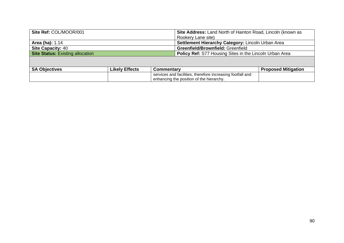| Site Ref: COL/MOOR/001                  |                       |                                                                | Site Address: Land North of Hainton Road, Lincoln (known as |                            |
|-----------------------------------------|-----------------------|----------------------------------------------------------------|-------------------------------------------------------------|----------------------------|
|                                         |                       |                                                                | Rookery Lane site)                                          |                            |
| <b>Area (ha): 1.14</b>                  |                       |                                                                | Settlement Hierarchy Category: Lincoln Urban Area           |                            |
| <b>Site Capacity: 40</b>                |                       |                                                                | Greenfield/Brownfield: Greenfield                           |                            |
| <b>Site Status: Existing allocation</b> |                       | <b>Policy Ref: S77 Housing Sites in the Lincoln Urban Area</b> |                                                             |                            |
|                                         |                       |                                                                |                                                             |                            |
| <b>SA Objectives</b>                    | <b>Likely Effects</b> | <b>Commentary</b>                                              |                                                             | <b>Proposed Mitigation</b> |
|                                         |                       | services and facilities, therefore increasing footfall and     |                                                             |                            |
|                                         |                       | enhancing the position of the hierarchy.                       |                                                             |                            |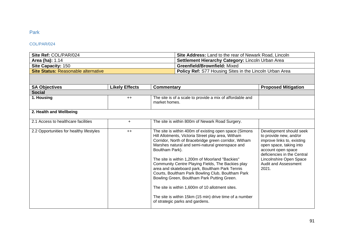# Park

### COL/PAR/024

| <b>Site Ref: COL/PAR/024</b>               | <b>Site Address:</b> Land to the rear of Newark Road, Lincoln  |
|--------------------------------------------|----------------------------------------------------------------|
| <b>Area (ha): 1.14</b>                     | <b>Settlement Hierarchy Category: Lincoln Urban Area</b>       |
| <b>Site Capacity: 150</b>                  | <b>Greenfield/Brownfield: Mixed</b>                            |
| <b>Site Status: Reasonable alternative</b> | <b>Policy Ref:</b> S77 Housing Sites in the Lincoln Urban Area |

| <b>SA Objectives</b>                     | <b>Likely Effects</b> | <b>Commentary</b>                                                                                                                                                                                                                                                                                                                                                                                                                                                                                                                                                                                                                                           | <b>Proposed Mitigation</b>                                                                                                                                                                                                  |
|------------------------------------------|-----------------------|-------------------------------------------------------------------------------------------------------------------------------------------------------------------------------------------------------------------------------------------------------------------------------------------------------------------------------------------------------------------------------------------------------------------------------------------------------------------------------------------------------------------------------------------------------------------------------------------------------------------------------------------------------------|-----------------------------------------------------------------------------------------------------------------------------------------------------------------------------------------------------------------------------|
| <b>Social</b>                            |                       |                                                                                                                                                                                                                                                                                                                                                                                                                                                                                                                                                                                                                                                             |                                                                                                                                                                                                                             |
| 1. Housing                               | $++$                  | The site is of a scale to provide a mix of affordable and<br>market homes.                                                                                                                                                                                                                                                                                                                                                                                                                                                                                                                                                                                  |                                                                                                                                                                                                                             |
| 2. Health and Wellbeing                  |                       |                                                                                                                                                                                                                                                                                                                                                                                                                                                                                                                                                                                                                                                             |                                                                                                                                                                                                                             |
| 2.1 Access to healthcare facilities      | $\ddot{}$             | The site is within 800m of Newark Road Surgery.                                                                                                                                                                                                                                                                                                                                                                                                                                                                                                                                                                                                             |                                                                                                                                                                                                                             |
| 2.2 Opportunities for healthy lifestyles | $++$                  | The site is within 400m of existing open space (Simons<br>Hill Allotments, Victoria Street play area, Witham<br>Corridor, North of Bracebridge green corridor, Witham<br>Marshes natural and semi-natural greenspace and<br>Boultham Park).<br>The site is within 1,200m of Moorland "Backies"<br>Community Centre Playing Fields, The Backies play<br>area and skateboard park, Boultham Park Tennis<br>Courts, Boultham Park Bowling Club, Boultham Park<br>Bowling Green, Boultham Park Putting Green.<br>The site is within 1,600m of 10 allotment sites.<br>The site is within 15km (15 min) drive time of a number<br>of strategic parks and gardens. | Development should seek<br>to provide new, and/or<br>improve links to, existing<br>open space, taking into<br>account open space<br>deficiencies in the Central<br>Lincolnshire Open Space<br>Audit and Assessment<br>2021. |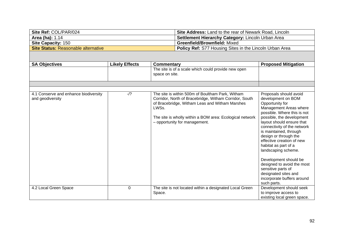| Site Ref: COL/PAR/024               | <b>Site Address:</b> Land to the rear of Newark Road, Lincoln  |
|-------------------------------------|----------------------------------------------------------------|
| <b>Area (ha): 1.14</b>              | <b>Settlement Hierarchy Category: Lincoln Urban Area</b>       |
| <b>Site Capacity: 150</b>           | <b>Greenfield/Brownfield: Mixed</b>                            |
| Site Status: Reasonable alternative | <b>Policy Ref:</b> S77 Housing Sites in the Lincoln Urban Area |

| <b>SA Objectives</b>                                      | <b>Likely Effects</b> | <b>Commentary</b>                                                                                                                                                                                                                                                  | <b>Proposed Mitigation</b>                                                                                                                                                                                                                                                                                                                                                                                                                                                          |
|-----------------------------------------------------------|-----------------------|--------------------------------------------------------------------------------------------------------------------------------------------------------------------------------------------------------------------------------------------------------------------|-------------------------------------------------------------------------------------------------------------------------------------------------------------------------------------------------------------------------------------------------------------------------------------------------------------------------------------------------------------------------------------------------------------------------------------------------------------------------------------|
|                                                           |                       | The site is of a scale which could provide new open                                                                                                                                                                                                                |                                                                                                                                                                                                                                                                                                                                                                                                                                                                                     |
|                                                           |                       | space on site.                                                                                                                                                                                                                                                     |                                                                                                                                                                                                                                                                                                                                                                                                                                                                                     |
|                                                           |                       |                                                                                                                                                                                                                                                                    |                                                                                                                                                                                                                                                                                                                                                                                                                                                                                     |
|                                                           |                       |                                                                                                                                                                                                                                                                    |                                                                                                                                                                                                                                                                                                                                                                                                                                                                                     |
| 4.1 Conserve and enhance biodiversity<br>and geodiversity | $-1$ ?                | The site is within 500m of Boultham Park, Witham<br>Corridor, North of Bracebridge, Witham Corridor, South<br>of Bracebridge, Witham Leas and Witham Marshes<br>LWSs.<br>The site is wholly within a BOM area: Ecological network<br>- opportunity for management. | Proposals should avoid<br>development on BOM<br>Opportunity for<br>Management Areas where<br>possible. Where this is not<br>possible, the development<br>layout should ensure that<br>connectivity of the network<br>is maintained, through<br>design or through the<br>effective creation of new<br>habitat as part of a<br>landscaping scheme.<br>Development should be<br>designed to avoid the most<br>sensitive parts of<br>designated sites and<br>incorporate buffers around |
|                                                           |                       |                                                                                                                                                                                                                                                                    | such parts.                                                                                                                                                                                                                                                                                                                                                                                                                                                                         |
| 4.2 Local Green Space                                     | $\mathbf 0$           | The site is not located within a designated Local Green                                                                                                                                                                                                            | Development should seek                                                                                                                                                                                                                                                                                                                                                                                                                                                             |
|                                                           |                       | Space.                                                                                                                                                                                                                                                             | to improve access to<br>existing local green space.                                                                                                                                                                                                                                                                                                                                                                                                                                 |
|                                                           |                       |                                                                                                                                                                                                                                                                    |                                                                                                                                                                                                                                                                                                                                                                                                                                                                                     |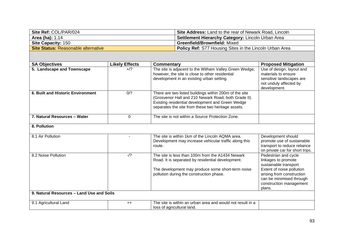| Site Ref: COL/PAR/024               | <b>Site Address:</b> Land to the rear of Newark Road, Lincoln  |
|-------------------------------------|----------------------------------------------------------------|
| <b>Area (ha): 1.14</b>              | <b>Settlement Hierarchy Category: Lincoln Urban Area</b>       |
| <b>Site Capacity: 150</b>           | <b>Greenfield/Brownfield: Mixed</b>                            |
| Site Status: Reasonable alternative | <b>Policy Ref:</b> S77 Housing Sites in the Lincoln Urban Area |

| <b>SA Objectives</b>                      | <b>Likely Effects</b> | <b>Commentary</b>                                                                                                                                                                                                        | <b>Proposed Mitigation</b>                                                                                                                                                                       |
|-------------------------------------------|-----------------------|--------------------------------------------------------------------------------------------------------------------------------------------------------------------------------------------------------------------------|--------------------------------------------------------------------------------------------------------------------------------------------------------------------------------------------------|
| 5. Landscape and Townscape                | $+$ /?                | The site is adjacent to the Witham Valley Green Wedge;<br>however, the site is close to other residential<br>development in an existing urban setting.                                                                   | Use of design, layout and<br>materials to ensure<br>sensitive landscapes are<br>not unduly affected by<br>development.                                                                           |
| 6. Built and Historic Environment         | 0/2                   | There are two listed buildings within 200m of the site<br>(Grosvenor Hall and 210 Newark Road, both Grade II).<br>Existing residential development and Green Wedge<br>separates the site from these two heritage assets. |                                                                                                                                                                                                  |
| 7. Natural Resources - Water              | 0                     | The site is not within a Source Protection Zone.                                                                                                                                                                         |                                                                                                                                                                                                  |
| 8. Pollution                              |                       |                                                                                                                                                                                                                          |                                                                                                                                                                                                  |
| 8.1 Air Pollution                         |                       | The site is within 1km of the Lincoln AQMA area.<br>Development may increase vehicular traffic along this<br>route.                                                                                                      | Development should<br>promote use of sustainable<br>transport to reduce reliance<br>on private car for short trips.                                                                              |
| 8.2 Noise Pollution                       | $-1$ ?                | The site is less than 100m from the A1434 Newark<br>Road. It is separated by residential development.<br>The development may produce some short-term noise<br>pollution during the construction phase.                   | Pedestrian and cycle<br>linkages to promote<br>sustainable transport.<br>Extent of noise pollution<br>arising from construction<br>can be minimised through<br>construction management<br>plans. |
| 9. Natural Resources - Land Use and Soils |                       |                                                                                                                                                                                                                          |                                                                                                                                                                                                  |
| 9.1 Agricultural Land                     | $++$                  | The site is within an urban area and would not result in a<br>loss of agricultural land.                                                                                                                                 |                                                                                                                                                                                                  |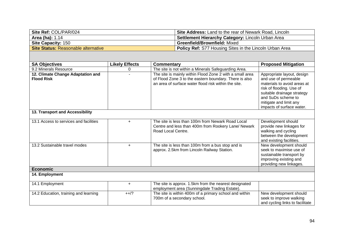| Site Ref: COL/PAR/024               | Site Address: Land to the rear of Newark Road, Lincoln         |
|-------------------------------------|----------------------------------------------------------------|
| Area (ha): 1.14                     | <b>Settlement Hierarchy Category: Lincoln Urban Area</b>       |
| <b>Site Capacity: 150</b>           | <b>Greenfield/Brownfield: Mixed</b>                            |
| Site Status: Reasonable alternative | <b>Policy Ref:</b> S77 Housing Sites in the Lincoln Urban Area |

| <b>SA Objectives</b>                                   | <b>Likely Effects</b> | Commentary                                                                                                                                                                 | <b>Proposed Mitigation</b>                                                                                                                                                                                               |
|--------------------------------------------------------|-----------------------|----------------------------------------------------------------------------------------------------------------------------------------------------------------------------|--------------------------------------------------------------------------------------------------------------------------------------------------------------------------------------------------------------------------|
| 9.2 Minerals Resource                                  | 0                     | The site is not within a Minerals Safeguarding Area.                                                                                                                       |                                                                                                                                                                                                                          |
| 12. Climate Change Adaptation and<br><b>Flood Risk</b> |                       | The site is mainly within Flood Zone 2 with a small area<br>of Flood Zone 3 to the eastern boundary. There is also<br>an area of surface water flood risk within the site. | Appropriate layout, design<br>and use of permeable<br>materials to avoid areas at<br>risk of flooding. Use of<br>suitable drainage strategy<br>and SuDs scheme to<br>mitigate and limit any<br>impacts of surface water. |
| 13. Transport and Accessibility                        |                       |                                                                                                                                                                            |                                                                                                                                                                                                                          |
| 13.1 Access to services and facilities                 | ÷.                    | The site is less than 100m from Newark Road Local<br>Centre and less than 400m from Rookery Lane/ Newark<br>Road Local Centre.                                             | Development should<br>provide new linkages for<br>walking and cycling<br>between the development<br>and existing facilities.                                                                                             |
| 13.2 Sustainable travel modes                          | $\ddot{}$             | The site is less than 100m from a bus stop and is<br>approx. 2.5km from Lincoln Railway Station.                                                                           | New development should<br>seek to maximise use of<br>sustainable transport by<br>improving existing and<br>providing new linkages.                                                                                       |
| <b>Economic</b>                                        |                       |                                                                                                                                                                            |                                                                                                                                                                                                                          |
| 14. Employment                                         |                       |                                                                                                                                                                            |                                                                                                                                                                                                                          |
| 14.1 Employment                                        | $+$                   | The site is approx. 1.5km from the nearest designated<br>employment area (Sunningdale Trading Estate).                                                                     |                                                                                                                                                                                                                          |
| 14.2 Education, training and learning                  | $++/?$                | The site is within 400m of a primary school and within<br>700m of a secondary school.                                                                                      | New development should<br>seek to improve walking                                                                                                                                                                        |

and cycling links to facilitate